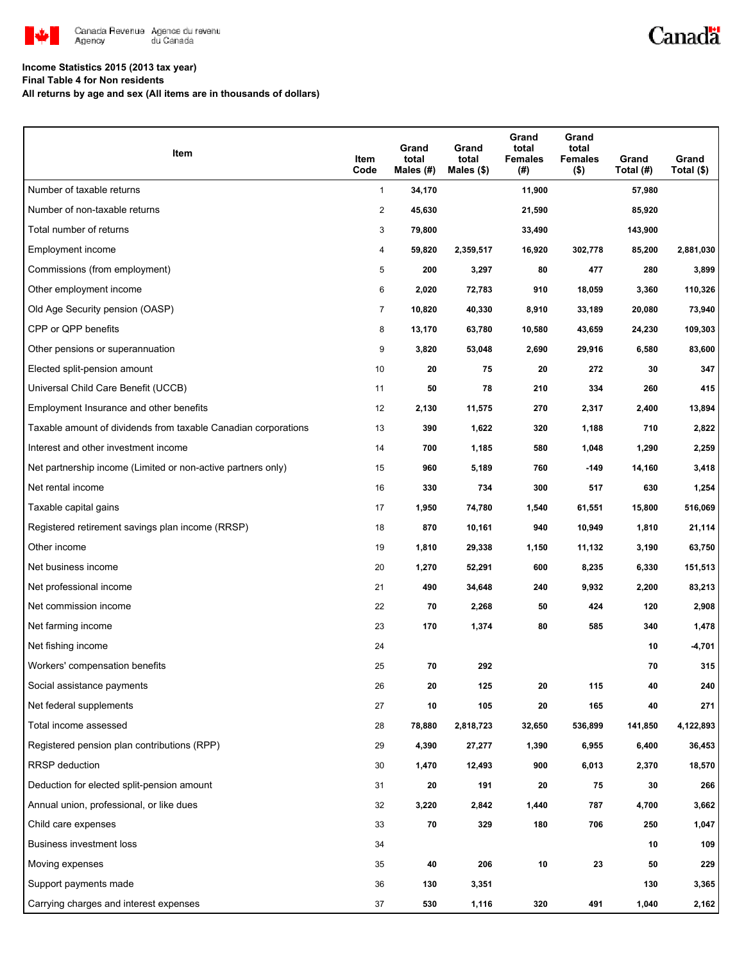

## Canadä

### **Income Statistics 2015 (2013 tax year)**

**Final Table 4 for Non residents**

**All returns by age and sex (All items are in thousands of dollars)**

| Item                                                           | Item<br>Code   | Grand<br>total<br>Males (#) | Grand<br>total<br>Males (\$) | Grand<br>total<br>Females<br>(#) | Grand<br>total<br><b>Females</b><br>$($ \$) | Grand<br>Total (#) | Grand<br>Total (\$) |
|----------------------------------------------------------------|----------------|-----------------------------|------------------------------|----------------------------------|---------------------------------------------|--------------------|---------------------|
| Number of taxable returns                                      | 1              | 34,170                      |                              | 11,900                           |                                             | 57,980             |                     |
| Number of non-taxable returns                                  | 2              | 45,630                      |                              | 21,590                           |                                             | 85,920             |                     |
| Total number of returns                                        | 3              | 79,800                      |                              | 33,490                           |                                             | 143,900            |                     |
| Employment income                                              | 4              | 59,820                      | 2,359,517                    | 16,920                           | 302,778                                     | 85,200             | 2,881,030           |
| Commissions (from employment)                                  | 5              | 200                         | 3,297                        | 80                               | 477                                         | 280                | 3,899               |
| Other employment income                                        | 6              | 2,020                       | 72,783                       | 910                              | 18,059                                      | 3,360              | 110,326             |
| Old Age Security pension (OASP)                                | $\overline{7}$ | 10,820                      | 40,330                       | 8,910                            | 33,189                                      | 20,080             | 73,940              |
| CPP or QPP benefits                                            | 8              | 13,170                      | 63,780                       | 10,580                           | 43,659                                      | 24,230             | 109,303             |
| Other pensions or superannuation                               | 9              | 3,820                       | 53,048                       | 2,690                            | 29,916                                      | 6,580              | 83,600              |
| Elected split-pension amount                                   | 10             | 20                          | 75                           | 20                               | 272                                         | 30                 | 347                 |
| Universal Child Care Benefit (UCCB)                            | 11             | 50                          | 78                           | 210                              | 334                                         | 260                | 415                 |
| Employment Insurance and other benefits                        | 12             | 2,130                       | 11,575                       | 270                              | 2,317                                       | 2,400              | 13,894              |
| Taxable amount of dividends from taxable Canadian corporations | 13             | 390                         | 1,622                        | 320                              | 1,188                                       | 710                | 2,822               |
| Interest and other investment income                           | 14             | 700                         | 1,185                        | 580                              | 1,048                                       | 1,290              | 2,259               |
| Net partnership income (Limited or non-active partners only)   | 15             | 960                         | 5,189                        | 760                              | $-149$                                      | 14,160             | 3,418               |
| Net rental income                                              | 16             | 330                         | 734                          | 300                              | 517                                         | 630                | 1,254               |
| Taxable capital gains                                          | 17             | 1,950                       | 74,780                       | 1,540                            | 61,551                                      | 15,800             | 516,069             |
| Registered retirement savings plan income (RRSP)               | 18             | 870                         | 10,161                       | 940                              | 10,949                                      | 1,810              | 21,114              |
| Other income                                                   | 19             | 1,810                       | 29,338                       | 1,150                            | 11,132                                      | 3,190              | 63,750              |
| Net business income                                            | 20             | 1,270                       | 52,291                       | 600                              | 8,235                                       | 6,330              | 151,513             |
| Net professional income                                        | 21             | 490                         | 34,648                       | 240                              | 9,932                                       | 2,200              | 83,213              |
| Net commission income                                          | 22             | 70                          | 2,268                        | 50                               | 424                                         | 120                | 2,908               |
| Net farming income                                             | 23             | 170                         | 1,374                        | 80                               | 585                                         | 340                | 1,478               |
| Net fishing income                                             | 24             |                             |                              |                                  |                                             | 10                 | $-4,701$            |
| Workers' compensation benefits                                 | 25             | 70                          | 292                          |                                  |                                             | 70                 | 315                 |
| Social assistance payments                                     | 26             | 20                          | 125                          | 20                               | 115                                         | 40                 | 240                 |
| Net federal supplements                                        | 27             | 10                          | 105                          | 20                               | 165                                         | 40                 | 271                 |
| Total income assessed                                          | 28             | 78,880                      | 2,818,723                    | 32,650                           | 536,899                                     | 141,850            | 4,122,893           |
| Registered pension plan contributions (RPP)                    | 29             | 4,390                       | 27,277                       | 1,390                            | 6,955                                       | 6,400              | 36,453              |
| RRSP deduction                                                 | 30             | 1,470                       | 12,493                       | 900                              | 6,013                                       | 2,370              | 18,570              |
| Deduction for elected split-pension amount                     | 31             | 20                          | 191                          | 20                               | 75                                          | 30                 | 266                 |
| Annual union, professional, or like dues                       | 32             | 3,220                       | 2,842                        | 1,440                            | 787                                         | 4,700              | 3,662               |
| Child care expenses                                            | 33             | 70                          | 329                          | 180                              | 706                                         | 250                | 1,047               |
| Business investment loss                                       | 34             |                             |                              |                                  |                                             | 10                 | 109                 |
| Moving expenses                                                | 35             | 40                          | 206                          | 10                               | 23                                          | 50                 | 229                 |
| Support payments made                                          | 36             | 130                         | 3,351                        |                                  |                                             | 130                | 3,365               |
| Carrying charges and interest expenses                         | 37             | 530                         | 1,116                        | 320                              | 491                                         | 1,040              | 2,162               |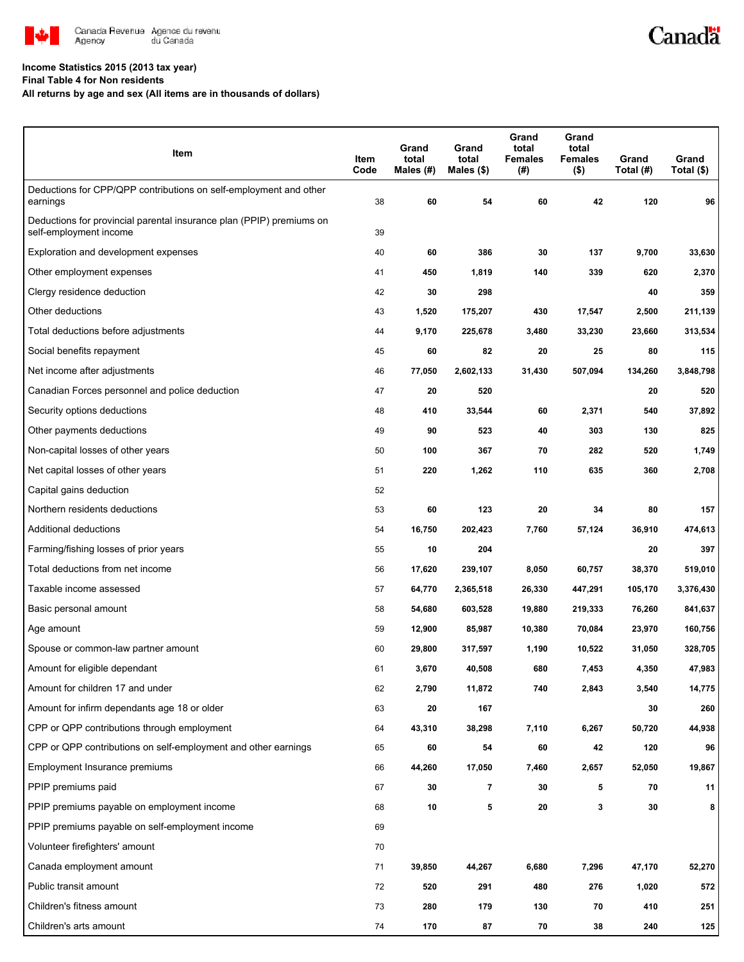

# Canadä

### **Income Statistics 2015 (2013 tax year)**

**Final Table 4 for Non residents**

**All returns by age and sex (All items are in thousands of dollars)**

| Item                                                                                           | Item<br>Code | Grand<br>total<br>Males (#) | Grand<br>total<br>Males (\$) | Grand<br>total<br><b>Females</b><br>(#) | Grand<br>total<br><b>Females</b><br>$($ \$) | Grand<br>Total (#) | Grand<br>Total (\$) |
|------------------------------------------------------------------------------------------------|--------------|-----------------------------|------------------------------|-----------------------------------------|---------------------------------------------|--------------------|---------------------|
| Deductions for CPP/QPP contributions on self-employment and other<br>earnings                  | 38           | 60                          | 54                           | 60                                      | 42                                          | 120                | 96                  |
| Deductions for provincial parental insurance plan (PPIP) premiums on<br>self-employment income | 39           |                             |                              |                                         |                                             |                    |                     |
| Exploration and development expenses                                                           | 40           | 60                          | 386                          | 30                                      | 137                                         | 9,700              | 33,630              |
| Other employment expenses                                                                      | 41           | 450                         | 1,819                        | 140                                     | 339                                         | 620                | 2,370               |
| Clergy residence deduction                                                                     | 42           | 30                          | 298                          |                                         |                                             | 40                 | 359                 |
| Other deductions                                                                               | 43           | 1,520                       | 175,207                      | 430                                     | 17,547                                      | 2,500              | 211,139             |
| Total deductions before adjustments                                                            | 44           | 9,170                       | 225,678                      | 3,480                                   | 33,230                                      | 23,660             | 313,534             |
| Social benefits repayment                                                                      | 45           | 60                          | 82                           | 20                                      | 25                                          | 80                 | 115                 |
| Net income after adjustments                                                                   | 46           | 77,050                      | 2,602,133                    | 31,430                                  | 507,094                                     | 134,260            | 3,848,798           |
| Canadian Forces personnel and police deduction                                                 | 47           | 20                          | 520                          |                                         |                                             | 20                 | 520                 |
| Security options deductions                                                                    | 48           | 410                         | 33,544                       | 60                                      | 2,371                                       | 540                | 37,892              |
| Other payments deductions                                                                      | 49           | 90                          | 523                          | 40                                      | 303                                         | 130                | 825                 |
| Non-capital losses of other years                                                              | 50           | 100                         | 367                          | 70                                      | 282                                         | 520                | 1,749               |
| Net capital losses of other years                                                              | 51           | 220                         | 1,262                        | 110                                     | 635                                         | 360                | 2,708               |
| Capital gains deduction                                                                        | 52           |                             |                              |                                         |                                             |                    |                     |
| Northern residents deductions                                                                  | 53           | 60                          | 123                          | 20                                      | 34                                          | 80                 | 157                 |
| Additional deductions                                                                          | 54           | 16,750                      | 202,423                      | 7,760                                   | 57,124                                      | 36,910             | 474,613             |
| Farming/fishing losses of prior years                                                          | 55           | 10                          | 204                          |                                         |                                             | 20                 | 397                 |
| Total deductions from net income                                                               | 56           | 17,620                      | 239,107                      | 8,050                                   | 60,757                                      | 38,370             | 519,010             |
| Taxable income assessed                                                                        | 57           | 64,770                      | 2,365,518                    | 26,330                                  | 447,291                                     | 105,170            | 3,376,430           |
| Basic personal amount                                                                          | 58           | 54,680                      | 603,528                      | 19,880                                  | 219,333                                     | 76,260             | 841,637             |
| Age amount                                                                                     | 59           | 12,900                      | 85,987                       | 10,380                                  | 70,084                                      | 23,970             | 160,756             |
| Spouse or common-law partner amount                                                            | 60           | 29,800                      | 317,597                      | 1,190                                   | 10,522                                      | 31,050             | 328,705             |
| Amount for eligible dependant                                                                  | 61           | 3,670                       | 40,508                       | 680                                     | 7,453                                       | 4,350              | 47,983              |
| Amount for children 17 and under                                                               | 62           | 2,790                       | 11,872                       | 740                                     | 2,843                                       | 3,540              | 14,775              |
| Amount for infirm dependants age 18 or older                                                   | 63           | 20                          | 167                          |                                         |                                             | 30                 | 260                 |
| CPP or QPP contributions through employment                                                    | 64           | 43,310                      | 38,298                       | 7,110                                   | 6,267                                       | 50,720             | 44,938              |
| CPP or QPP contributions on self-employment and other earnings                                 | 65           | 60                          | 54                           | 60                                      | 42                                          | 120                | 96                  |
| Employment Insurance premiums                                                                  | 66           | 44,260                      | 17,050                       | 7,460                                   | 2,657                                       | 52,050             | 19,867              |
| PPIP premiums paid                                                                             | 67           | 30                          | 7                            | 30                                      | 5                                           | 70                 | 11                  |
| PPIP premiums payable on employment income                                                     | 68           | 10                          | 5                            | 20                                      | 3                                           | 30                 | 8                   |
| PPIP premiums payable on self-employment income                                                | 69           |                             |                              |                                         |                                             |                    |                     |
| Volunteer firefighters' amount                                                                 | 70           |                             |                              |                                         |                                             |                    |                     |
| Canada employment amount                                                                       | 71           | 39,850                      | 44,267                       | 6,680                                   | 7,296                                       | 47,170             | 52,270              |
| Public transit amount                                                                          | 72           | 520                         | 291                          | 480                                     | 276                                         | 1,020              | 572                 |
| Children's fitness amount                                                                      | 73           | 280                         | 179                          | 130                                     | 70                                          | 410                | 251                 |
| Children's arts amount                                                                         | 74           | 170                         | 87                           | 70                                      | 38                                          | 240                | 125                 |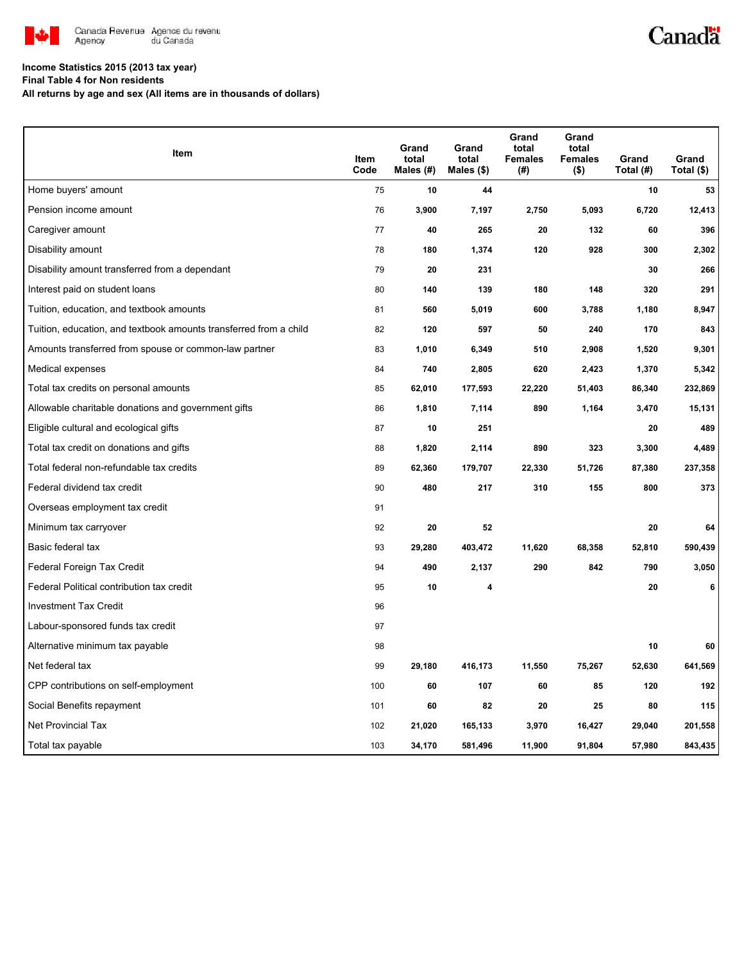

# Canadä

#### **Income Statistics 2015 (2013 tax year)**

**Final Table 4 for Non residents**

**All returns by age and sex (All items are in thousands of dollars)**

| Item                                                              | <b>Item</b><br>Code | Grand<br>total<br>Males (#) | Grand<br>total<br>Males $(\$)$ | Grand<br>total<br><b>Females</b><br>(#) | Grand<br>total<br><b>Females</b><br>$($ \$) | Grand<br>Total (#) | Grand<br>Total (\$) |
|-------------------------------------------------------------------|---------------------|-----------------------------|--------------------------------|-----------------------------------------|---------------------------------------------|--------------------|---------------------|
| Home buyers' amount                                               | 75                  | 10                          | 44                             |                                         |                                             | 10                 | 53                  |
| Pension income amount                                             | 76                  | 3,900                       | 7,197                          | 2,750                                   | 5,093                                       | 6,720              | 12,413              |
| Caregiver amount                                                  | 77                  | 40                          | 265                            | 20                                      | 132                                         | 60                 | 396                 |
| Disability amount                                                 | 78                  | 180                         | 1,374                          | 120                                     | 928                                         | 300                | 2,302               |
| Disability amount transferred from a dependant                    | 79                  | 20                          | 231                            |                                         |                                             | 30                 | 266                 |
| Interest paid on student loans                                    | 80                  | 140                         | 139                            | 180                                     | 148                                         | 320                | 291                 |
| Tuition, education, and textbook amounts                          | 81                  | 560                         | 5,019                          | 600                                     | 3,788                                       | 1,180              | 8,947               |
| Tuition, education, and textbook amounts transferred from a child | 82                  | 120                         | 597                            | 50                                      | 240                                         | 170                | 843                 |
| Amounts transferred from spouse or common-law partner             | 83                  | 1,010                       | 6,349                          | 510                                     | 2,908                                       | 1,520              | 9,301               |
| Medical expenses                                                  | 84                  | 740                         | 2,805                          | 620                                     | 2,423                                       | 1,370              | 5,342               |
| Total tax credits on personal amounts                             | 85                  | 62,010                      | 177,593                        | 22,220                                  | 51,403                                      | 86,340             | 232,869             |
| Allowable charitable donations and government gifts               | 86                  | 1,810                       | 7,114                          | 890                                     | 1,164                                       | 3,470              | 15,131              |
| Eligible cultural and ecological gifts                            | 87                  | 10                          | 251                            |                                         |                                             | 20                 | 489                 |
| Total tax credit on donations and gifts                           | 88                  | 1,820                       | 2,114                          | 890                                     | 323                                         | 3,300              | 4,489               |
| Total federal non-refundable tax credits                          | 89                  | 62,360                      | 179,707                        | 22,330                                  | 51,726                                      | 87,380             | 237,358             |
| Federal dividend tax credit                                       | 90                  | 480                         | 217                            | 310                                     | 155                                         | 800                | 373                 |
| Overseas employment tax credit                                    | 91                  |                             |                                |                                         |                                             |                    |                     |
| Minimum tax carryover                                             | 92                  | 20                          | 52                             |                                         |                                             | 20                 | 64                  |
| Basic federal tax                                                 | 93                  | 29,280                      | 403,472                        | 11,620                                  | 68,358                                      | 52,810             | 590,439             |
| Federal Foreign Tax Credit                                        | 94                  | 490                         | 2,137                          | 290                                     | 842                                         | 790                | 3,050               |
| Federal Political contribution tax credit                         | 95                  | 10                          | 4                              |                                         |                                             | 20                 | 6                   |
| <b>Investment Tax Credit</b>                                      | 96                  |                             |                                |                                         |                                             |                    |                     |
| Labour-sponsored funds tax credit                                 | 97                  |                             |                                |                                         |                                             |                    |                     |
| Alternative minimum tax payable                                   | 98                  |                             |                                |                                         |                                             | 10                 | 60                  |
| Net federal tax                                                   | 99                  | 29,180                      | 416,173                        | 11,550                                  | 75,267                                      | 52,630             | 641,569             |
| CPP contributions on self-employment                              | 100                 | 60                          | 107                            | 60                                      | 85                                          | 120                | 192                 |
| Social Benefits repayment                                         | 101                 | 60                          | 82                             | 20                                      | 25                                          | 80                 | 115                 |
| <b>Net Provincial Tax</b>                                         | 102                 | 21,020                      | 165,133                        | 3,970                                   | 16,427                                      | 29,040             | 201,558             |
| Total tax payable                                                 | 103                 | 34,170                      | 581,496                        | 11,900                                  | 91,804                                      | 57,980             | 843,435             |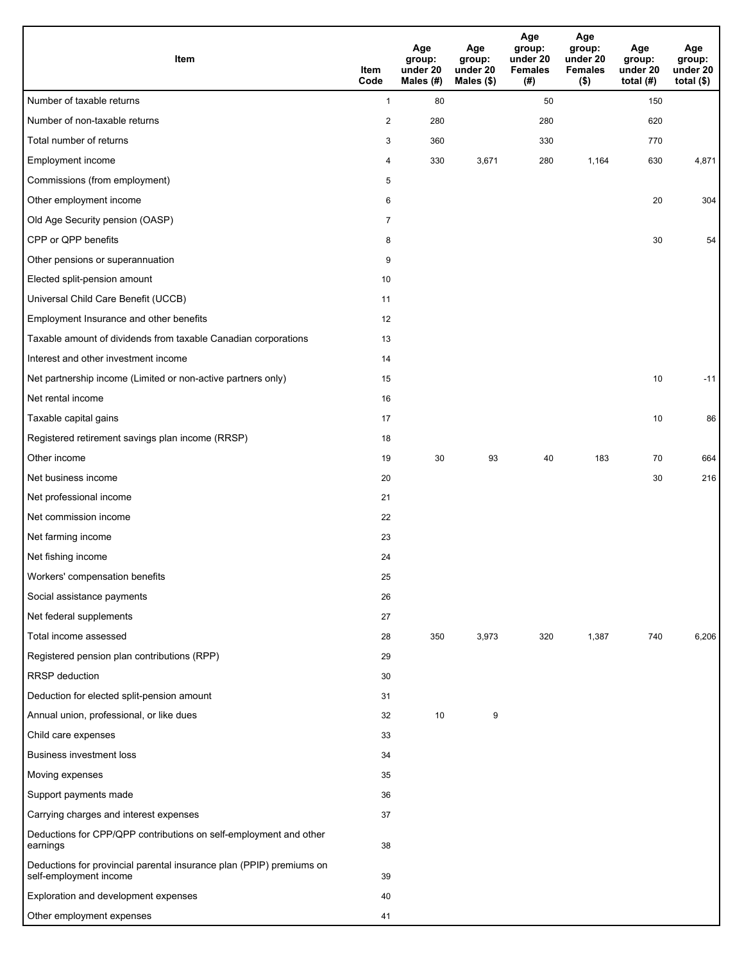| <b>Item</b>                                                                                    | Item<br>Code   | Age<br>group:<br>under 20<br>Males (#) | Age<br>group:<br>under 20<br>Males $(\$)$ | Age<br>group:<br>under 20<br><b>Females</b><br>(#) | Age<br>group:<br>under 20<br><b>Females</b><br>$($ \$) | Age<br>group:<br>under 20<br>total $(H)$ | Age<br>group:<br>under 20<br>total $($)$ |
|------------------------------------------------------------------------------------------------|----------------|----------------------------------------|-------------------------------------------|----------------------------------------------------|--------------------------------------------------------|------------------------------------------|------------------------------------------|
| Number of taxable returns                                                                      | $\mathbf{1}$   | 80                                     |                                           | 50                                                 |                                                        | 150                                      |                                          |
| Number of non-taxable returns                                                                  | 2              | 280                                    |                                           | 280                                                |                                                        | 620                                      |                                          |
| Total number of returns                                                                        | 3              | 360                                    |                                           | 330                                                |                                                        | 770                                      |                                          |
| Employment income                                                                              | 4              | 330                                    | 3,671                                     | 280                                                | 1,164                                                  | 630                                      | 4,871                                    |
| Commissions (from employment)                                                                  | 5              |                                        |                                           |                                                    |                                                        |                                          |                                          |
| Other employment income                                                                        | 6              |                                        |                                           |                                                    |                                                        | 20                                       | 304                                      |
| Old Age Security pension (OASP)                                                                | $\overline{7}$ |                                        |                                           |                                                    |                                                        |                                          |                                          |
| CPP or QPP benefits                                                                            | 8              |                                        |                                           |                                                    |                                                        | 30                                       | 54                                       |
| Other pensions or superannuation                                                               | 9              |                                        |                                           |                                                    |                                                        |                                          |                                          |
| Elected split-pension amount                                                                   | 10             |                                        |                                           |                                                    |                                                        |                                          |                                          |
| Universal Child Care Benefit (UCCB)                                                            | 11             |                                        |                                           |                                                    |                                                        |                                          |                                          |
| Employment Insurance and other benefits                                                        | 12             |                                        |                                           |                                                    |                                                        |                                          |                                          |
| Taxable amount of dividends from taxable Canadian corporations                                 | 13             |                                        |                                           |                                                    |                                                        |                                          |                                          |
| Interest and other investment income                                                           | 14             |                                        |                                           |                                                    |                                                        |                                          |                                          |
| Net partnership income (Limited or non-active partners only)                                   | 15             |                                        |                                           |                                                    |                                                        | 10                                       | $-11$                                    |
| Net rental income                                                                              | 16             |                                        |                                           |                                                    |                                                        |                                          |                                          |
| Taxable capital gains                                                                          | 17             |                                        |                                           |                                                    |                                                        | 10                                       | 86                                       |
| Registered retirement savings plan income (RRSP)                                               | 18             |                                        |                                           |                                                    |                                                        |                                          |                                          |
| Other income                                                                                   | 19             | 30                                     | 93                                        | 40                                                 | 183                                                    | 70                                       | 664                                      |
| Net business income                                                                            | 20             |                                        |                                           |                                                    |                                                        | 30                                       | 216                                      |
| Net professional income                                                                        | 21             |                                        |                                           |                                                    |                                                        |                                          |                                          |
| Net commission income                                                                          | 22             |                                        |                                           |                                                    |                                                        |                                          |                                          |
| Net farming income                                                                             | 23             |                                        |                                           |                                                    |                                                        |                                          |                                          |
| Net fishing income                                                                             | 24             |                                        |                                           |                                                    |                                                        |                                          |                                          |
| Workers' compensation benefits                                                                 | 25             |                                        |                                           |                                                    |                                                        |                                          |                                          |
| Social assistance payments                                                                     | 26             |                                        |                                           |                                                    |                                                        |                                          |                                          |
| Net federal supplements                                                                        | 27             |                                        |                                           |                                                    |                                                        |                                          |                                          |
| Total income assessed                                                                          | 28             | 350                                    | 3,973                                     | 320                                                | 1,387                                                  | 740                                      | 6,206                                    |
| Registered pension plan contributions (RPP)                                                    | 29             |                                        |                                           |                                                    |                                                        |                                          |                                          |
| RRSP deduction                                                                                 | 30             |                                        |                                           |                                                    |                                                        |                                          |                                          |
| Deduction for elected split-pension amount                                                     | 31             |                                        |                                           |                                                    |                                                        |                                          |                                          |
| Annual union, professional, or like dues                                                       | 32             | 10                                     | 9                                         |                                                    |                                                        |                                          |                                          |
| Child care expenses                                                                            | 33             |                                        |                                           |                                                    |                                                        |                                          |                                          |
| Business investment loss                                                                       | 34             |                                        |                                           |                                                    |                                                        |                                          |                                          |
| Moving expenses                                                                                | 35             |                                        |                                           |                                                    |                                                        |                                          |                                          |
| Support payments made                                                                          | 36             |                                        |                                           |                                                    |                                                        |                                          |                                          |
| Carrying charges and interest expenses                                                         | 37             |                                        |                                           |                                                    |                                                        |                                          |                                          |
| Deductions for CPP/QPP contributions on self-employment and other<br>earnings                  | 38             |                                        |                                           |                                                    |                                                        |                                          |                                          |
| Deductions for provincial parental insurance plan (PPIP) premiums on<br>self-employment income | 39             |                                        |                                           |                                                    |                                                        |                                          |                                          |
| Exploration and development expenses                                                           | 40             |                                        |                                           |                                                    |                                                        |                                          |                                          |
| Other employment expenses                                                                      | 41             |                                        |                                           |                                                    |                                                        |                                          |                                          |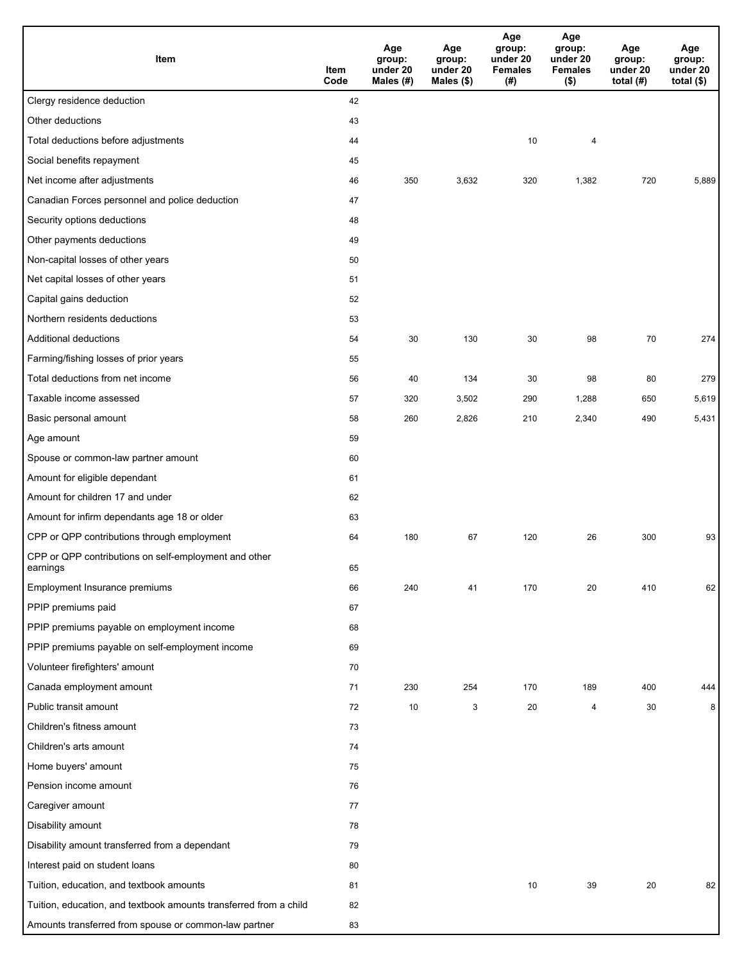| Item                                                              | Item<br>Code | Age<br>group:<br>under 20<br>Males (#) | Age<br>group:<br>under 20<br>Males (\$) | Age<br>group:<br>under 20<br><b>Females</b><br>(# ) | Age<br>group:<br>under 20<br><b>Females</b><br>$($ \$) | Age<br>group:<br>under 20<br>total $(H)$ | Age<br>group:<br>under 20<br>total $($)$ |
|-------------------------------------------------------------------|--------------|----------------------------------------|-----------------------------------------|-----------------------------------------------------|--------------------------------------------------------|------------------------------------------|------------------------------------------|
| Clergy residence deduction                                        | 42           |                                        |                                         |                                                     |                                                        |                                          |                                          |
| Other deductions                                                  | 43           |                                        |                                         |                                                     |                                                        |                                          |                                          |
| Total deductions before adjustments                               | 44           |                                        |                                         | 10                                                  | 4                                                      |                                          |                                          |
| Social benefits repayment                                         | 45           |                                        |                                         |                                                     |                                                        |                                          |                                          |
| Net income after adjustments                                      | 46           | 350                                    | 3,632                                   | 320                                                 | 1,382                                                  | 720                                      | 5,889                                    |
| Canadian Forces personnel and police deduction                    | 47           |                                        |                                         |                                                     |                                                        |                                          |                                          |
| Security options deductions                                       | 48           |                                        |                                         |                                                     |                                                        |                                          |                                          |
| Other payments deductions                                         | 49           |                                        |                                         |                                                     |                                                        |                                          |                                          |
| Non-capital losses of other years                                 | 50           |                                        |                                         |                                                     |                                                        |                                          |                                          |
| Net capital losses of other years                                 | 51           |                                        |                                         |                                                     |                                                        |                                          |                                          |
| Capital gains deduction                                           | 52           |                                        |                                         |                                                     |                                                        |                                          |                                          |
| Northern residents deductions                                     | 53           |                                        |                                         |                                                     |                                                        |                                          |                                          |
| Additional deductions                                             | 54           | 30                                     | 130                                     | 30                                                  | 98                                                     | 70                                       | 274                                      |
| Farming/fishing losses of prior years                             | 55           |                                        |                                         |                                                     |                                                        |                                          |                                          |
| Total deductions from net income                                  | 56           | 40                                     | 134                                     | 30                                                  | 98                                                     | 80                                       | 279                                      |
| Taxable income assessed                                           | 57           | 320                                    | 3,502                                   | 290                                                 | 1,288                                                  | 650                                      | 5,619                                    |
| Basic personal amount                                             | 58           | 260                                    | 2,826                                   | 210                                                 | 2,340                                                  | 490                                      | 5,431                                    |
| Age amount                                                        | 59           |                                        |                                         |                                                     |                                                        |                                          |                                          |
| Spouse or common-law partner amount                               | 60           |                                        |                                         |                                                     |                                                        |                                          |                                          |
| Amount for eligible dependant                                     | 61           |                                        |                                         |                                                     |                                                        |                                          |                                          |
| Amount for children 17 and under                                  | 62           |                                        |                                         |                                                     |                                                        |                                          |                                          |
| Amount for infirm dependants age 18 or older                      | 63           |                                        |                                         |                                                     |                                                        |                                          |                                          |
| CPP or QPP contributions through employment                       | 64           | 180                                    | 67                                      | 120                                                 | 26                                                     | 300                                      | 93                                       |
| CPP or QPP contributions on self-employment and other<br>earnings | 65           |                                        |                                         |                                                     |                                                        |                                          |                                          |
| Employment Insurance premiums                                     | 66           | 240                                    | 41                                      | 170                                                 | 20                                                     | 410                                      | 62                                       |
| PPIP premiums paid                                                | 67           |                                        |                                         |                                                     |                                                        |                                          |                                          |
| PPIP premiums payable on employment income                        | 68           |                                        |                                         |                                                     |                                                        |                                          |                                          |
| PPIP premiums payable on self-employment income                   | 69           |                                        |                                         |                                                     |                                                        |                                          |                                          |
| Volunteer firefighters' amount                                    | 70           |                                        |                                         |                                                     |                                                        |                                          |                                          |
| Canada employment amount                                          | 71           | 230                                    | 254                                     | 170                                                 | 189                                                    | 400                                      | 444                                      |
| Public transit amount                                             | 72           | 10                                     | 3                                       | 20                                                  | $\overline{4}$                                         | 30                                       | 8                                        |
| Children's fitness amount                                         | 73           |                                        |                                         |                                                     |                                                        |                                          |                                          |
| Children's arts amount                                            | 74           |                                        |                                         |                                                     |                                                        |                                          |                                          |
| Home buyers' amount                                               | 75           |                                        |                                         |                                                     |                                                        |                                          |                                          |
| Pension income amount                                             | 76           |                                        |                                         |                                                     |                                                        |                                          |                                          |
| Caregiver amount                                                  | 77           |                                        |                                         |                                                     |                                                        |                                          |                                          |
| Disability amount                                                 | 78           |                                        |                                         |                                                     |                                                        |                                          |                                          |
| Disability amount transferred from a dependant                    | 79           |                                        |                                         |                                                     |                                                        |                                          |                                          |
| Interest paid on student loans                                    | 80           |                                        |                                         |                                                     |                                                        |                                          |                                          |
| Tuition, education, and textbook amounts                          | 81           |                                        |                                         | 10                                                  | 39                                                     | 20                                       | 82                                       |
| Tuition, education, and textbook amounts transferred from a child | 82           |                                        |                                         |                                                     |                                                        |                                          |                                          |
| Amounts transferred from spouse or common-law partner             | 83           |                                        |                                         |                                                     |                                                        |                                          |                                          |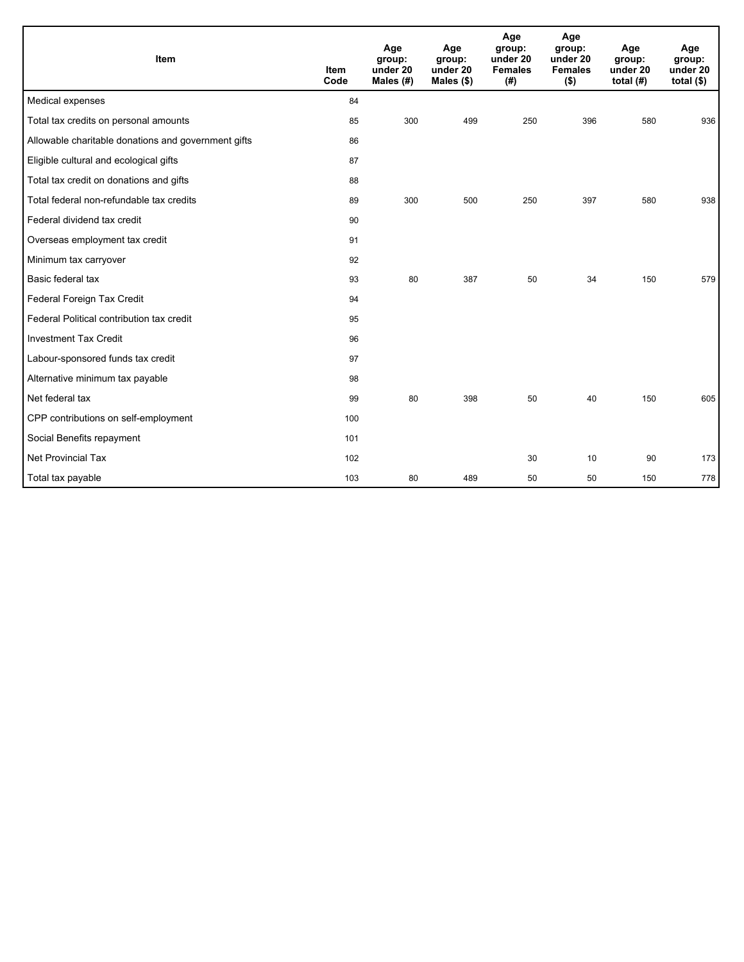| Item                                                | <b>Item</b><br>Code | Age<br>group:<br>under 20<br>Males (#) | Age<br>group:<br>under 20<br>Males $(\$)$ | Age<br>group:<br>under 20<br><b>Females</b><br>(# ) | Age<br>group:<br>under 20<br><b>Females</b><br>$($ \$) | Age<br>group:<br>under 20<br>total $(H)$ | Age<br>group:<br>under 20<br>total $($)$ |
|-----------------------------------------------------|---------------------|----------------------------------------|-------------------------------------------|-----------------------------------------------------|--------------------------------------------------------|------------------------------------------|------------------------------------------|
| Medical expenses                                    | 84                  |                                        |                                           |                                                     |                                                        |                                          |                                          |
| Total tax credits on personal amounts               | 85                  | 300                                    | 499                                       | 250                                                 | 396                                                    | 580                                      | 936                                      |
| Allowable charitable donations and government gifts | 86                  |                                        |                                           |                                                     |                                                        |                                          |                                          |
| Eligible cultural and ecological gifts              | 87                  |                                        |                                           |                                                     |                                                        |                                          |                                          |
| Total tax credit on donations and gifts             | 88                  |                                        |                                           |                                                     |                                                        |                                          |                                          |
| Total federal non-refundable tax credits            | 89                  | 300                                    | 500                                       | 250                                                 | 397                                                    | 580                                      | 938                                      |
| Federal dividend tax credit                         | 90                  |                                        |                                           |                                                     |                                                        |                                          |                                          |
| Overseas employment tax credit                      | 91                  |                                        |                                           |                                                     |                                                        |                                          |                                          |
| Minimum tax carryover                               | 92                  |                                        |                                           |                                                     |                                                        |                                          |                                          |
| Basic federal tax                                   | 93                  | 80                                     | 387                                       | 50                                                  | 34                                                     | 150                                      | 579                                      |
| Federal Foreign Tax Credit                          | 94                  |                                        |                                           |                                                     |                                                        |                                          |                                          |
| Federal Political contribution tax credit           | 95                  |                                        |                                           |                                                     |                                                        |                                          |                                          |
| <b>Investment Tax Credit</b>                        | 96                  |                                        |                                           |                                                     |                                                        |                                          |                                          |
| Labour-sponsored funds tax credit                   | 97                  |                                        |                                           |                                                     |                                                        |                                          |                                          |
| Alternative minimum tax payable                     | 98                  |                                        |                                           |                                                     |                                                        |                                          |                                          |
| Net federal tax                                     | 99                  | 80                                     | 398                                       | 50                                                  | 40                                                     | 150                                      | 605                                      |
| CPP contributions on self-employment                | 100                 |                                        |                                           |                                                     |                                                        |                                          |                                          |
| Social Benefits repayment                           | 101                 |                                        |                                           |                                                     |                                                        |                                          |                                          |
| Net Provincial Tax                                  | 102                 |                                        |                                           | 30                                                  | 10                                                     | 90                                       | 173                                      |
| Total tax payable                                   | 103                 | 80                                     | 489                                       | 50                                                  | 50                                                     | 150                                      | 778                                      |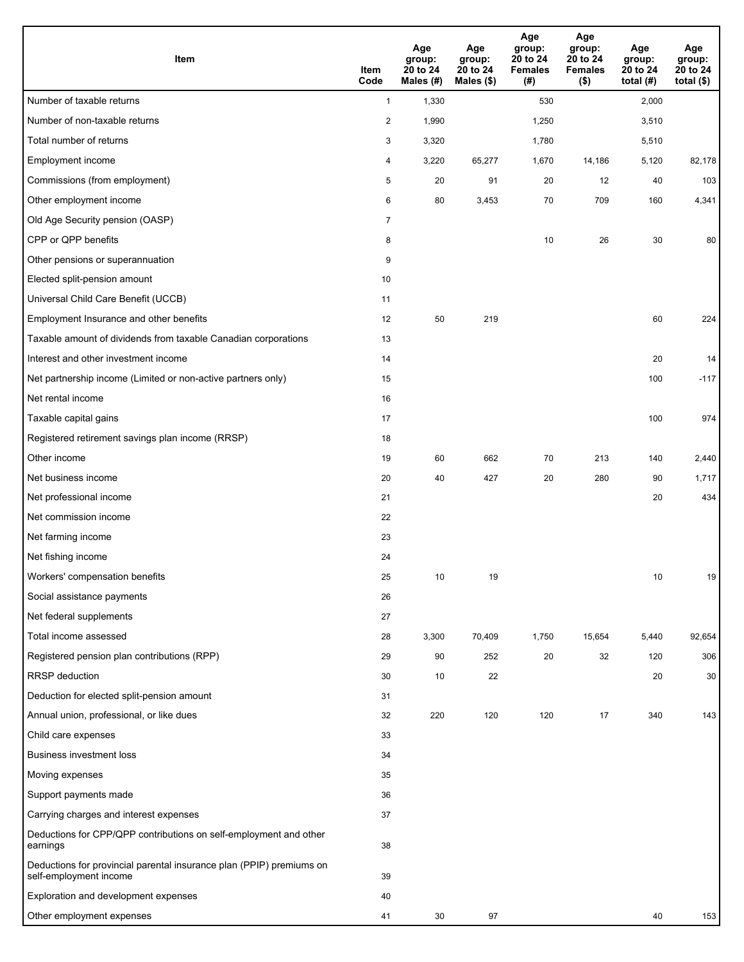| Item                                                                                           | Item<br>Code   | Age<br>group:<br>20 to 24<br>Males (#) | Age<br>group:<br>20 to 24<br>Males (\$) | Age<br>group:<br>20 to 24<br><b>Females</b><br>(# ) | Age<br>group:<br>20 to 24<br><b>Females</b><br>$($ \$) | Age<br>group:<br>20 to 24<br>total $(H)$ | Age<br>group:<br>20 to 24<br>total $($)$ |
|------------------------------------------------------------------------------------------------|----------------|----------------------------------------|-----------------------------------------|-----------------------------------------------------|--------------------------------------------------------|------------------------------------------|------------------------------------------|
| Number of taxable returns                                                                      | $\mathbf{1}$   | 1,330                                  |                                         | 530                                                 |                                                        | 2,000                                    |                                          |
| Number of non-taxable returns                                                                  | $\overline{2}$ | 1,990                                  |                                         | 1,250                                               |                                                        | 3,510                                    |                                          |
| Total number of returns                                                                        | 3              | 3,320                                  |                                         | 1,780                                               |                                                        | 5,510                                    |                                          |
| Employment income                                                                              | 4              | 3,220                                  | 65,277                                  | 1,670                                               | 14,186                                                 | 5,120                                    | 82,178                                   |
| Commissions (from employment)                                                                  | 5              | 20                                     | 91                                      | 20                                                  | 12                                                     | 40                                       | 103                                      |
| Other employment income                                                                        | 6              | 80                                     | 3,453                                   | 70                                                  | 709                                                    | 160                                      | 4,341                                    |
| Old Age Security pension (OASP)                                                                | $\overline{7}$ |                                        |                                         |                                                     |                                                        |                                          |                                          |
| CPP or QPP benefits                                                                            | 8              |                                        |                                         | 10                                                  | 26                                                     | 30                                       | 80                                       |
| Other pensions or superannuation                                                               | 9              |                                        |                                         |                                                     |                                                        |                                          |                                          |
| Elected split-pension amount                                                                   | 10             |                                        |                                         |                                                     |                                                        |                                          |                                          |
| Universal Child Care Benefit (UCCB)                                                            | 11             |                                        |                                         |                                                     |                                                        |                                          |                                          |
| Employment Insurance and other benefits                                                        | 12             | 50                                     | 219                                     |                                                     |                                                        | 60                                       | 224                                      |
| Taxable amount of dividends from taxable Canadian corporations                                 | 13             |                                        |                                         |                                                     |                                                        |                                          |                                          |
| Interest and other investment income                                                           | 14             |                                        |                                         |                                                     |                                                        | 20                                       | 14                                       |
| Net partnership income (Limited or non-active partners only)                                   | 15             |                                        |                                         |                                                     |                                                        | 100                                      | $-117$                                   |
| Net rental income                                                                              | 16             |                                        |                                         |                                                     |                                                        |                                          |                                          |
| Taxable capital gains                                                                          | 17             |                                        |                                         |                                                     |                                                        | 100                                      | 974                                      |
| Registered retirement savings plan income (RRSP)                                               | 18             |                                        |                                         |                                                     |                                                        |                                          |                                          |
| Other income                                                                                   | 19             | 60                                     | 662                                     | 70                                                  | 213                                                    | 140                                      | 2,440                                    |
| Net business income                                                                            | 20             | 40                                     | 427                                     | 20                                                  | 280                                                    | 90                                       | 1,717                                    |
| Net professional income                                                                        | 21             |                                        |                                         |                                                     |                                                        | 20                                       | 434                                      |
| Net commission income                                                                          | 22             |                                        |                                         |                                                     |                                                        |                                          |                                          |
| Net farming income                                                                             | 23             |                                        |                                         |                                                     |                                                        |                                          |                                          |
| Net fishing income                                                                             | 24             |                                        |                                         |                                                     |                                                        |                                          |                                          |
| Workers' compensation benefits                                                                 | 25             | 10                                     | 19                                      |                                                     |                                                        | 10                                       | 19                                       |
| Social assistance payments                                                                     | 26             |                                        |                                         |                                                     |                                                        |                                          |                                          |
| Net federal supplements                                                                        | 27             |                                        |                                         |                                                     |                                                        |                                          |                                          |
| Total income assessed                                                                          | 28             | 3,300                                  | 70,409                                  | 1,750                                               | 15,654                                                 | 5,440                                    | 92,654                                   |
| Registered pension plan contributions (RPP)                                                    | 29             | 90                                     | 252                                     | 20                                                  | 32                                                     | 120                                      | 306                                      |
| <b>RRSP</b> deduction                                                                          | 30             | 10                                     | 22                                      |                                                     |                                                        | 20                                       | 30                                       |
| Deduction for elected split-pension amount                                                     | 31             |                                        |                                         |                                                     |                                                        |                                          |                                          |
| Annual union, professional, or like dues                                                       | 32             | 220                                    | 120                                     | 120                                                 | 17                                                     | 340                                      | 143                                      |
| Child care expenses                                                                            | 33             |                                        |                                         |                                                     |                                                        |                                          |                                          |
| Business investment loss                                                                       | 34             |                                        |                                         |                                                     |                                                        |                                          |                                          |
| Moving expenses                                                                                | 35             |                                        |                                         |                                                     |                                                        |                                          |                                          |
| Support payments made                                                                          | 36             |                                        |                                         |                                                     |                                                        |                                          |                                          |
| Carrying charges and interest expenses                                                         | 37             |                                        |                                         |                                                     |                                                        |                                          |                                          |
| Deductions for CPP/QPP contributions on self-employment and other<br>earnings                  | 38             |                                        |                                         |                                                     |                                                        |                                          |                                          |
| Deductions for provincial parental insurance plan (PPIP) premiums on<br>self-employment income | 39             |                                        |                                         |                                                     |                                                        |                                          |                                          |
| Exploration and development expenses                                                           | 40             |                                        |                                         |                                                     |                                                        |                                          |                                          |
| Other employment expenses                                                                      | 41             | 30                                     | 97                                      |                                                     |                                                        | 40                                       | 153                                      |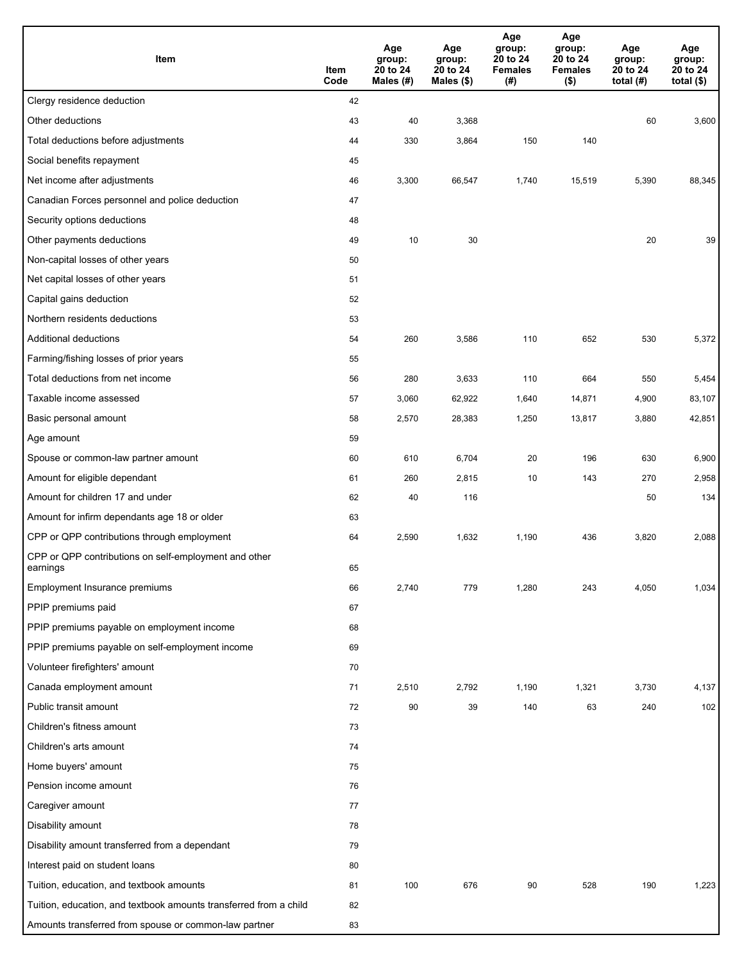| Item                                                              | Item<br>Code | Age<br>group:<br>20 to 24<br>Males (#) | Age<br>group:<br>20 to 24<br>Males (\$) | Age<br>group:<br>20 to 24<br><b>Females</b><br>(#) | Age<br>group:<br>20 to 24<br><b>Females</b><br>$($ \$) | Age<br>group:<br>20 to 24<br>total $(#)$ | Age<br>group:<br>20 to 24<br>total $($)$ |
|-------------------------------------------------------------------|--------------|----------------------------------------|-----------------------------------------|----------------------------------------------------|--------------------------------------------------------|------------------------------------------|------------------------------------------|
| Clergy residence deduction                                        | 42           |                                        |                                         |                                                    |                                                        |                                          |                                          |
| Other deductions                                                  | 43           | 40                                     | 3,368                                   |                                                    |                                                        | 60                                       | 3,600                                    |
| Total deductions before adjustments                               | 44           | 330                                    | 3,864                                   | 150                                                | 140                                                    |                                          |                                          |
| Social benefits repayment                                         | 45           |                                        |                                         |                                                    |                                                        |                                          |                                          |
| Net income after adjustments                                      | 46           | 3,300                                  | 66,547                                  | 1,740                                              | 15,519                                                 | 5,390                                    | 88,345                                   |
| Canadian Forces personnel and police deduction                    | 47           |                                        |                                         |                                                    |                                                        |                                          |                                          |
| Security options deductions                                       | 48           |                                        |                                         |                                                    |                                                        |                                          |                                          |
| Other payments deductions                                         | 49           | 10                                     | 30                                      |                                                    |                                                        | 20                                       | 39                                       |
| Non-capital losses of other years                                 | 50           |                                        |                                         |                                                    |                                                        |                                          |                                          |
| Net capital losses of other years                                 | 51           |                                        |                                         |                                                    |                                                        |                                          |                                          |
| Capital gains deduction                                           | 52           |                                        |                                         |                                                    |                                                        |                                          |                                          |
| Northern residents deductions                                     | 53           |                                        |                                         |                                                    |                                                        |                                          |                                          |
| Additional deductions                                             | 54           | 260                                    | 3,586                                   | 110                                                | 652                                                    | 530                                      | 5,372                                    |
| Farming/fishing losses of prior years                             | 55           |                                        |                                         |                                                    |                                                        |                                          |                                          |
| Total deductions from net income                                  | 56           | 280                                    | 3,633                                   | 110                                                | 664                                                    | 550                                      | 5,454                                    |
| Taxable income assessed                                           | 57           | 3,060                                  | 62,922                                  | 1,640                                              | 14,871                                                 | 4,900                                    | 83,107                                   |
| Basic personal amount                                             | 58           | 2,570                                  | 28,383                                  | 1,250                                              | 13,817                                                 | 3,880                                    | 42,851                                   |
| Age amount                                                        | 59           |                                        |                                         |                                                    |                                                        |                                          |                                          |
| Spouse or common-law partner amount                               | 60           | 610                                    | 6,704                                   | 20                                                 | 196                                                    | 630                                      | 6,900                                    |
| Amount for eligible dependant                                     | 61           | 260                                    | 2,815                                   | 10                                                 | 143                                                    | 270                                      | 2,958                                    |
| Amount for children 17 and under                                  | 62           | 40                                     | 116                                     |                                                    |                                                        | 50                                       | 134                                      |
| Amount for infirm dependants age 18 or older                      | 63           |                                        |                                         |                                                    |                                                        |                                          |                                          |
| CPP or QPP contributions through employment                       | 64           | 2,590                                  | 1,632                                   | 1,190                                              | 436                                                    | 3,820                                    | 2,088                                    |
| CPP or QPP contributions on self-employment and other<br>earnings | 65           |                                        |                                         |                                                    |                                                        |                                          |                                          |
| Employment Insurance premiums                                     | 66           | 2,740                                  | 779                                     | 1,280                                              | 243                                                    | 4,050                                    | 1,034                                    |
| PPIP premiums paid                                                | 67           |                                        |                                         |                                                    |                                                        |                                          |                                          |
| PPIP premiums payable on employment income                        | 68           |                                        |                                         |                                                    |                                                        |                                          |                                          |
| PPIP premiums payable on self-employment income                   | 69           |                                        |                                         |                                                    |                                                        |                                          |                                          |
| Volunteer firefighters' amount                                    | 70           |                                        |                                         |                                                    |                                                        |                                          |                                          |
| Canada employment amount                                          | 71           | 2,510                                  | 2,792                                   | 1,190                                              | 1,321                                                  | 3,730                                    | 4,137                                    |
| Public transit amount                                             | 72           | 90                                     | 39                                      | 140                                                | 63                                                     | 240                                      | 102                                      |
| Children's fitness amount                                         | 73           |                                        |                                         |                                                    |                                                        |                                          |                                          |
| Children's arts amount                                            | 74           |                                        |                                         |                                                    |                                                        |                                          |                                          |
| Home buyers' amount                                               | 75           |                                        |                                         |                                                    |                                                        |                                          |                                          |
| Pension income amount                                             | 76           |                                        |                                         |                                                    |                                                        |                                          |                                          |
| Caregiver amount                                                  | 77           |                                        |                                         |                                                    |                                                        |                                          |                                          |
| Disability amount                                                 | 78           |                                        |                                         |                                                    |                                                        |                                          |                                          |
| Disability amount transferred from a dependant                    | 79           |                                        |                                         |                                                    |                                                        |                                          |                                          |
| Interest paid on student loans                                    | 80           |                                        |                                         |                                                    |                                                        |                                          |                                          |
| Tuition, education, and textbook amounts                          | 81           | 100                                    | 676                                     | 90                                                 | 528                                                    | 190                                      | 1,223                                    |
| Tuition, education, and textbook amounts transferred from a child | 82           |                                        |                                         |                                                    |                                                        |                                          |                                          |
| Amounts transferred from spouse or common-law partner             | 83           |                                        |                                         |                                                    |                                                        |                                          |                                          |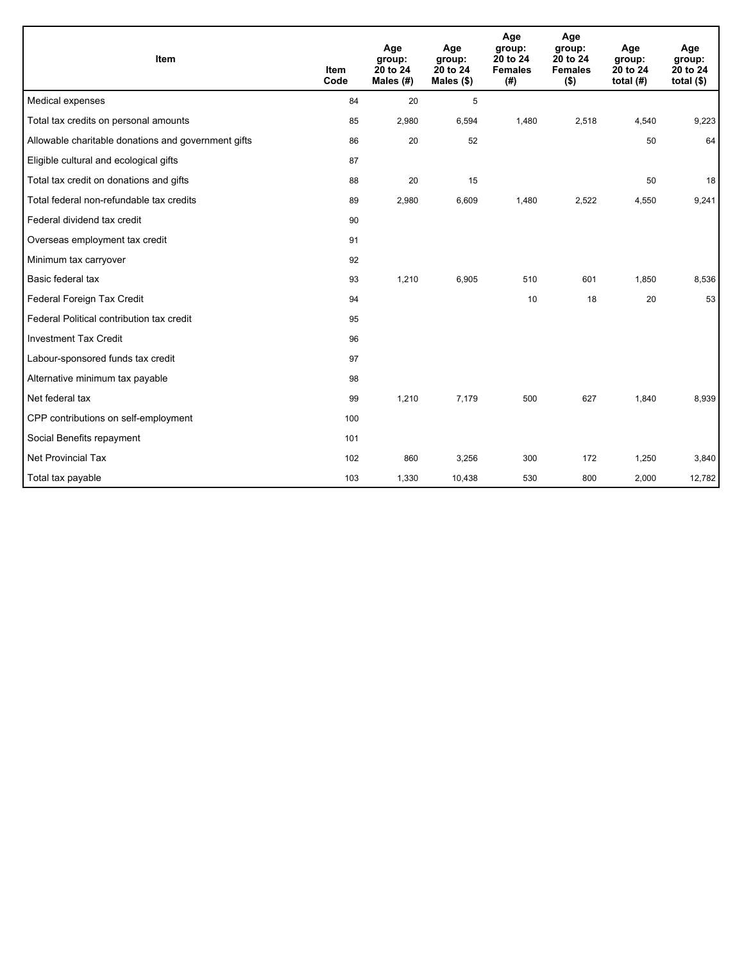| <b>Item</b>                                         | <b>Item</b><br>Code | Age<br>group:<br>20 to 24<br>Males $(H)$ | Age<br>group:<br>20 to 24<br>Males $(\$)$ | Age<br>group:<br>20 to 24<br><b>Females</b><br>(# ) | Age<br>group:<br>20 to 24<br><b>Females</b><br>$($ \$) | Age<br>group:<br>20 to 24<br>total $(H)$ | Age<br>group:<br>20 to 24<br>total $($)$ |
|-----------------------------------------------------|---------------------|------------------------------------------|-------------------------------------------|-----------------------------------------------------|--------------------------------------------------------|------------------------------------------|------------------------------------------|
| Medical expenses                                    | 84                  | 20                                       | 5                                         |                                                     |                                                        |                                          |                                          |
| Total tax credits on personal amounts               | 85                  | 2,980                                    | 6,594                                     | 1,480                                               | 2,518                                                  | 4,540                                    | 9,223                                    |
| Allowable charitable donations and government gifts | 86                  | 20                                       | 52                                        |                                                     |                                                        | 50                                       | 64                                       |
| Eligible cultural and ecological gifts              | 87                  |                                          |                                           |                                                     |                                                        |                                          |                                          |
| Total tax credit on donations and gifts             | 88                  | 20                                       | 15                                        |                                                     |                                                        | 50                                       | 18                                       |
| Total federal non-refundable tax credits            | 89                  | 2,980                                    | 6,609                                     | 1,480                                               | 2,522                                                  | 4,550                                    | 9,241                                    |
| Federal dividend tax credit                         | 90                  |                                          |                                           |                                                     |                                                        |                                          |                                          |
| Overseas employment tax credit                      | 91                  |                                          |                                           |                                                     |                                                        |                                          |                                          |
| Minimum tax carryover                               | 92                  |                                          |                                           |                                                     |                                                        |                                          |                                          |
| Basic federal tax                                   | 93                  | 1,210                                    | 6,905                                     | 510                                                 | 601                                                    | 1,850                                    | 8,536                                    |
| Federal Foreign Tax Credit                          | 94                  |                                          |                                           | 10                                                  | 18                                                     | 20                                       | 53                                       |
| Federal Political contribution tax credit           | 95                  |                                          |                                           |                                                     |                                                        |                                          |                                          |
| <b>Investment Tax Credit</b>                        | 96                  |                                          |                                           |                                                     |                                                        |                                          |                                          |
| Labour-sponsored funds tax credit                   | 97                  |                                          |                                           |                                                     |                                                        |                                          |                                          |
| Alternative minimum tax payable                     | 98                  |                                          |                                           |                                                     |                                                        |                                          |                                          |
| Net federal tax                                     | 99                  | 1,210                                    | 7.179                                     | 500                                                 | 627                                                    | 1,840                                    | 8,939                                    |
| CPP contributions on self-employment                | 100                 |                                          |                                           |                                                     |                                                        |                                          |                                          |
| Social Benefits repayment                           | 101                 |                                          |                                           |                                                     |                                                        |                                          |                                          |
| <b>Net Provincial Tax</b>                           | 102                 | 860                                      | 3,256                                     | 300                                                 | 172                                                    | 1,250                                    | 3,840                                    |
| Total tax payable                                   | 103                 | 1,330                                    | 10,438                                    | 530                                                 | 800                                                    | 2,000                                    | 12,782                                   |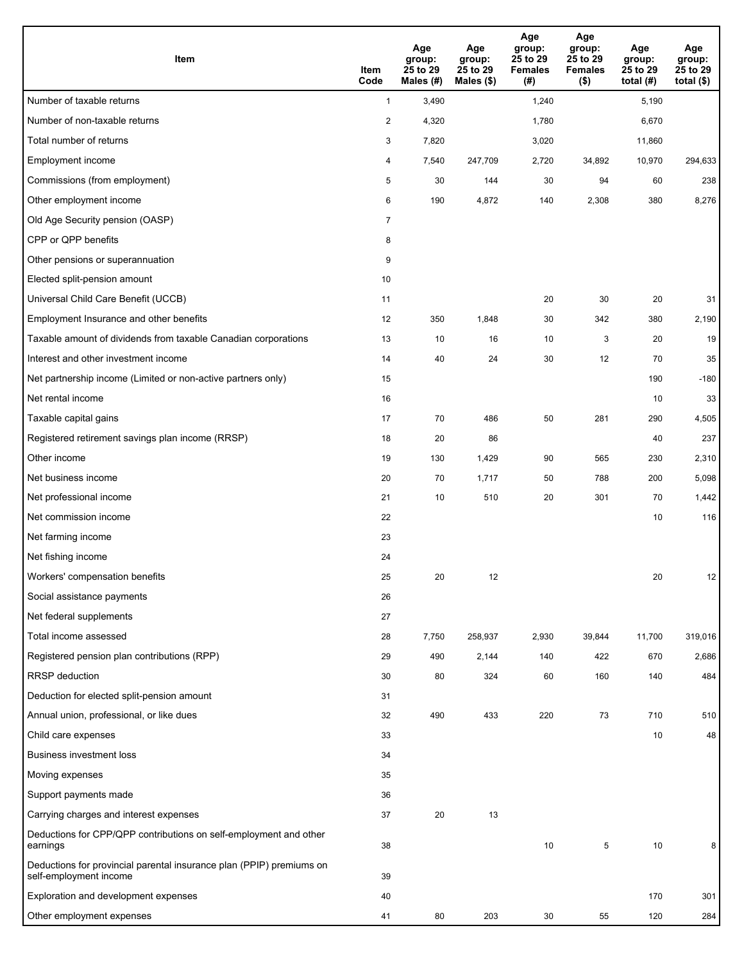| Item                                                                                           | Item<br>Code   | Age<br>group:<br>25 to 29<br>Males (#) | Age<br>group:<br>25 to 29<br>Males (\$) | Age<br>group:<br>25 to 29<br><b>Females</b><br>(# ) | Age<br>group:<br>25 to 29<br><b>Females</b><br>$($ \$) | Age<br>group:<br>25 to 29<br>total $(#)$ | Age<br>group:<br>25 to 29<br>total $($)$ |
|------------------------------------------------------------------------------------------------|----------------|----------------------------------------|-----------------------------------------|-----------------------------------------------------|--------------------------------------------------------|------------------------------------------|------------------------------------------|
| Number of taxable returns                                                                      | $\mathbf{1}$   | 3,490                                  |                                         | 1,240                                               |                                                        | 5,190                                    |                                          |
| Number of non-taxable returns                                                                  | $\overline{2}$ | 4,320                                  |                                         | 1,780                                               |                                                        | 6,670                                    |                                          |
| Total number of returns                                                                        | 3              | 7,820                                  |                                         | 3,020                                               |                                                        | 11,860                                   |                                          |
| Employment income                                                                              | 4              | 7,540                                  | 247,709                                 | 2,720                                               | 34,892                                                 | 10,970                                   | 294,633                                  |
| Commissions (from employment)                                                                  | 5              | 30                                     | 144                                     | 30                                                  | 94                                                     | 60                                       | 238                                      |
| Other employment income                                                                        | 6              | 190                                    | 4,872                                   | 140                                                 | 2,308                                                  | 380                                      | 8,276                                    |
| Old Age Security pension (OASP)                                                                | $\overline{7}$ |                                        |                                         |                                                     |                                                        |                                          |                                          |
| CPP or QPP benefits                                                                            | 8              |                                        |                                         |                                                     |                                                        |                                          |                                          |
| Other pensions or superannuation                                                               | 9              |                                        |                                         |                                                     |                                                        |                                          |                                          |
| Elected split-pension amount                                                                   | 10             |                                        |                                         |                                                     |                                                        |                                          |                                          |
| Universal Child Care Benefit (UCCB)                                                            | 11             |                                        |                                         | 20                                                  | 30                                                     | 20                                       | 31                                       |
| Employment Insurance and other benefits                                                        | 12             | 350                                    | 1,848                                   | 30                                                  | 342                                                    | 380                                      | 2,190                                    |
| Taxable amount of dividends from taxable Canadian corporations                                 | 13             | 10                                     | 16                                      | 10                                                  | 3                                                      | 20                                       | 19                                       |
| Interest and other investment income                                                           | 14             | 40                                     | 24                                      | 30                                                  | 12                                                     | 70                                       | 35                                       |
| Net partnership income (Limited or non-active partners only)                                   | 15             |                                        |                                         |                                                     |                                                        | 190                                      | $-180$                                   |
| Net rental income                                                                              | 16             |                                        |                                         |                                                     |                                                        | 10                                       | 33                                       |
| Taxable capital gains                                                                          | 17             | 70                                     | 486                                     | 50                                                  | 281                                                    | 290                                      | 4,505                                    |
| Registered retirement savings plan income (RRSP)                                               | 18             | 20                                     | 86                                      |                                                     |                                                        | 40                                       | 237                                      |
| Other income                                                                                   | 19             | 130                                    | 1,429                                   | 90                                                  | 565                                                    | 230                                      | 2,310                                    |
| Net business income                                                                            | 20             | 70                                     | 1,717                                   | 50                                                  | 788                                                    | 200                                      | 5,098                                    |
| Net professional income                                                                        | 21             | 10                                     | 510                                     | 20                                                  | 301                                                    | 70                                       | 1,442                                    |
| Net commission income                                                                          | 22             |                                        |                                         |                                                     |                                                        | 10                                       | 116                                      |
| Net farming income                                                                             | 23             |                                        |                                         |                                                     |                                                        |                                          |                                          |
| Net fishing income                                                                             | 24             |                                        |                                         |                                                     |                                                        |                                          |                                          |
| Workers' compensation benefits                                                                 | 25             | 20                                     | 12                                      |                                                     |                                                        | 20                                       | 12                                       |
| Social assistance payments                                                                     | 26             |                                        |                                         |                                                     |                                                        |                                          |                                          |
| Net federal supplements                                                                        | 27             |                                        |                                         |                                                     |                                                        |                                          |                                          |
| Total income assessed                                                                          | 28             | 7,750                                  | 258,937                                 | 2,930                                               | 39,844                                                 | 11,700                                   | 319,016                                  |
| Registered pension plan contributions (RPP)                                                    | 29             | 490                                    | 2,144                                   | 140                                                 | 422                                                    | 670                                      | 2,686                                    |
| <b>RRSP</b> deduction                                                                          | 30             | 80                                     | 324                                     | 60                                                  | 160                                                    | 140                                      | 484                                      |
| Deduction for elected split-pension amount                                                     | 31             |                                        |                                         |                                                     |                                                        |                                          |                                          |
| Annual union, professional, or like dues                                                       | 32             | 490                                    | 433                                     | 220                                                 | 73                                                     | 710                                      | 510                                      |
| Child care expenses                                                                            | 33             |                                        |                                         |                                                     |                                                        | 10                                       | 48                                       |
| Business investment loss                                                                       | 34             |                                        |                                         |                                                     |                                                        |                                          |                                          |
| Moving expenses                                                                                | 35             |                                        |                                         |                                                     |                                                        |                                          |                                          |
| Support payments made                                                                          | 36             |                                        |                                         |                                                     |                                                        |                                          |                                          |
| Carrying charges and interest expenses                                                         | 37             | 20                                     | 13                                      |                                                     |                                                        |                                          |                                          |
| Deductions for CPP/QPP contributions on self-employment and other<br>earnings                  | 38             |                                        |                                         | 10                                                  | 5                                                      | 10                                       | 8                                        |
| Deductions for provincial parental insurance plan (PPIP) premiums on<br>self-employment income | 39             |                                        |                                         |                                                     |                                                        |                                          |                                          |
| Exploration and development expenses                                                           | 40             |                                        |                                         |                                                     |                                                        | 170                                      | 301                                      |
| Other employment expenses                                                                      | 41             | 80                                     | 203                                     | 30                                                  | 55                                                     | 120                                      | 284                                      |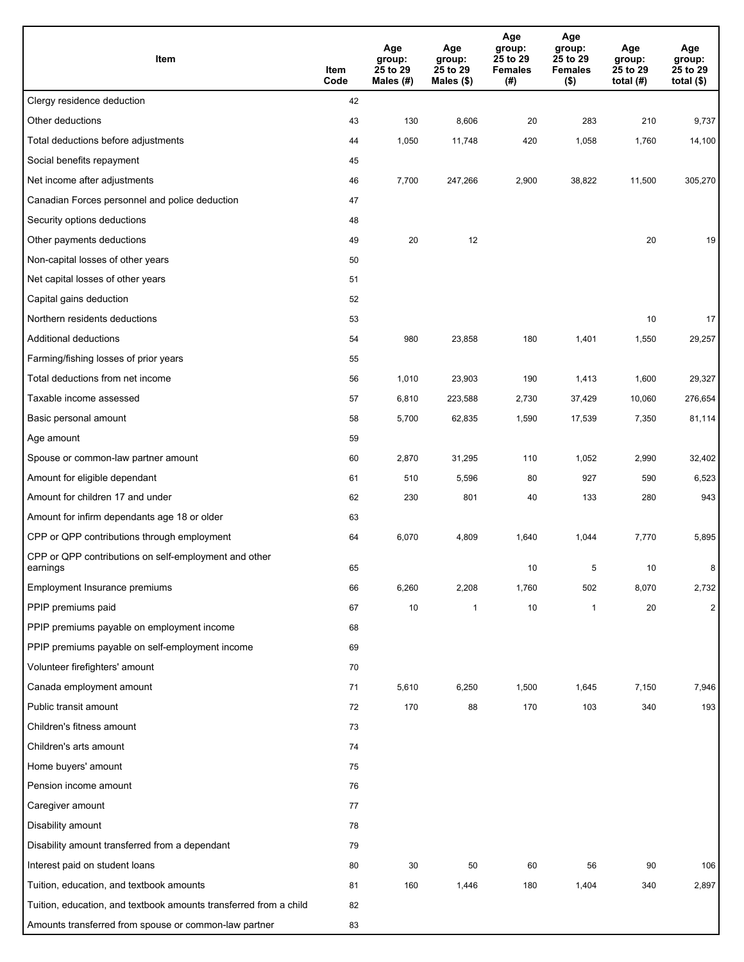| Item                                                              | Item<br>Code | Age<br>group:<br>25 to 29<br>Males $(H)$ | Age<br>group:<br>25 to 29<br>Males $(\$)$ | Age<br>group:<br>25 to 29<br><b>Females</b><br>(#) | Age<br>group:<br>25 to 29<br><b>Females</b><br>$($ \$) | Age<br>group:<br>25 to 29<br>total $(#)$ | Age<br>group:<br>25 to 29<br>total $($)$ |
|-------------------------------------------------------------------|--------------|------------------------------------------|-------------------------------------------|----------------------------------------------------|--------------------------------------------------------|------------------------------------------|------------------------------------------|
| Clergy residence deduction                                        | 42           |                                          |                                           |                                                    |                                                        |                                          |                                          |
| Other deductions                                                  | 43           | 130                                      | 8,606                                     | 20                                                 | 283                                                    | 210                                      | 9,737                                    |
| Total deductions before adjustments                               | 44           | 1,050                                    | 11,748                                    | 420                                                | 1,058                                                  | 1,760                                    | 14,100                                   |
| Social benefits repayment                                         | 45           |                                          |                                           |                                                    |                                                        |                                          |                                          |
| Net income after adjustments                                      | 46           | 7,700                                    | 247,266                                   | 2,900                                              | 38,822                                                 | 11,500                                   | 305,270                                  |
| Canadian Forces personnel and police deduction                    | 47           |                                          |                                           |                                                    |                                                        |                                          |                                          |
| Security options deductions                                       | 48           |                                          |                                           |                                                    |                                                        |                                          |                                          |
| Other payments deductions                                         | 49           | 20                                       | 12                                        |                                                    |                                                        | 20                                       | 19                                       |
| Non-capital losses of other years                                 | 50           |                                          |                                           |                                                    |                                                        |                                          |                                          |
| Net capital losses of other years                                 | 51           |                                          |                                           |                                                    |                                                        |                                          |                                          |
| Capital gains deduction                                           | 52           |                                          |                                           |                                                    |                                                        |                                          |                                          |
| Northern residents deductions                                     | 53           |                                          |                                           |                                                    |                                                        | 10                                       | 17                                       |
| Additional deductions                                             | 54           | 980                                      | 23,858                                    | 180                                                | 1,401                                                  | 1,550                                    | 29,257                                   |
| Farming/fishing losses of prior years                             | 55           |                                          |                                           |                                                    |                                                        |                                          |                                          |
| Total deductions from net income                                  | 56           | 1,010                                    | 23,903                                    | 190                                                | 1,413                                                  | 1,600                                    | 29,327                                   |
| Taxable income assessed                                           | 57           | 6,810                                    | 223,588                                   | 2,730                                              | 37,429                                                 | 10,060                                   | 276,654                                  |
| Basic personal amount                                             | 58           | 5,700                                    | 62,835                                    | 1,590                                              | 17,539                                                 | 7,350                                    | 81,114                                   |
| Age amount                                                        | 59           |                                          |                                           |                                                    |                                                        |                                          |                                          |
| Spouse or common-law partner amount                               | 60           | 2,870                                    | 31,295                                    | 110                                                | 1,052                                                  | 2,990                                    | 32,402                                   |
| Amount for eligible dependant                                     | 61           | 510                                      | 5,596                                     | 80                                                 | 927                                                    | 590                                      | 6,523                                    |
| Amount for children 17 and under                                  | 62           | 230                                      | 801                                       | 40                                                 | 133                                                    | 280                                      | 943                                      |
| Amount for infirm dependants age 18 or older                      | 63           |                                          |                                           |                                                    |                                                        |                                          |                                          |
| CPP or QPP contributions through employment                       | 64           | 6,070                                    | 4,809                                     | 1,640                                              | 1,044                                                  | 7,770                                    | 5,895                                    |
| CPP or QPP contributions on self-employment and other<br>earnings | 65           |                                          |                                           | 10                                                 | 5                                                      | 10                                       | 8                                        |
| Employment Insurance premiums                                     | 66           | 6,260                                    | 2,208                                     | 1,760                                              | 502                                                    | 8,070                                    | 2,732                                    |
| PPIP premiums paid                                                | 67           | $10\,$                                   | 1                                         | 10                                                 | 1                                                      | $20\,$                                   | $\overline{2}$                           |
| PPIP premiums payable on employment income                        | 68           |                                          |                                           |                                                    |                                                        |                                          |                                          |
| PPIP premiums payable on self-employment income                   | 69           |                                          |                                           |                                                    |                                                        |                                          |                                          |
| Volunteer firefighters' amount                                    | 70           |                                          |                                           |                                                    |                                                        |                                          |                                          |
| Canada employment amount                                          | 71           | 5,610                                    | 6,250                                     | 1,500                                              | 1,645                                                  | 7,150                                    | 7,946                                    |
| Public transit amount                                             | 72           | 170                                      | 88                                        | 170                                                | 103                                                    | 340                                      | 193                                      |
| Children's fitness amount                                         | 73           |                                          |                                           |                                                    |                                                        |                                          |                                          |
| Children's arts amount                                            | 74           |                                          |                                           |                                                    |                                                        |                                          |                                          |
| Home buyers' amount                                               | 75           |                                          |                                           |                                                    |                                                        |                                          |                                          |
| Pension income amount                                             | 76           |                                          |                                           |                                                    |                                                        |                                          |                                          |
| Caregiver amount                                                  | 77           |                                          |                                           |                                                    |                                                        |                                          |                                          |
| Disability amount                                                 | 78           |                                          |                                           |                                                    |                                                        |                                          |                                          |
| Disability amount transferred from a dependant                    | 79           |                                          |                                           |                                                    |                                                        |                                          |                                          |
| Interest paid on student loans                                    | 80           | 30                                       | 50                                        | 60                                                 | 56                                                     | 90                                       | 106                                      |
| Tuition, education, and textbook amounts                          | 81           | 160                                      | 1,446                                     | 180                                                | 1,404                                                  | 340                                      | 2,897                                    |
| Tuition, education, and textbook amounts transferred from a child | 82           |                                          |                                           |                                                    |                                                        |                                          |                                          |
| Amounts transferred from spouse or common-law partner             | 83           |                                          |                                           |                                                    |                                                        |                                          |                                          |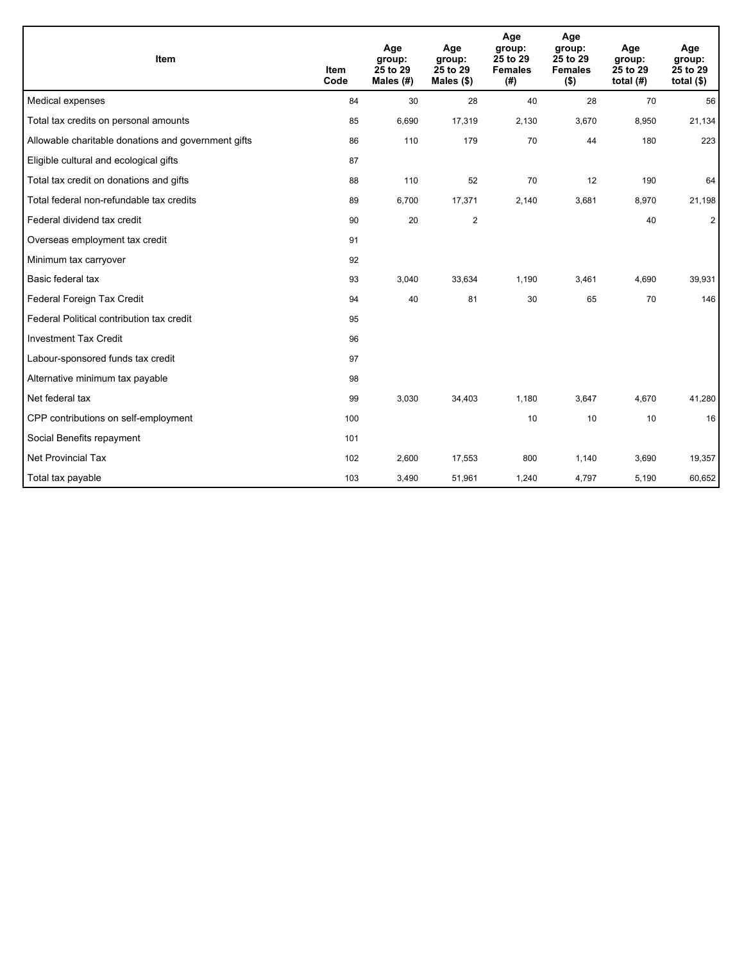| Item                                                | <b>Item</b><br>Code | Age<br>group:<br>25 to 29<br>Males $(H)$ | Age<br>group:<br>25 to 29<br>Males $(\$)$ | Age<br>group:<br>25 to 29<br><b>Females</b><br>(#) | Age<br>group:<br>25 to 29<br><b>Females</b><br>$($ \$) | Age<br>group:<br>25 to 29<br>total $(H)$ | Age<br>group:<br>25 to 29<br>total $(§)$ |
|-----------------------------------------------------|---------------------|------------------------------------------|-------------------------------------------|----------------------------------------------------|--------------------------------------------------------|------------------------------------------|------------------------------------------|
| Medical expenses                                    | 84                  | 30                                       | 28                                        | 40                                                 | 28                                                     | 70                                       | 56                                       |
| Total tax credits on personal amounts               | 85                  | 6,690                                    | 17,319                                    | 2,130                                              | 3,670                                                  | 8,950                                    | 21,134                                   |
| Allowable charitable donations and government gifts | 86                  | 110                                      | 179                                       | 70                                                 | 44                                                     | 180                                      | 223                                      |
| Eligible cultural and ecological gifts              | 87                  |                                          |                                           |                                                    |                                                        |                                          |                                          |
| Total tax credit on donations and gifts             | 88                  | 110                                      | 52                                        | 70                                                 | 12                                                     | 190                                      | 64                                       |
| Total federal non-refundable tax credits            | 89                  | 6,700                                    | 17,371                                    | 2,140                                              | 3,681                                                  | 8,970                                    | 21,198                                   |
| Federal dividend tax credit                         | 90                  | 20                                       | $\boldsymbol{2}$                          |                                                    |                                                        | 40                                       | $\overline{2}$                           |
| Overseas employment tax credit                      | 91                  |                                          |                                           |                                                    |                                                        |                                          |                                          |
| Minimum tax carryover                               | 92                  |                                          |                                           |                                                    |                                                        |                                          |                                          |
| Basic federal tax                                   | 93                  | 3,040                                    | 33,634                                    | 1,190                                              | 3,461                                                  | 4,690                                    | 39,931                                   |
| Federal Foreign Tax Credit                          | 94                  | 40                                       | 81                                        | 30                                                 | 65                                                     | 70                                       | 146                                      |
| Federal Political contribution tax credit           | 95                  |                                          |                                           |                                                    |                                                        |                                          |                                          |
| <b>Investment Tax Credit</b>                        | 96                  |                                          |                                           |                                                    |                                                        |                                          |                                          |
| Labour-sponsored funds tax credit                   | 97                  |                                          |                                           |                                                    |                                                        |                                          |                                          |
| Alternative minimum tax payable                     | 98                  |                                          |                                           |                                                    |                                                        |                                          |                                          |
| Net federal tax                                     | 99                  | 3,030                                    | 34,403                                    | 1,180                                              | 3,647                                                  | 4,670                                    | 41,280                                   |
| CPP contributions on self-employment                | 100                 |                                          |                                           | 10                                                 | 10                                                     | 10                                       | 16                                       |
| Social Benefits repayment                           | 101                 |                                          |                                           |                                                    |                                                        |                                          |                                          |
| <b>Net Provincial Tax</b>                           | 102                 | 2,600                                    | 17,553                                    | 800                                                | 1,140                                                  | 3,690                                    | 19,357                                   |
| Total tax payable                                   | 103                 | 3,490                                    | 51,961                                    | 1,240                                              | 4,797                                                  | 5,190                                    | 60,652                                   |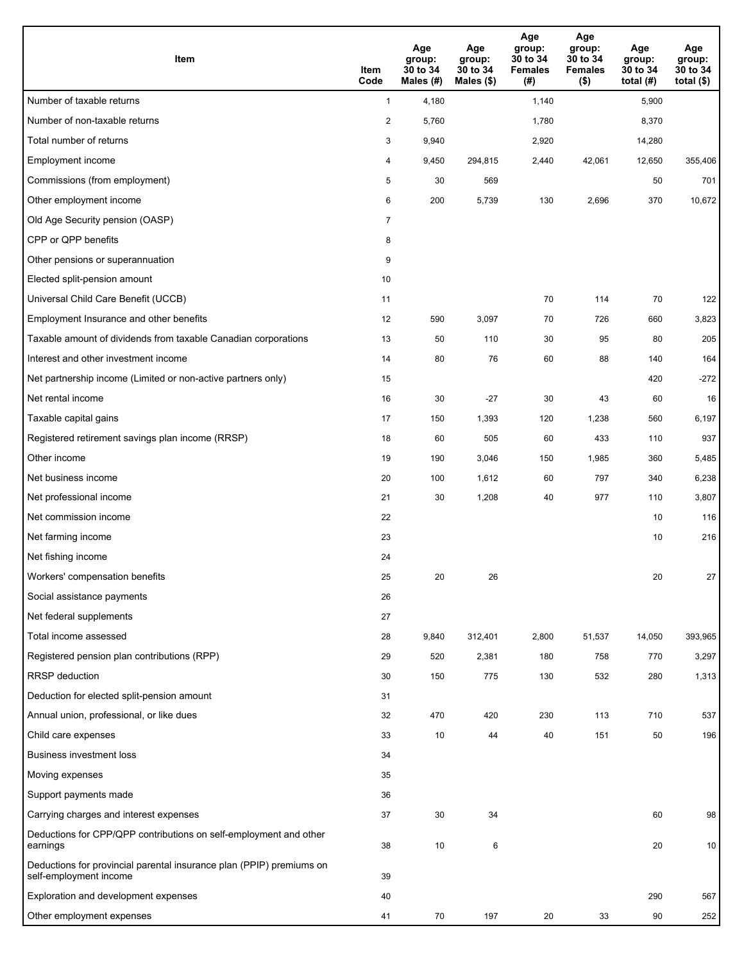| Item                                                                                           | Item<br>Code   | Age<br>group:<br>30 to 34<br>Males (#) | Age<br>group:<br>30 to 34<br>Males (\$) | Age<br>group:<br>30 to 34<br><b>Females</b><br>(# ) | Age<br>group:<br>30 to 34<br><b>Females</b><br>$($ \$) | Age<br>group:<br>30 to 34<br>total $(#)$ | Age<br>group:<br>30 to 34<br>total $($)$ |
|------------------------------------------------------------------------------------------------|----------------|----------------------------------------|-----------------------------------------|-----------------------------------------------------|--------------------------------------------------------|------------------------------------------|------------------------------------------|
| Number of taxable returns                                                                      | $\mathbf{1}$   | 4,180                                  |                                         | 1,140                                               |                                                        | 5,900                                    |                                          |
| Number of non-taxable returns                                                                  | $\overline{2}$ | 5,760                                  |                                         | 1,780                                               |                                                        | 8,370                                    |                                          |
| Total number of returns                                                                        | 3              | 9,940                                  |                                         | 2,920                                               |                                                        | 14,280                                   |                                          |
| Employment income                                                                              | 4              | 9,450                                  | 294,815                                 | 2,440                                               | 42,061                                                 | 12,650                                   | 355,406                                  |
| Commissions (from employment)                                                                  | 5              | 30                                     | 569                                     |                                                     |                                                        | 50                                       | 701                                      |
| Other employment income                                                                        | 6              | 200                                    | 5,739                                   | 130                                                 | 2,696                                                  | 370                                      | 10,672                                   |
| Old Age Security pension (OASP)                                                                | $\overline{7}$ |                                        |                                         |                                                     |                                                        |                                          |                                          |
| CPP or QPP benefits                                                                            | 8              |                                        |                                         |                                                     |                                                        |                                          |                                          |
| Other pensions or superannuation                                                               | 9              |                                        |                                         |                                                     |                                                        |                                          |                                          |
| Elected split-pension amount                                                                   | 10             |                                        |                                         |                                                     |                                                        |                                          |                                          |
| Universal Child Care Benefit (UCCB)                                                            | 11             |                                        |                                         | 70                                                  | 114                                                    | 70                                       | 122                                      |
| Employment Insurance and other benefits                                                        | 12             | 590                                    | 3,097                                   | 70                                                  | 726                                                    | 660                                      | 3,823                                    |
| Taxable amount of dividends from taxable Canadian corporations                                 | 13             | 50                                     | 110                                     | 30                                                  | 95                                                     | 80                                       | 205                                      |
| Interest and other investment income                                                           | 14             | 80                                     | 76                                      | 60                                                  | 88                                                     | 140                                      | 164                                      |
| Net partnership income (Limited or non-active partners only)                                   | 15             |                                        |                                         |                                                     |                                                        | 420                                      | $-272$                                   |
| Net rental income                                                                              | 16             | 30                                     | $-27$                                   | 30                                                  | 43                                                     | 60                                       | 16                                       |
| Taxable capital gains                                                                          | 17             | 150                                    | 1,393                                   | 120                                                 | 1,238                                                  | 560                                      | 6,197                                    |
| Registered retirement savings plan income (RRSP)                                               | 18             | 60                                     | 505                                     | 60                                                  | 433                                                    | 110                                      | 937                                      |
| Other income                                                                                   | 19             | 190                                    | 3,046                                   | 150                                                 | 1,985                                                  | 360                                      | 5,485                                    |
| Net business income                                                                            | 20             | 100                                    | 1,612                                   | 60                                                  | 797                                                    | 340                                      | 6,238                                    |
| Net professional income                                                                        | 21             | 30                                     | 1,208                                   | 40                                                  | 977                                                    | 110                                      | 3,807                                    |
| Net commission income                                                                          | 22             |                                        |                                         |                                                     |                                                        | 10                                       | 116                                      |
| Net farming income                                                                             | 23             |                                        |                                         |                                                     |                                                        | 10                                       | 216                                      |
| Net fishing income                                                                             | 24             |                                        |                                         |                                                     |                                                        |                                          |                                          |
| Workers' compensation benefits                                                                 | 25             | 20                                     | 26                                      |                                                     |                                                        | 20                                       | 27                                       |
| Social assistance payments                                                                     | 26             |                                        |                                         |                                                     |                                                        |                                          |                                          |
| Net federal supplements                                                                        | 27             |                                        |                                         |                                                     |                                                        |                                          |                                          |
| Total income assessed                                                                          | 28             | 9,840                                  | 312,401                                 | 2,800                                               | 51,537                                                 | 14,050                                   | 393,965                                  |
| Registered pension plan contributions (RPP)                                                    | 29             | 520                                    | 2,381                                   | 180                                                 | 758                                                    | 770                                      | 3,297                                    |
| <b>RRSP</b> deduction                                                                          | 30             | 150                                    | 775                                     | 130                                                 | 532                                                    | 280                                      | 1,313                                    |
| Deduction for elected split-pension amount                                                     | 31             |                                        |                                         |                                                     |                                                        |                                          |                                          |
| Annual union, professional, or like dues                                                       | 32             | 470                                    | 420                                     | 230                                                 | 113                                                    | 710                                      | 537                                      |
| Child care expenses                                                                            | 33             | 10                                     | 44                                      | 40                                                  | 151                                                    | 50                                       | 196                                      |
| <b>Business investment loss</b>                                                                | 34             |                                        |                                         |                                                     |                                                        |                                          |                                          |
| Moving expenses                                                                                | 35             |                                        |                                         |                                                     |                                                        |                                          |                                          |
| Support payments made                                                                          | 36             |                                        |                                         |                                                     |                                                        |                                          |                                          |
| Carrying charges and interest expenses                                                         | 37             | 30                                     | 34                                      |                                                     |                                                        | 60                                       | 98                                       |
| Deductions for CPP/QPP contributions on self-employment and other<br>earnings                  | 38             | 10                                     | 6                                       |                                                     |                                                        | 20                                       | 10                                       |
| Deductions for provincial parental insurance plan (PPIP) premiums on<br>self-employment income | 39             |                                        |                                         |                                                     |                                                        |                                          |                                          |
| Exploration and development expenses                                                           | 40             |                                        |                                         |                                                     |                                                        | 290                                      | 567                                      |
| Other employment expenses                                                                      | 41             | 70                                     | 197                                     | 20                                                  | 33                                                     | 90                                       | 252                                      |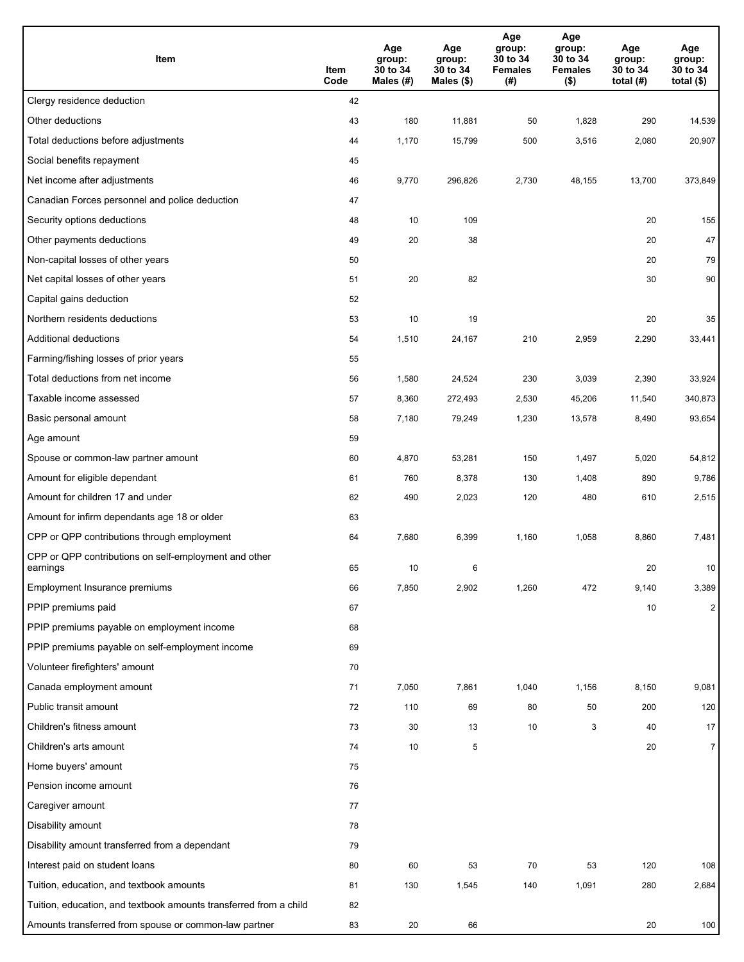| Item                                                              | Item<br>Code | Age<br>group:<br>30 to 34<br>Males $(H)$ | Age<br>group:<br>30 to 34<br>Males (\$) | Age<br>group:<br>30 to 34<br><b>Females</b><br>(#) | Age<br>group:<br>30 to 34<br><b>Females</b><br>$($ \$) | Age<br>group:<br>30 to 34<br>total $(#)$ | Age<br>group:<br>30 to 34<br>total $($)$ |
|-------------------------------------------------------------------|--------------|------------------------------------------|-----------------------------------------|----------------------------------------------------|--------------------------------------------------------|------------------------------------------|------------------------------------------|
| Clergy residence deduction                                        | 42           |                                          |                                         |                                                    |                                                        |                                          |                                          |
| Other deductions                                                  | 43           | 180                                      | 11,881                                  | 50                                                 | 1,828                                                  | 290                                      | 14,539                                   |
| Total deductions before adjustments                               | 44           | 1,170                                    | 15,799                                  | 500                                                | 3,516                                                  | 2,080                                    | 20,907                                   |
| Social benefits repayment                                         | 45           |                                          |                                         |                                                    |                                                        |                                          |                                          |
| Net income after adjustments                                      | 46           | 9,770                                    | 296,826                                 | 2,730                                              | 48,155                                                 | 13,700                                   | 373,849                                  |
| Canadian Forces personnel and police deduction                    | 47           |                                          |                                         |                                                    |                                                        |                                          |                                          |
| Security options deductions                                       | 48           | 10                                       | 109                                     |                                                    |                                                        | 20                                       | 155                                      |
| Other payments deductions                                         | 49           | 20                                       | 38                                      |                                                    |                                                        | 20                                       | 47                                       |
| Non-capital losses of other years                                 | 50           |                                          |                                         |                                                    |                                                        | 20                                       | 79                                       |
| Net capital losses of other years                                 | 51           | 20                                       | 82                                      |                                                    |                                                        | 30                                       | 90                                       |
| Capital gains deduction                                           | 52           |                                          |                                         |                                                    |                                                        |                                          |                                          |
| Northern residents deductions                                     | 53           | 10                                       | 19                                      |                                                    |                                                        | 20                                       | 35                                       |
| Additional deductions                                             | 54           | 1,510                                    | 24,167                                  | 210                                                | 2,959                                                  | 2,290                                    | 33,441                                   |
| Farming/fishing losses of prior years                             | 55           |                                          |                                         |                                                    |                                                        |                                          |                                          |
| Total deductions from net income                                  | 56           | 1,580                                    | 24,524                                  | 230                                                | 3,039                                                  | 2,390                                    | 33,924                                   |
| Taxable income assessed                                           | 57           | 8,360                                    | 272,493                                 | 2,530                                              | 45,206                                                 | 11,540                                   | 340,873                                  |
| Basic personal amount                                             | 58           | 7,180                                    | 79,249                                  | 1,230                                              | 13,578                                                 | 8,490                                    | 93,654                                   |
| Age amount                                                        | 59           |                                          |                                         |                                                    |                                                        |                                          |                                          |
| Spouse or common-law partner amount                               | 60           | 4,870                                    | 53,281                                  | 150                                                | 1,497                                                  | 5,020                                    | 54,812                                   |
| Amount for eligible dependant                                     | 61           | 760                                      | 8,378                                   | 130                                                | 1,408                                                  | 890                                      | 9,786                                    |
| Amount for children 17 and under                                  | 62           | 490                                      | 2,023                                   | 120                                                | 480                                                    | 610                                      | 2,515                                    |
| Amount for infirm dependants age 18 or older                      | 63           |                                          |                                         |                                                    |                                                        |                                          |                                          |
| CPP or QPP contributions through employment                       | 64           | 7,680                                    | 6,399                                   | 1,160                                              | 1,058                                                  | 8,860                                    | 7,481                                    |
| CPP or QPP contributions on self-employment and other<br>earnings | 65           | 10                                       | 6                                       |                                                    |                                                        | 20                                       | 10                                       |
| Employment Insurance premiums                                     | 66           | 7,850                                    | 2,902                                   | 1,260                                              | 472                                                    | 9,140                                    | 3,389                                    |
| PPIP premiums paid                                                | 67           |                                          |                                         |                                                    |                                                        | 10                                       | $\overline{2}$                           |
| PPIP premiums payable on employment income                        | 68           |                                          |                                         |                                                    |                                                        |                                          |                                          |
| PPIP premiums payable on self-employment income                   | 69           |                                          |                                         |                                                    |                                                        |                                          |                                          |
| Volunteer firefighters' amount                                    | 70           |                                          |                                         |                                                    |                                                        |                                          |                                          |
| Canada employment amount                                          | 71           | 7,050                                    | 7,861                                   | 1,040                                              | 1,156                                                  | 8,150                                    | 9,081                                    |
| Public transit amount                                             | 72           | 110                                      | 69                                      | 80                                                 | 50                                                     | 200                                      | 120                                      |
| Children's fitness amount                                         | 73           | 30                                       | 13                                      | 10                                                 | 3                                                      | 40                                       | 17                                       |
| Children's arts amount                                            | 74           | 10                                       | 5                                       |                                                    |                                                        | 20                                       | $\overline{7}$                           |
| Home buyers' amount                                               | 75           |                                          |                                         |                                                    |                                                        |                                          |                                          |
| Pension income amount                                             | 76           |                                          |                                         |                                                    |                                                        |                                          |                                          |
| Caregiver amount                                                  | 77           |                                          |                                         |                                                    |                                                        |                                          |                                          |
| Disability amount                                                 | 78           |                                          |                                         |                                                    |                                                        |                                          |                                          |
| Disability amount transferred from a dependant                    | 79           |                                          |                                         |                                                    |                                                        |                                          |                                          |
| Interest paid on student loans                                    | 80           | 60                                       | 53                                      | 70                                                 | 53                                                     | 120                                      | 108                                      |
| Tuition, education, and textbook amounts                          | 81           | 130                                      | 1,545                                   | 140                                                | 1,091                                                  | 280                                      | 2,684                                    |
| Tuition, education, and textbook amounts transferred from a child | 82           |                                          |                                         |                                                    |                                                        |                                          |                                          |
| Amounts transferred from spouse or common-law partner             | 83           | 20                                       | 66                                      |                                                    |                                                        | $20\,$                                   | 100                                      |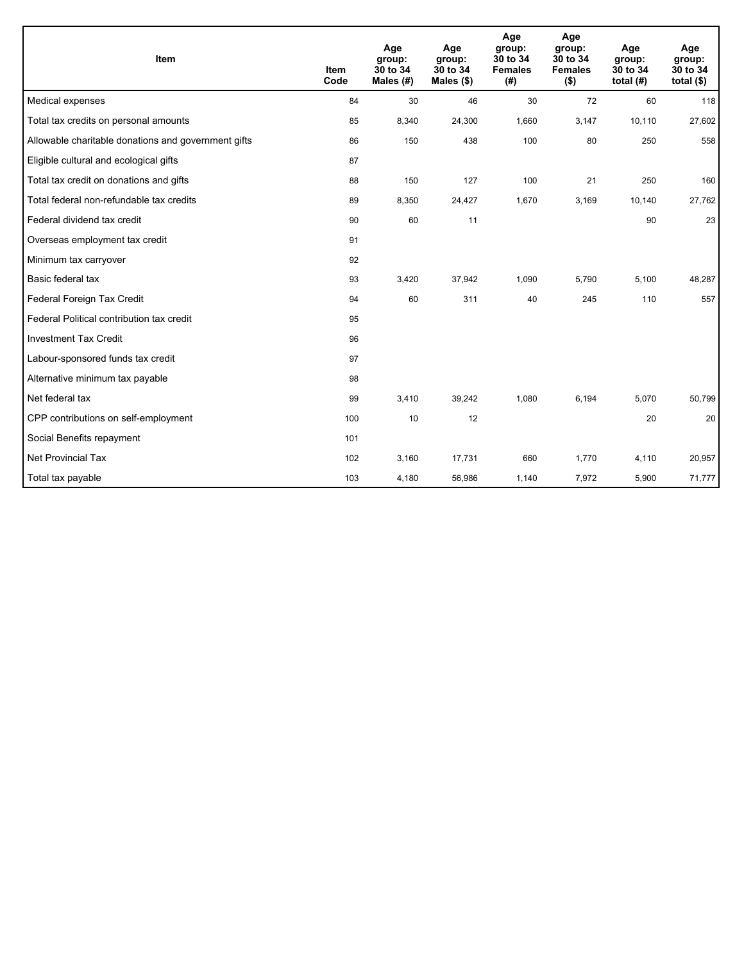| Item                                                | <b>Item</b><br>Code | Age<br>group:<br>30 to 34<br>Males $(H)$ | Age<br>group:<br>30 to 34<br>Males $(\$)$ | Age<br>group:<br>30 to 34<br><b>Females</b><br>(# ) | Age<br>group:<br>30 to 34<br><b>Females</b><br>$($ \$) | Age<br>group:<br>30 to 34<br>total $(H)$ | Age<br>group:<br>30 to 34<br>total $(§)$ |
|-----------------------------------------------------|---------------------|------------------------------------------|-------------------------------------------|-----------------------------------------------------|--------------------------------------------------------|------------------------------------------|------------------------------------------|
| Medical expenses                                    | 84                  | 30                                       | 46                                        | 30                                                  | 72                                                     | 60                                       | 118                                      |
| Total tax credits on personal amounts               | 85                  | 8,340                                    | 24,300                                    | 1,660                                               | 3,147                                                  | 10,110                                   | 27,602                                   |
| Allowable charitable donations and government gifts | 86                  | 150                                      | 438                                       | 100                                                 | 80                                                     | 250                                      | 558                                      |
| Eligible cultural and ecological gifts              | 87                  |                                          |                                           |                                                     |                                                        |                                          |                                          |
| Total tax credit on donations and gifts             | 88                  | 150                                      | 127                                       | 100                                                 | 21                                                     | 250                                      | 160                                      |
| Total federal non-refundable tax credits            | 89                  | 8,350                                    | 24,427                                    | 1,670                                               | 3,169                                                  | 10,140                                   | 27,762                                   |
| Federal dividend tax credit                         | 90                  | 60                                       | 11                                        |                                                     |                                                        | 90                                       | 23                                       |
| Overseas employment tax credit                      | 91                  |                                          |                                           |                                                     |                                                        |                                          |                                          |
| Minimum tax carryover                               | 92                  |                                          |                                           |                                                     |                                                        |                                          |                                          |
| Basic federal tax                                   | 93                  | 3,420                                    | 37,942                                    | 1,090                                               | 5,790                                                  | 5,100                                    | 48,287                                   |
| Federal Foreign Tax Credit                          | 94                  | 60                                       | 311                                       | 40                                                  | 245                                                    | 110                                      | 557                                      |
| Federal Political contribution tax credit           | 95                  |                                          |                                           |                                                     |                                                        |                                          |                                          |
| <b>Investment Tax Credit</b>                        | 96                  |                                          |                                           |                                                     |                                                        |                                          |                                          |
| Labour-sponsored funds tax credit                   | 97                  |                                          |                                           |                                                     |                                                        |                                          |                                          |
| Alternative minimum tax payable                     | 98                  |                                          |                                           |                                                     |                                                        |                                          |                                          |
| Net federal tax                                     | 99                  | 3,410                                    | 39,242                                    | 1,080                                               | 6,194                                                  | 5,070                                    | 50,799                                   |
| CPP contributions on self-employment                | 100                 | 10                                       | 12                                        |                                                     |                                                        | 20                                       | 20                                       |
| Social Benefits repayment                           | 101                 |                                          |                                           |                                                     |                                                        |                                          |                                          |
| <b>Net Provincial Tax</b>                           | 102                 | 3,160                                    | 17,731                                    | 660                                                 | 1,770                                                  | 4,110                                    | 20,957                                   |
| Total tax payable                                   | 103                 | 4,180                                    | 56,986                                    | 1,140                                               | 7,972                                                  | 5,900                                    | 71,777                                   |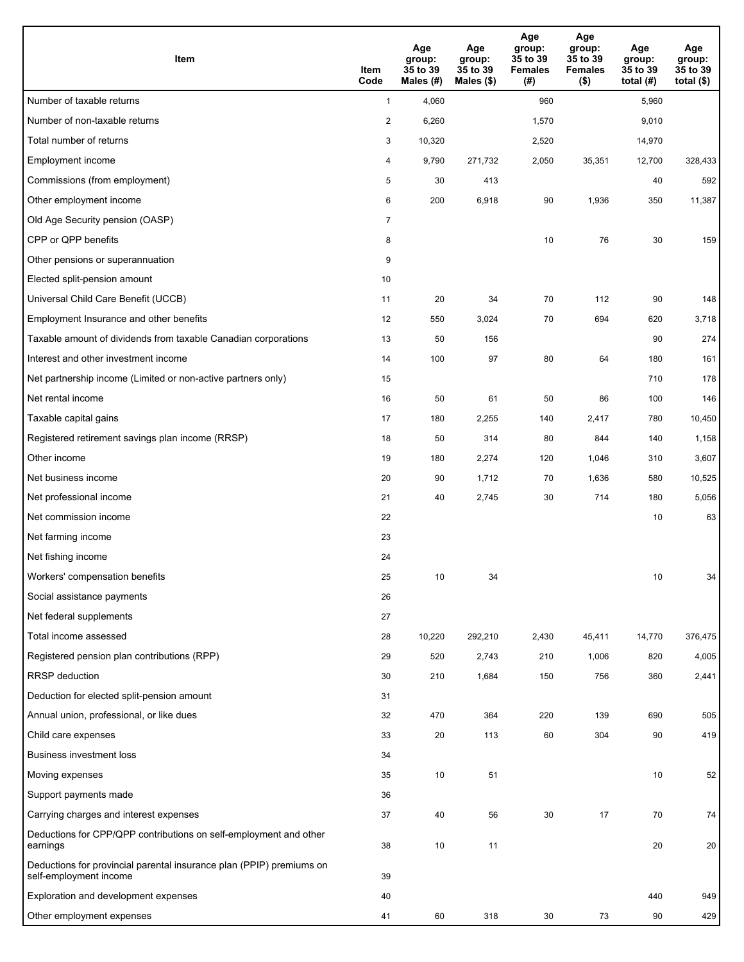| Item                                                                                           | Item<br>Code   | Age<br>group:<br>35 to 39<br>Males (#) | Age<br>group:<br>35 to 39<br>Males (\$) | Age<br>group:<br>35 to 39<br><b>Females</b><br>(# ) | Age<br>group:<br>35 to 39<br><b>Females</b><br>$($ \$) | Age<br>group:<br>35 to 39<br>total (#) | Age<br>group:<br>35 to 39<br>total $($ |
|------------------------------------------------------------------------------------------------|----------------|----------------------------------------|-----------------------------------------|-----------------------------------------------------|--------------------------------------------------------|----------------------------------------|----------------------------------------|
| Number of taxable returns                                                                      | $\mathbf{1}$   | 4,060                                  |                                         | 960                                                 |                                                        | 5,960                                  |                                        |
| Number of non-taxable returns                                                                  | $\overline{2}$ | 6,260                                  |                                         | 1,570                                               |                                                        | 9,010                                  |                                        |
| Total number of returns                                                                        | 3              | 10,320                                 |                                         | 2,520                                               |                                                        | 14,970                                 |                                        |
| Employment income                                                                              | 4              | 9,790                                  | 271,732                                 | 2,050                                               | 35,351                                                 | 12,700                                 | 328,433                                |
| Commissions (from employment)                                                                  | 5              | 30                                     | 413                                     |                                                     |                                                        | 40                                     | 592                                    |
| Other employment income                                                                        | 6              | 200                                    | 6,918                                   | 90                                                  | 1,936                                                  | 350                                    | 11,387                                 |
| Old Age Security pension (OASP)                                                                | $\overline{7}$ |                                        |                                         |                                                     |                                                        |                                        |                                        |
| CPP or QPP benefits                                                                            | 8              |                                        |                                         | 10                                                  | 76                                                     | 30                                     | 159                                    |
| Other pensions or superannuation                                                               | 9              |                                        |                                         |                                                     |                                                        |                                        |                                        |
| Elected split-pension amount                                                                   | 10             |                                        |                                         |                                                     |                                                        |                                        |                                        |
| Universal Child Care Benefit (UCCB)                                                            | 11             | 20                                     | 34                                      | 70                                                  | 112                                                    | 90                                     | 148                                    |
| Employment Insurance and other benefits                                                        | 12             | 550                                    | 3,024                                   | 70                                                  | 694                                                    | 620                                    | 3,718                                  |
| Taxable amount of dividends from taxable Canadian corporations                                 | 13             | 50                                     | 156                                     |                                                     |                                                        | 90                                     | 274                                    |
| Interest and other investment income                                                           | 14             | 100                                    | 97                                      | 80                                                  | 64                                                     | 180                                    | 161                                    |
| Net partnership income (Limited or non-active partners only)                                   | 15             |                                        |                                         |                                                     |                                                        | 710                                    | 178                                    |
| Net rental income                                                                              | 16             | 50                                     | 61                                      | 50                                                  | 86                                                     | 100                                    | 146                                    |
| Taxable capital gains                                                                          | 17             | 180                                    | 2,255                                   | 140                                                 | 2,417                                                  | 780                                    | 10,450                                 |
| Registered retirement savings plan income (RRSP)                                               | 18             | 50                                     | 314                                     | 80                                                  | 844                                                    | 140                                    | 1,158                                  |
| Other income                                                                                   | 19             | 180                                    | 2,274                                   | 120                                                 | 1,046                                                  | 310                                    | 3,607                                  |
| Net business income                                                                            | 20             | 90                                     | 1,712                                   | 70                                                  | 1,636                                                  | 580                                    | 10,525                                 |
| Net professional income                                                                        | 21             | 40                                     | 2,745                                   | 30                                                  | 714                                                    | 180                                    | 5,056                                  |
| Net commission income                                                                          | 22             |                                        |                                         |                                                     |                                                        | 10                                     | 63                                     |
| Net farming income                                                                             | 23             |                                        |                                         |                                                     |                                                        |                                        |                                        |
| Net fishing income                                                                             | 24             |                                        |                                         |                                                     |                                                        |                                        |                                        |
| Workers' compensation benefits                                                                 | 25             | $10$                                   | 34                                      |                                                     |                                                        | 10                                     | 34                                     |
| Social assistance payments                                                                     | 26             |                                        |                                         |                                                     |                                                        |                                        |                                        |
| Net federal supplements                                                                        | 27             |                                        |                                         |                                                     |                                                        |                                        |                                        |
| Total income assessed                                                                          | 28             | 10,220                                 | 292,210                                 | 2,430                                               | 45,411                                                 | 14,770                                 | 376,475                                |
| Registered pension plan contributions (RPP)                                                    | 29             | 520                                    | 2,743                                   | 210                                                 | 1,006                                                  | 820                                    | 4,005                                  |
| <b>RRSP</b> deduction                                                                          | 30             | 210                                    | 1,684                                   | 150                                                 | 756                                                    | 360                                    | 2,441                                  |
| Deduction for elected split-pension amount                                                     | 31             |                                        |                                         |                                                     |                                                        |                                        |                                        |
| Annual union, professional, or like dues                                                       | 32             | 470                                    | 364                                     | 220                                                 | 139                                                    | 690                                    | 505                                    |
| Child care expenses                                                                            | 33             | 20                                     | 113                                     | 60                                                  | 304                                                    | 90                                     | 419                                    |
| <b>Business investment loss</b>                                                                | 34             |                                        |                                         |                                                     |                                                        |                                        |                                        |
| Moving expenses                                                                                | 35             | 10                                     | 51                                      |                                                     |                                                        | 10                                     | 52                                     |
| Support payments made                                                                          | 36             |                                        |                                         |                                                     |                                                        |                                        |                                        |
| Carrying charges and interest expenses                                                         | 37             | 40                                     | 56                                      | 30                                                  | 17                                                     | 70                                     | 74                                     |
| Deductions for CPP/QPP contributions on self-employment and other<br>earnings                  | 38             | 10                                     | 11                                      |                                                     |                                                        | 20                                     | 20                                     |
| Deductions for provincial parental insurance plan (PPIP) premiums on<br>self-employment income | 39             |                                        |                                         |                                                     |                                                        |                                        |                                        |
| Exploration and development expenses                                                           | 40             |                                        |                                         |                                                     |                                                        | 440                                    | 949                                    |
| Other employment expenses                                                                      | 41             | 60                                     | 318                                     | 30                                                  | 73                                                     | 90                                     | 429                                    |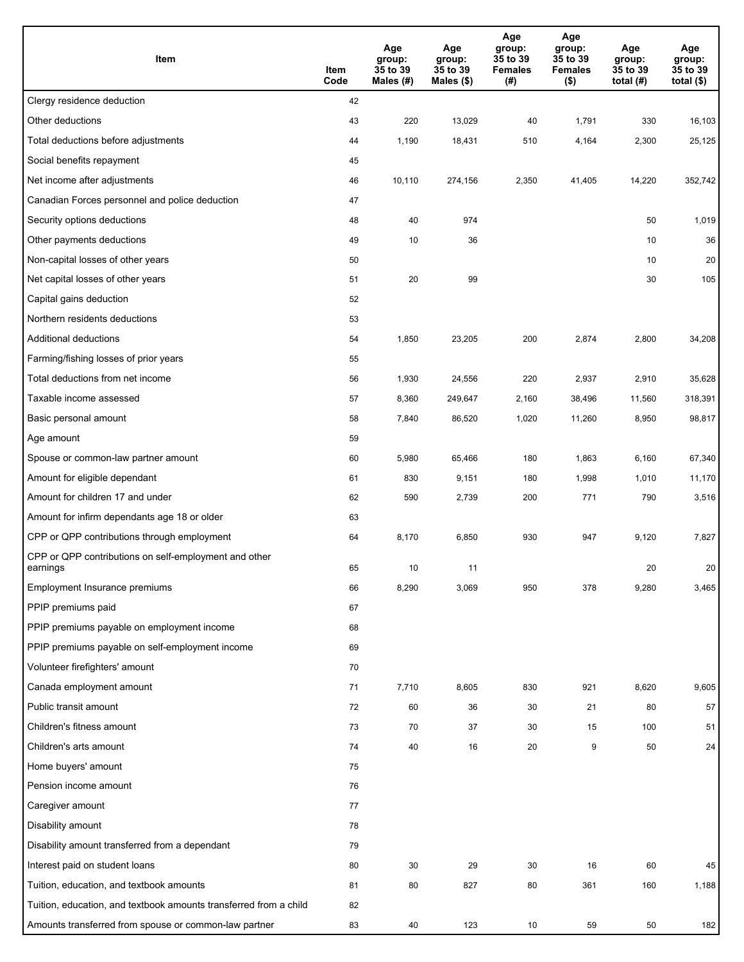| Item                                                              | Item<br>Code | Age<br>group:<br>35 to 39<br>Males (#) | Age<br>group:<br>35 to 39<br>Males (\$) | Age<br>group:<br>35 to 39<br><b>Females</b><br>(# ) | Age<br>group:<br>35 to 39<br><b>Females</b><br>$($ \$) | Age<br>group:<br>35 to 39<br>total $(H)$ | Age<br>group:<br>35 to 39<br>total $($)$ |
|-------------------------------------------------------------------|--------------|----------------------------------------|-----------------------------------------|-----------------------------------------------------|--------------------------------------------------------|------------------------------------------|------------------------------------------|
| Clergy residence deduction                                        | 42           |                                        |                                         |                                                     |                                                        |                                          |                                          |
| Other deductions                                                  | 43           | 220                                    | 13,029                                  | 40                                                  | 1,791                                                  | 330                                      | 16,103                                   |
| Total deductions before adjustments                               | 44           | 1,190                                  | 18,431                                  | 510                                                 | 4,164                                                  | 2,300                                    | 25,125                                   |
| Social benefits repayment                                         | 45           |                                        |                                         |                                                     |                                                        |                                          |                                          |
| Net income after adjustments                                      | 46           | 10,110                                 | 274,156                                 | 2,350                                               | 41,405                                                 | 14,220                                   | 352,742                                  |
| Canadian Forces personnel and police deduction                    | 47           |                                        |                                         |                                                     |                                                        |                                          |                                          |
| Security options deductions                                       | 48           | 40                                     | 974                                     |                                                     |                                                        | 50                                       | 1,019                                    |
| Other payments deductions                                         | 49           | 10                                     | 36                                      |                                                     |                                                        | 10                                       | 36                                       |
| Non-capital losses of other years                                 | 50           |                                        |                                         |                                                     |                                                        | 10                                       | 20                                       |
| Net capital losses of other years                                 | 51           | 20                                     | 99                                      |                                                     |                                                        | 30                                       | 105                                      |
| Capital gains deduction                                           | 52           |                                        |                                         |                                                     |                                                        |                                          |                                          |
| Northern residents deductions                                     | 53           |                                        |                                         |                                                     |                                                        |                                          |                                          |
| Additional deductions                                             | 54           | 1,850                                  | 23,205                                  | 200                                                 | 2,874                                                  | 2,800                                    | 34,208                                   |
| Farming/fishing losses of prior years                             | 55           |                                        |                                         |                                                     |                                                        |                                          |                                          |
| Total deductions from net income                                  | 56           | 1,930                                  | 24,556                                  | 220                                                 | 2,937                                                  | 2,910                                    | 35,628                                   |
| Taxable income assessed                                           | 57           | 8,360                                  | 249,647                                 | 2,160                                               | 38,496                                                 | 11,560                                   | 318,391                                  |
| Basic personal amount                                             | 58           | 7,840                                  | 86,520                                  | 1,020                                               | 11,260                                                 | 8,950                                    | 98,817                                   |
| Age amount                                                        | 59           |                                        |                                         |                                                     |                                                        |                                          |                                          |
| Spouse or common-law partner amount                               | 60           | 5,980                                  | 65,466                                  | 180                                                 | 1,863                                                  | 6,160                                    | 67,340                                   |
| Amount for eligible dependant                                     | 61           | 830                                    | 9,151                                   | 180                                                 | 1,998                                                  | 1,010                                    | 11,170                                   |
| Amount for children 17 and under                                  | 62           | 590                                    | 2,739                                   | 200                                                 | 771                                                    | 790                                      | 3,516                                    |
| Amount for infirm dependants age 18 or older                      | 63           |                                        |                                         |                                                     |                                                        |                                          |                                          |
| CPP or QPP contributions through employment                       | 64           | 8,170                                  | 6,850                                   | 930                                                 | 947                                                    | 9,120                                    | 7,827                                    |
| CPP or QPP contributions on self-employment and other<br>earnings | 65           | 10                                     | 11                                      |                                                     |                                                        | 20                                       | 20                                       |
| Employment Insurance premiums                                     | 66           | 8,290                                  | 3,069                                   | 950                                                 | 378                                                    | 9,280                                    | 3,465                                    |
| PPIP premiums paid                                                | 67           |                                        |                                         |                                                     |                                                        |                                          |                                          |
| PPIP premiums payable on employment income                        | 68           |                                        |                                         |                                                     |                                                        |                                          |                                          |
| PPIP premiums payable on self-employment income                   | 69           |                                        |                                         |                                                     |                                                        |                                          |                                          |
| Volunteer firefighters' amount                                    | 70           |                                        |                                         |                                                     |                                                        |                                          |                                          |
| Canada employment amount                                          | 71           | 7,710                                  | 8,605                                   | 830                                                 | 921                                                    | 8,620                                    | 9,605                                    |
| Public transit amount                                             | 72           | 60                                     | 36                                      | 30                                                  | 21                                                     | 80                                       | 57                                       |
| Children's fitness amount                                         | 73           | 70                                     | 37                                      | 30                                                  | 15                                                     | 100                                      | 51                                       |
| Children's arts amount                                            | 74           | 40                                     | 16                                      | 20                                                  | 9                                                      | 50                                       | 24                                       |
| Home buyers' amount                                               | 75           |                                        |                                         |                                                     |                                                        |                                          |                                          |
| Pension income amount                                             | 76           |                                        |                                         |                                                     |                                                        |                                          |                                          |
| Caregiver amount                                                  | 77           |                                        |                                         |                                                     |                                                        |                                          |                                          |
| Disability amount                                                 | 78           |                                        |                                         |                                                     |                                                        |                                          |                                          |
| Disability amount transferred from a dependant                    | 79           |                                        |                                         |                                                     |                                                        |                                          |                                          |
| Interest paid on student loans                                    | 80           | 30                                     | 29                                      | 30                                                  | 16                                                     | 60                                       | 45                                       |
| Tuition, education, and textbook amounts                          | 81           | 80                                     | 827                                     | 80                                                  | 361                                                    | 160                                      | 1,188                                    |
| Tuition, education, and textbook amounts transferred from a child | 82           |                                        |                                         |                                                     |                                                        |                                          |                                          |
| Amounts transferred from spouse or common-law partner             | 83           | 40                                     | 123                                     | 10                                                  | 59                                                     | 50                                       | 182                                      |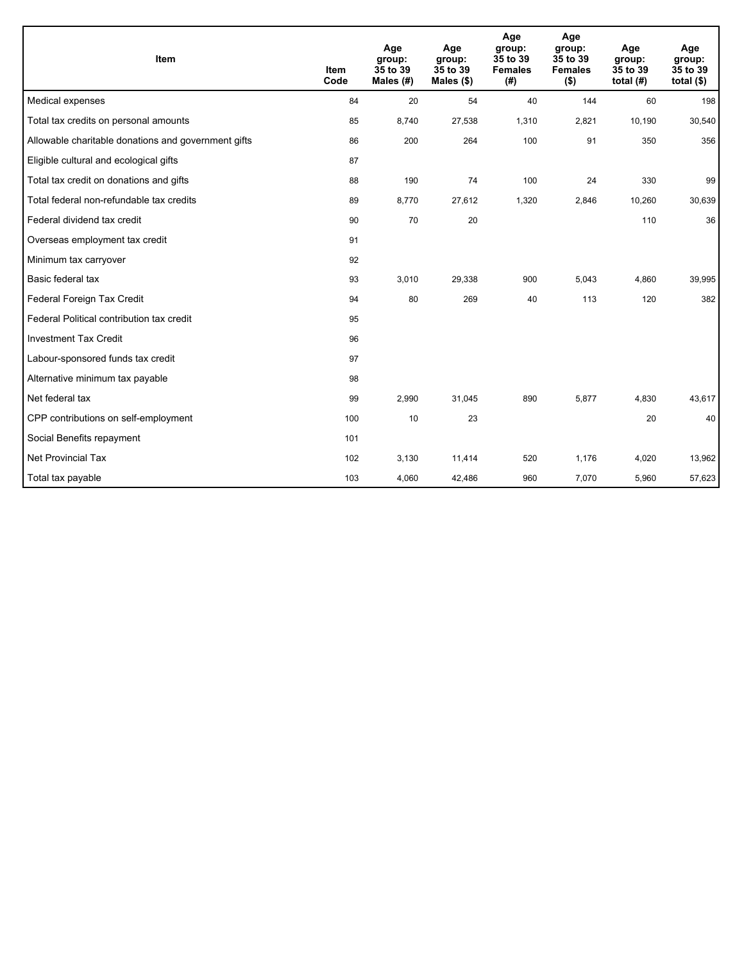| Item                                                | <b>Item</b><br>Code | Age<br>group:<br>35 to 39<br>Males (#) | Age<br>group:<br>35 to 39<br>Males $(\$)$ | Age<br>group:<br>35 to 39<br><b>Females</b><br>(#) | Age<br>group:<br>35 to 39<br><b>Females</b><br>$($ \$) | Age<br>group:<br>35 to 39<br>total $(H)$ | Age<br>group:<br>35 to 39<br>total $($)$ |
|-----------------------------------------------------|---------------------|----------------------------------------|-------------------------------------------|----------------------------------------------------|--------------------------------------------------------|------------------------------------------|------------------------------------------|
| Medical expenses                                    | 84                  | 20                                     | 54                                        | 40                                                 | 144                                                    | 60                                       | 198                                      |
| Total tax credits on personal amounts               | 85                  | 8,740                                  | 27,538                                    | 1,310                                              | 2,821                                                  | 10,190                                   | 30,540                                   |
| Allowable charitable donations and government gifts | 86                  | 200                                    | 264                                       | 100                                                | 91                                                     | 350                                      | 356                                      |
| Eligible cultural and ecological gifts              | 87                  |                                        |                                           |                                                    |                                                        |                                          |                                          |
| Total tax credit on donations and gifts             | 88                  | 190                                    | 74                                        | 100                                                | 24                                                     | 330                                      | 99                                       |
| Total federal non-refundable tax credits            | 89                  | 8,770                                  | 27,612                                    | 1,320                                              | 2,846                                                  | 10,260                                   | 30,639                                   |
| Federal dividend tax credit                         | 90                  | 70                                     | 20                                        |                                                    |                                                        | 110                                      | 36                                       |
| Overseas employment tax credit                      | 91                  |                                        |                                           |                                                    |                                                        |                                          |                                          |
| Minimum tax carryover                               | 92                  |                                        |                                           |                                                    |                                                        |                                          |                                          |
| Basic federal tax                                   | 93                  | 3,010                                  | 29,338                                    | 900                                                | 5,043                                                  | 4,860                                    | 39,995                                   |
| Federal Foreign Tax Credit                          | 94                  | 80                                     | 269                                       | 40                                                 | 113                                                    | 120                                      | 382                                      |
| Federal Political contribution tax credit           | 95                  |                                        |                                           |                                                    |                                                        |                                          |                                          |
| <b>Investment Tax Credit</b>                        | 96                  |                                        |                                           |                                                    |                                                        |                                          |                                          |
| Labour-sponsored funds tax credit                   | 97                  |                                        |                                           |                                                    |                                                        |                                          |                                          |
| Alternative minimum tax payable                     | 98                  |                                        |                                           |                                                    |                                                        |                                          |                                          |
| Net federal tax                                     | 99                  | 2,990                                  | 31,045                                    | 890                                                | 5,877                                                  | 4,830                                    | 43,617                                   |
| CPP contributions on self-employment                | 100                 | 10                                     | 23                                        |                                                    |                                                        | 20                                       | 40                                       |
| Social Benefits repayment                           | 101                 |                                        |                                           |                                                    |                                                        |                                          |                                          |
| Net Provincial Tax                                  | 102                 | 3,130                                  | 11,414                                    | 520                                                | 1,176                                                  | 4,020                                    | 13,962                                   |
| Total tax payable                                   | 103                 | 4,060                                  | 42,486                                    | 960                                                | 7,070                                                  | 5,960                                    | 57,623                                   |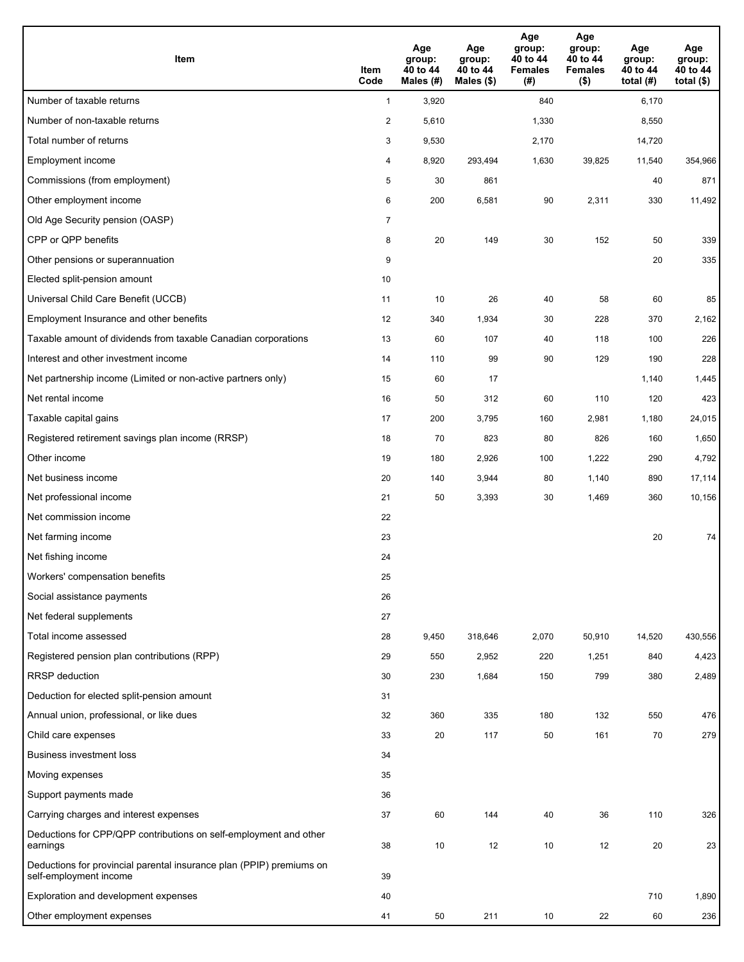| Item                                                                                           | Item<br>Code   | Age<br>group:<br>40 to 44<br>Males (#) | Age<br>group:<br>40 to 44<br>Males (\$) | Age<br>group:<br>40 to 44<br><b>Females</b><br>(#) | Age<br>group:<br>40 to 44<br><b>Females</b><br>$($ \$) | Age<br>group:<br>40 to 44<br>total $(H)$ | Age<br>group:<br>40 to 44<br>total $($)$ |
|------------------------------------------------------------------------------------------------|----------------|----------------------------------------|-----------------------------------------|----------------------------------------------------|--------------------------------------------------------|------------------------------------------|------------------------------------------|
| Number of taxable returns                                                                      | $\mathbf{1}$   | 3,920                                  |                                         | 840                                                |                                                        | 6,170                                    |                                          |
| Number of non-taxable returns                                                                  | $\overline{c}$ | 5,610                                  |                                         | 1,330                                              |                                                        | 8,550                                    |                                          |
| Total number of returns                                                                        | 3              | 9,530                                  |                                         | 2,170                                              |                                                        | 14,720                                   |                                          |
| Employment income                                                                              | 4              | 8,920                                  | 293,494                                 | 1,630                                              | 39,825                                                 | 11,540                                   | 354,966                                  |
| Commissions (from employment)                                                                  | 5              | 30                                     | 861                                     |                                                    |                                                        | 40                                       | 871                                      |
| Other employment income                                                                        | 6              | 200                                    | 6,581                                   | 90                                                 | 2,311                                                  | 330                                      | 11,492                                   |
| Old Age Security pension (OASP)                                                                | $\overline{7}$ |                                        |                                         |                                                    |                                                        |                                          |                                          |
| CPP or QPP benefits                                                                            | 8              | 20                                     | 149                                     | 30                                                 | 152                                                    | 50                                       | 339                                      |
| Other pensions or superannuation                                                               | 9              |                                        |                                         |                                                    |                                                        | 20                                       | 335                                      |
| Elected split-pension amount                                                                   | 10             |                                        |                                         |                                                    |                                                        |                                          |                                          |
| Universal Child Care Benefit (UCCB)                                                            | 11             | 10                                     | 26                                      | 40                                                 | 58                                                     | 60                                       | 85                                       |
| Employment Insurance and other benefits                                                        | 12             | 340                                    | 1,934                                   | 30                                                 | 228                                                    | 370                                      | 2,162                                    |
| Taxable amount of dividends from taxable Canadian corporations                                 | 13             | 60                                     | 107                                     | 40                                                 | 118                                                    | 100                                      | 226                                      |
| Interest and other investment income                                                           | 14             | 110                                    | 99                                      | 90                                                 | 129                                                    | 190                                      | 228                                      |
| Net partnership income (Limited or non-active partners only)                                   | 15             | 60                                     | 17                                      |                                                    |                                                        | 1,140                                    | 1,445                                    |
| Net rental income                                                                              | 16             | 50                                     | 312                                     | 60                                                 | 110                                                    | 120                                      | 423                                      |
| Taxable capital gains                                                                          | 17             | 200                                    | 3,795                                   | 160                                                | 2,981                                                  | 1,180                                    | 24,015                                   |
| Registered retirement savings plan income (RRSP)                                               | 18             | 70                                     | 823                                     | 80                                                 | 826                                                    | 160                                      | 1,650                                    |
| Other income                                                                                   | 19             | 180                                    | 2,926                                   | 100                                                | 1,222                                                  | 290                                      | 4,792                                    |
| Net business income                                                                            | 20             | 140                                    | 3,944                                   | 80                                                 | 1,140                                                  | 890                                      | 17,114                                   |
| Net professional income                                                                        | 21             | 50                                     | 3,393                                   | 30                                                 | 1,469                                                  | 360                                      | 10,156                                   |
| Net commission income                                                                          | 22             |                                        |                                         |                                                    |                                                        |                                          |                                          |
| Net farming income                                                                             | 23             |                                        |                                         |                                                    |                                                        | 20                                       | 74                                       |
| Net fishing income                                                                             | 24             |                                        |                                         |                                                    |                                                        |                                          |                                          |
| Workers' compensation benefits                                                                 | 25             |                                        |                                         |                                                    |                                                        |                                          |                                          |
| Social assistance payments                                                                     | 26             |                                        |                                         |                                                    |                                                        |                                          |                                          |
| Net federal supplements                                                                        | 27             |                                        |                                         |                                                    |                                                        |                                          |                                          |
| Total income assessed                                                                          | 28             | 9,450                                  | 318,646                                 | 2,070                                              | 50,910                                                 | 14,520                                   | 430,556                                  |
| Registered pension plan contributions (RPP)                                                    | 29             | 550                                    | 2,952                                   | 220                                                | 1,251                                                  | 840                                      | 4,423                                    |
| <b>RRSP</b> deduction                                                                          | 30             | 230                                    | 1,684                                   | 150                                                | 799                                                    | 380                                      | 2,489                                    |
| Deduction for elected split-pension amount                                                     | 31             |                                        |                                         |                                                    |                                                        |                                          |                                          |
| Annual union, professional, or like dues                                                       | 32             | 360                                    | 335                                     | 180                                                | 132                                                    | 550                                      | 476                                      |
| Child care expenses                                                                            | 33             | 20                                     | 117                                     | 50                                                 | 161                                                    | 70                                       | 279                                      |
| <b>Business investment loss</b>                                                                | 34             |                                        |                                         |                                                    |                                                        |                                          |                                          |
| Moving expenses                                                                                | 35             |                                        |                                         |                                                    |                                                        |                                          |                                          |
| Support payments made                                                                          | 36             |                                        |                                         |                                                    |                                                        |                                          |                                          |
| Carrying charges and interest expenses                                                         | 37             | 60                                     | 144                                     | 40                                                 | 36                                                     | 110                                      | 326                                      |
| Deductions for CPP/QPP contributions on self-employment and other<br>earnings                  | 38             | 10                                     | 12                                      | 10                                                 | 12                                                     | 20                                       | 23                                       |
| Deductions for provincial parental insurance plan (PPIP) premiums on<br>self-employment income | 39             |                                        |                                         |                                                    |                                                        |                                          |                                          |
| Exploration and development expenses                                                           | 40             |                                        |                                         |                                                    |                                                        | 710                                      | 1,890                                    |
| Other employment expenses                                                                      | 41             | 50                                     | 211                                     | 10                                                 | 22                                                     | 60                                       | 236                                      |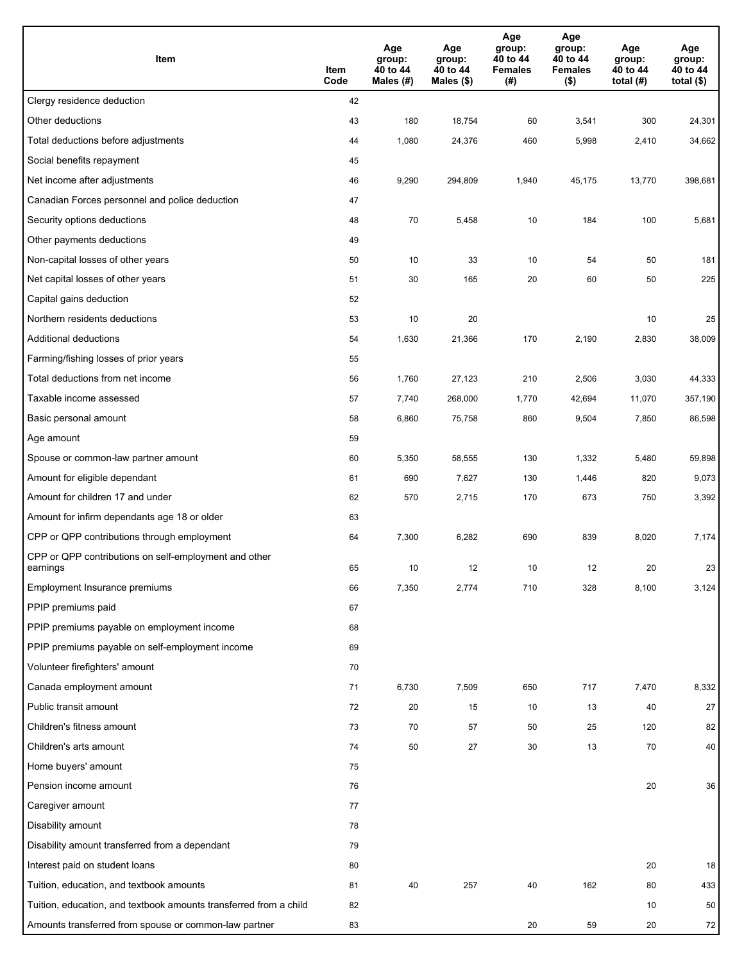| Item                                                              | Item<br>Code | Age<br>group:<br>40 to 44<br>Males (#) | Age<br>group:<br>40 to 44<br>Males (\$) | Age<br>group:<br>40 to 44<br><b>Females</b><br>(#) | Age<br>group:<br>40 to 44<br><b>Females</b><br>$($ \$) | Age<br>group:<br>40 to 44<br>total $(#)$ | Age<br>group:<br>40 to 44<br>total $($)$ |
|-------------------------------------------------------------------|--------------|----------------------------------------|-----------------------------------------|----------------------------------------------------|--------------------------------------------------------|------------------------------------------|------------------------------------------|
| Clergy residence deduction                                        | 42           |                                        |                                         |                                                    |                                                        |                                          |                                          |
| Other deductions                                                  | 43           | 180                                    | 18,754                                  | 60                                                 | 3,541                                                  | 300                                      | 24,301                                   |
| Total deductions before adjustments                               | 44           | 1,080                                  | 24,376                                  | 460                                                | 5,998                                                  | 2,410                                    | 34,662                                   |
| Social benefits repayment                                         | 45           |                                        |                                         |                                                    |                                                        |                                          |                                          |
| Net income after adjustments                                      | 46           | 9,290                                  | 294,809                                 | 1,940                                              | 45,175                                                 | 13,770                                   | 398,681                                  |
| Canadian Forces personnel and police deduction                    | 47           |                                        |                                         |                                                    |                                                        |                                          |                                          |
| Security options deductions                                       | 48           | $70\,$                                 | 5,458                                   | 10                                                 | 184                                                    | 100                                      | 5,681                                    |
| Other payments deductions                                         | 49           |                                        |                                         |                                                    |                                                        |                                          |                                          |
| Non-capital losses of other years                                 | 50           | 10                                     | 33                                      | 10                                                 | 54                                                     | 50                                       | 181                                      |
| Net capital losses of other years                                 | 51           | 30                                     | 165                                     | 20                                                 | 60                                                     | 50                                       | 225                                      |
| Capital gains deduction                                           | 52           |                                        |                                         |                                                    |                                                        |                                          |                                          |
| Northern residents deductions                                     | 53           | 10                                     | 20                                      |                                                    |                                                        | 10                                       | 25                                       |
| Additional deductions                                             | 54           | 1,630                                  | 21,366                                  | 170                                                | 2,190                                                  | 2,830                                    | 38,009                                   |
| Farming/fishing losses of prior years                             | 55           |                                        |                                         |                                                    |                                                        |                                          |                                          |
| Total deductions from net income                                  | 56           | 1,760                                  | 27,123                                  | 210                                                | 2,506                                                  | 3,030                                    | 44,333                                   |
| Taxable income assessed                                           | 57           | 7,740                                  | 268,000                                 | 1,770                                              | 42,694                                                 | 11,070                                   | 357,190                                  |
| Basic personal amount                                             | 58           | 6,860                                  | 75,758                                  | 860                                                | 9,504                                                  | 7,850                                    | 86,598                                   |
| Age amount                                                        | 59           |                                        |                                         |                                                    |                                                        |                                          |                                          |
| Spouse or common-law partner amount                               | 60           | 5,350                                  | 58,555                                  | 130                                                | 1,332                                                  | 5,480                                    | 59,898                                   |
| Amount for eligible dependant                                     | 61           | 690                                    | 7,627                                   | 130                                                | 1,446                                                  | 820                                      | 9,073                                    |
| Amount for children 17 and under                                  | 62           | 570                                    | 2,715                                   | 170                                                | 673                                                    | 750                                      | 3,392                                    |
| Amount for infirm dependants age 18 or older                      | 63           |                                        |                                         |                                                    |                                                        |                                          |                                          |
| CPP or QPP contributions through employment                       | 64           | 7,300                                  | 6,282                                   | 690                                                | 839                                                    | 8,020                                    | 7,174                                    |
| CPP or QPP contributions on self-employment and other<br>earnings | 65           | 10                                     | 12                                      | 10                                                 | 12                                                     | 20                                       | 23                                       |
| Employment Insurance premiums                                     | 66           | 7,350                                  | 2,774                                   | 710                                                | 328                                                    | 8,100                                    | 3,124                                    |
| PPIP premiums paid                                                | 67           |                                        |                                         |                                                    |                                                        |                                          |                                          |
| PPIP premiums payable on employment income                        | 68           |                                        |                                         |                                                    |                                                        |                                          |                                          |
| PPIP premiums payable on self-employment income                   | 69           |                                        |                                         |                                                    |                                                        |                                          |                                          |
| Volunteer firefighters' amount                                    | 70           |                                        |                                         |                                                    |                                                        |                                          |                                          |
| Canada employment amount                                          | 71           | 6,730                                  | 7,509                                   | 650                                                | 717                                                    | 7,470                                    | 8,332                                    |
| Public transit amount                                             | 72           | 20                                     | 15                                      | 10                                                 | 13                                                     | 40                                       | 27                                       |
| Children's fitness amount                                         | 73           | 70                                     | 57                                      | 50                                                 | 25                                                     | 120                                      | 82                                       |
| Children's arts amount                                            | 74           | 50                                     | 27                                      | 30                                                 | 13                                                     | 70                                       | 40                                       |
| Home buyers' amount                                               | 75           |                                        |                                         |                                                    |                                                        |                                          |                                          |
| Pension income amount                                             | 76           |                                        |                                         |                                                    |                                                        | 20                                       | 36                                       |
| Caregiver amount                                                  | 77           |                                        |                                         |                                                    |                                                        |                                          |                                          |
| Disability amount                                                 | 78           |                                        |                                         |                                                    |                                                        |                                          |                                          |
| Disability amount transferred from a dependant                    | 79           |                                        |                                         |                                                    |                                                        |                                          |                                          |
| Interest paid on student loans                                    | 80           |                                        |                                         |                                                    |                                                        | 20                                       | 18                                       |
| Tuition, education, and textbook amounts                          | 81           | 40                                     | 257                                     | 40                                                 | 162                                                    | 80                                       | 433                                      |
| Tuition, education, and textbook amounts transferred from a child | 82           |                                        |                                         |                                                    |                                                        | 10                                       | 50                                       |
| Amounts transferred from spouse or common-law partner             | 83           |                                        |                                         | 20                                                 | 59                                                     | 20                                       | 72                                       |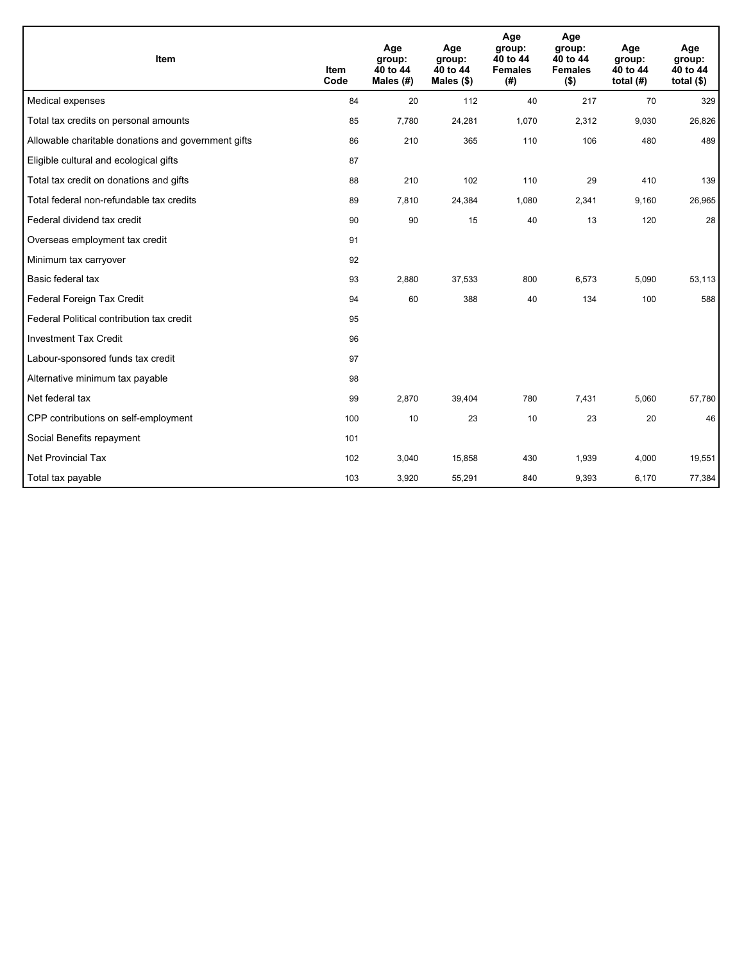| Item                                                | <b>Item</b><br>Code | Age<br>group:<br>40 to 44<br>Males $(H)$ | Age<br>group:<br>40 to 44<br>Males (\$) | Age<br>group:<br>40 to 44<br><b>Females</b><br>(#) | Age<br>group:<br>40 to 44<br><b>Females</b><br>$($ \$) | Age<br>group:<br>40 to 44<br>total $(H)$ | Age<br>group:<br>40 to 44<br>total $($ |
|-----------------------------------------------------|---------------------|------------------------------------------|-----------------------------------------|----------------------------------------------------|--------------------------------------------------------|------------------------------------------|----------------------------------------|
| Medical expenses                                    | 84                  | 20                                       | 112                                     | 40                                                 | 217                                                    | 70                                       | 329                                    |
| Total tax credits on personal amounts               | 85                  | 7,780                                    | 24,281                                  | 1,070                                              | 2,312                                                  | 9,030                                    | 26,826                                 |
| Allowable charitable donations and government gifts | 86                  | 210                                      | 365                                     | 110                                                | 106                                                    | 480                                      | 489                                    |
| Eligible cultural and ecological gifts              | 87                  |                                          |                                         |                                                    |                                                        |                                          |                                        |
| Total tax credit on donations and gifts             | 88                  | 210                                      | 102                                     | 110                                                | 29                                                     | 410                                      | 139                                    |
| Total federal non-refundable tax credits            | 89                  | 7,810                                    | 24,384                                  | 1,080                                              | 2,341                                                  | 9,160                                    | 26,965                                 |
| Federal dividend tax credit                         | 90                  | 90                                       | 15                                      | 40                                                 | 13                                                     | 120                                      | 28                                     |
| Overseas employment tax credit                      | 91                  |                                          |                                         |                                                    |                                                        |                                          |                                        |
| Minimum tax carryover                               | 92                  |                                          |                                         |                                                    |                                                        |                                          |                                        |
| Basic federal tax                                   | 93                  | 2,880                                    | 37,533                                  | 800                                                | 6,573                                                  | 5,090                                    | 53,113                                 |
| Federal Foreign Tax Credit                          | 94                  | 60                                       | 388                                     | 40                                                 | 134                                                    | 100                                      | 588                                    |
| Federal Political contribution tax credit           | 95                  |                                          |                                         |                                                    |                                                        |                                          |                                        |
| <b>Investment Tax Credit</b>                        | 96                  |                                          |                                         |                                                    |                                                        |                                          |                                        |
| Labour-sponsored funds tax credit                   | 97                  |                                          |                                         |                                                    |                                                        |                                          |                                        |
| Alternative minimum tax payable                     | 98                  |                                          |                                         |                                                    |                                                        |                                          |                                        |
| Net federal tax                                     | 99                  | 2,870                                    | 39,404                                  | 780                                                | 7,431                                                  | 5,060                                    | 57,780                                 |
| CPP contributions on self-employment                | 100                 | 10                                       | 23                                      | 10                                                 | 23                                                     | 20                                       | 46                                     |
| Social Benefits repayment                           | 101                 |                                          |                                         |                                                    |                                                        |                                          |                                        |
| <b>Net Provincial Tax</b>                           | 102                 | 3,040                                    | 15,858                                  | 430                                                | 1,939                                                  | 4,000                                    | 19,551                                 |
| Total tax payable                                   | 103                 | 3,920                                    | 55,291                                  | 840                                                | 9,393                                                  | 6,170                                    | 77,384                                 |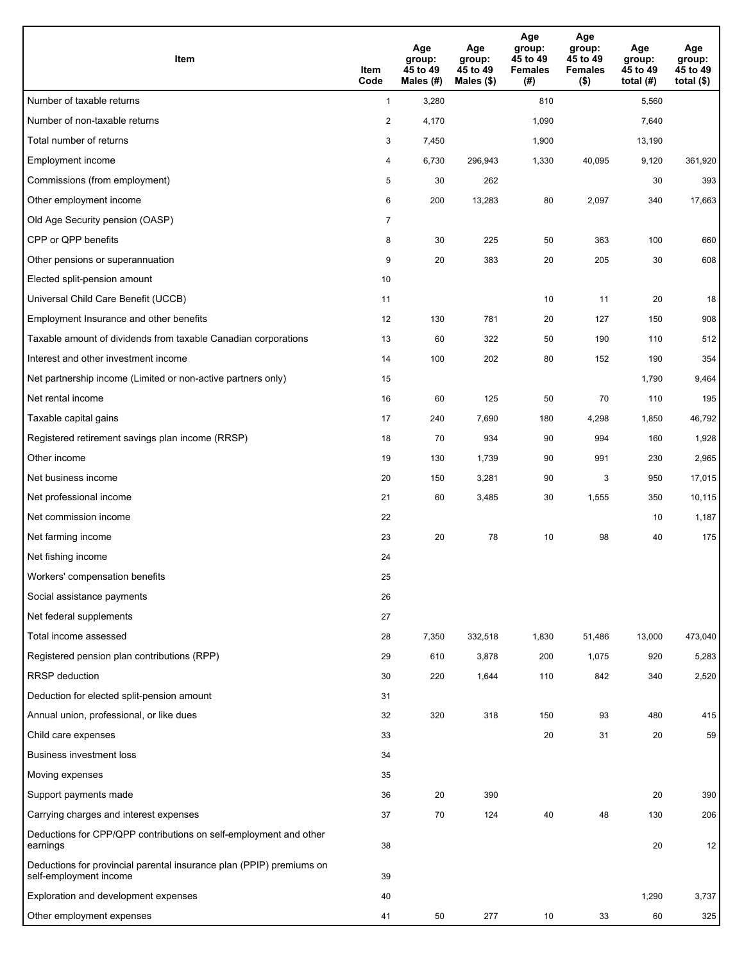| Item                                                                                           | Item<br>Code   | Age<br>group:<br>45 to 49<br>Males (#) | Age<br>group:<br>45 to 49<br>Males (\$) | Age<br>group:<br>45 to 49<br><b>Females</b><br>(#) | Age<br>group:<br>45 to 49<br><b>Females</b><br>$($ \$) | Age<br>group:<br>45 to 49<br>total (#) | Age<br>group:<br>45 to 49<br>total $($ |
|------------------------------------------------------------------------------------------------|----------------|----------------------------------------|-----------------------------------------|----------------------------------------------------|--------------------------------------------------------|----------------------------------------|----------------------------------------|
| Number of taxable returns                                                                      | $\mathbf{1}$   | 3,280                                  |                                         | 810                                                |                                                        | 5,560                                  |                                        |
| Number of non-taxable returns                                                                  | $\overline{2}$ | 4,170                                  |                                         | 1,090                                              |                                                        | 7,640                                  |                                        |
| Total number of returns                                                                        | 3              | 7,450                                  |                                         | 1,900                                              |                                                        | 13,190                                 |                                        |
| Employment income                                                                              | 4              | 6,730                                  | 296,943                                 | 1,330                                              | 40,095                                                 | 9,120                                  | 361,920                                |
| Commissions (from employment)                                                                  | 5              | 30                                     | 262                                     |                                                    |                                                        | 30                                     | 393                                    |
| Other employment income                                                                        | 6              | 200                                    | 13,283                                  | 80                                                 | 2,097                                                  | 340                                    | 17,663                                 |
| Old Age Security pension (OASP)                                                                | $\overline{7}$ |                                        |                                         |                                                    |                                                        |                                        |                                        |
| CPP or QPP benefits                                                                            | 8              | 30                                     | 225                                     | 50                                                 | 363                                                    | 100                                    | 660                                    |
| Other pensions or superannuation                                                               | 9              | 20                                     | 383                                     | 20                                                 | 205                                                    | 30                                     | 608                                    |
| Elected split-pension amount                                                                   | 10             |                                        |                                         |                                                    |                                                        |                                        |                                        |
| Universal Child Care Benefit (UCCB)                                                            | 11             |                                        |                                         | 10                                                 | 11                                                     | 20                                     | 18                                     |
| Employment Insurance and other benefits                                                        | 12             | 130                                    | 781                                     | 20                                                 | 127                                                    | 150                                    | 908                                    |
| Taxable amount of dividends from taxable Canadian corporations                                 | 13             | 60                                     | 322                                     | 50                                                 | 190                                                    | 110                                    | 512                                    |
| Interest and other investment income                                                           | 14             | 100                                    | 202                                     | 80                                                 | 152                                                    | 190                                    | 354                                    |
| Net partnership income (Limited or non-active partners only)                                   | 15             |                                        |                                         |                                                    |                                                        | 1,790                                  | 9,464                                  |
| Net rental income                                                                              | 16             | 60                                     | 125                                     | 50                                                 | 70                                                     | 110                                    | 195                                    |
| Taxable capital gains                                                                          | 17             | 240                                    | 7,690                                   | 180                                                | 4,298                                                  | 1,850                                  | 46,792                                 |
| Registered retirement savings plan income (RRSP)                                               | 18             | 70                                     | 934                                     | 90                                                 | 994                                                    | 160                                    | 1,928                                  |
| Other income                                                                                   | 19             | 130                                    | 1,739                                   | 90                                                 | 991                                                    | 230                                    | 2,965                                  |
| Net business income                                                                            | 20             | 150                                    | 3,281                                   | 90                                                 | 3                                                      | 950                                    | 17,015                                 |
| Net professional income                                                                        | 21             | 60                                     | 3,485                                   | 30                                                 | 1,555                                                  | 350                                    | 10,115                                 |
| Net commission income                                                                          | 22             |                                        |                                         |                                                    |                                                        | 10                                     | 1,187                                  |
| Net farming income                                                                             | 23             | 20                                     | 78                                      | 10                                                 | 98                                                     | 40                                     | 175                                    |
| Net fishing income                                                                             | 24             |                                        |                                         |                                                    |                                                        |                                        |                                        |
| Workers' compensation benefits                                                                 | 25             |                                        |                                         |                                                    |                                                        |                                        |                                        |
| Social assistance payments                                                                     | 26             |                                        |                                         |                                                    |                                                        |                                        |                                        |
| Net federal supplements                                                                        | 27             |                                        |                                         |                                                    |                                                        |                                        |                                        |
| Total income assessed                                                                          | 28             | 7,350                                  | 332,518                                 | 1,830                                              | 51,486                                                 | 13,000                                 | 473,040                                |
| Registered pension plan contributions (RPP)                                                    | 29             | 610                                    | 3,878                                   | 200                                                | 1,075                                                  | 920                                    | 5,283                                  |
| <b>RRSP</b> deduction                                                                          | 30             | 220                                    | 1,644                                   | 110                                                | 842                                                    | 340                                    | 2,520                                  |
| Deduction for elected split-pension amount                                                     | 31             |                                        |                                         |                                                    |                                                        |                                        |                                        |
| Annual union, professional, or like dues                                                       | 32             | 320                                    | 318                                     | 150                                                | 93                                                     | 480                                    | 415                                    |
| Child care expenses                                                                            | 33             |                                        |                                         | 20                                                 | 31                                                     | 20                                     | 59                                     |
| <b>Business investment loss</b>                                                                | 34             |                                        |                                         |                                                    |                                                        |                                        |                                        |
| Moving expenses                                                                                | 35             |                                        |                                         |                                                    |                                                        |                                        |                                        |
| Support payments made                                                                          | 36             | 20                                     | 390                                     |                                                    |                                                        | 20                                     | 390                                    |
| Carrying charges and interest expenses                                                         | 37             | 70                                     | 124                                     | 40                                                 | 48                                                     | 130                                    | 206                                    |
| Deductions for CPP/QPP contributions on self-employment and other<br>earnings                  | 38             |                                        |                                         |                                                    |                                                        | 20                                     | 12                                     |
| Deductions for provincial parental insurance plan (PPIP) premiums on<br>self-employment income | 39             |                                        |                                         |                                                    |                                                        |                                        |                                        |
| Exploration and development expenses                                                           | 40             |                                        |                                         |                                                    |                                                        | 1,290                                  | 3,737                                  |
| Other employment expenses                                                                      | 41             | 50                                     | 277                                     | 10                                                 | 33                                                     | 60                                     | 325                                    |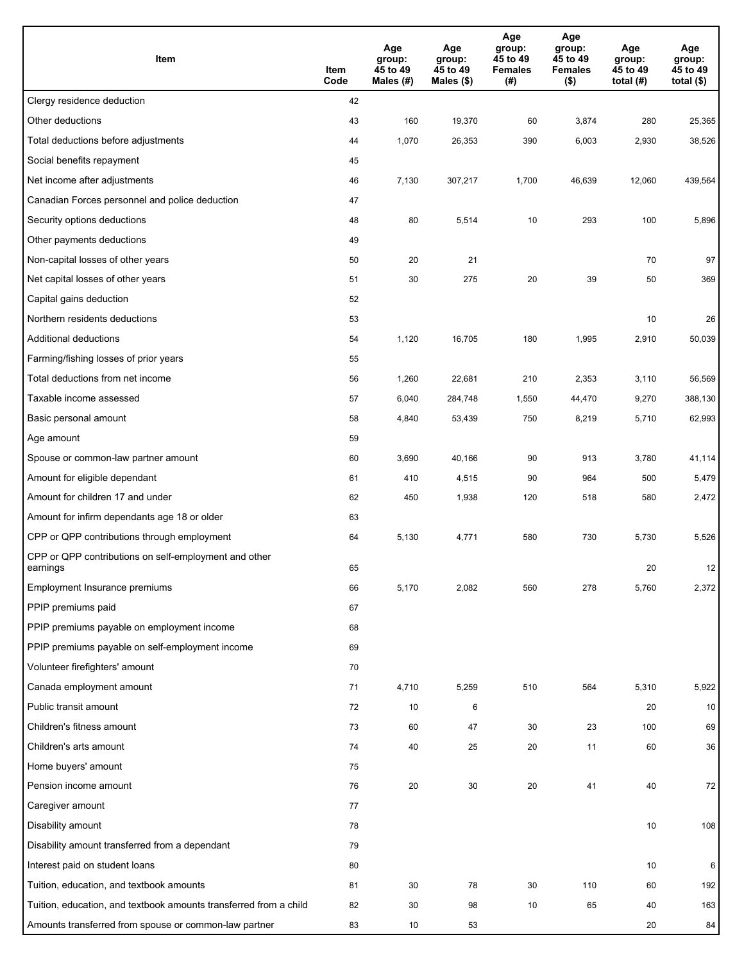| Item                                                              | Item<br>Code | Age<br>group:<br>45 to 49<br>Males $(H)$ | Age<br>group:<br>45 to 49<br>Males (\$) | Age<br>group:<br>45 to 49<br><b>Females</b><br>(#) | Age<br>group:<br>45 to 49<br><b>Females</b><br>$($ \$) | Age<br>group:<br>45 to 49<br>total $(#)$ | Age<br>group:<br>45 to 49<br>total $($)$ |
|-------------------------------------------------------------------|--------------|------------------------------------------|-----------------------------------------|----------------------------------------------------|--------------------------------------------------------|------------------------------------------|------------------------------------------|
| Clergy residence deduction                                        | 42           |                                          |                                         |                                                    |                                                        |                                          |                                          |
| Other deductions                                                  | 43           | 160                                      | 19,370                                  | 60                                                 | 3,874                                                  | 280                                      | 25,365                                   |
| Total deductions before adjustments                               | 44           | 1,070                                    | 26,353                                  | 390                                                | 6,003                                                  | 2,930                                    | 38,526                                   |
| Social benefits repayment                                         | 45           |                                          |                                         |                                                    |                                                        |                                          |                                          |
| Net income after adjustments                                      | 46           | 7,130                                    | 307,217                                 | 1,700                                              | 46,639                                                 | 12,060                                   | 439,564                                  |
| Canadian Forces personnel and police deduction                    | 47           |                                          |                                         |                                                    |                                                        |                                          |                                          |
| Security options deductions                                       | 48           | 80                                       | 5,514                                   | 10                                                 | 293                                                    | 100                                      | 5,896                                    |
| Other payments deductions                                         | 49           |                                          |                                         |                                                    |                                                        |                                          |                                          |
| Non-capital losses of other years                                 | 50           | 20                                       | 21                                      |                                                    |                                                        | 70                                       | 97                                       |
| Net capital losses of other years                                 | 51           | 30                                       | 275                                     | 20                                                 | 39                                                     | 50                                       | 369                                      |
| Capital gains deduction                                           | 52           |                                          |                                         |                                                    |                                                        |                                          |                                          |
| Northern residents deductions                                     | 53           |                                          |                                         |                                                    |                                                        | 10                                       | 26                                       |
| Additional deductions                                             | 54           | 1,120                                    | 16,705                                  | 180                                                | 1,995                                                  | 2,910                                    | 50,039                                   |
| Farming/fishing losses of prior years                             | 55           |                                          |                                         |                                                    |                                                        |                                          |                                          |
| Total deductions from net income                                  | 56           | 1,260                                    | 22,681                                  | 210                                                | 2,353                                                  | 3,110                                    | 56,569                                   |
| Taxable income assessed                                           | 57           | 6,040                                    | 284,748                                 | 1,550                                              | 44,470                                                 | 9,270                                    | 388,130                                  |
| Basic personal amount                                             | 58           | 4,840                                    | 53,439                                  | 750                                                | 8,219                                                  | 5,710                                    | 62,993                                   |
| Age amount                                                        | 59           |                                          |                                         |                                                    |                                                        |                                          |                                          |
| Spouse or common-law partner amount                               | 60           | 3,690                                    | 40,166                                  | 90                                                 | 913                                                    | 3,780                                    | 41,114                                   |
| Amount for eligible dependant                                     | 61           | 410                                      | 4,515                                   | 90                                                 | 964                                                    | 500                                      | 5,479                                    |
| Amount for children 17 and under                                  | 62           | 450                                      | 1,938                                   | 120                                                | 518                                                    | 580                                      | 2,472                                    |
| Amount for infirm dependants age 18 or older                      | 63           |                                          |                                         |                                                    |                                                        |                                          |                                          |
| CPP or QPP contributions through employment                       | 64           | 5,130                                    | 4,771                                   | 580                                                | 730                                                    | 5,730                                    | 5,526                                    |
| CPP or QPP contributions on self-employment and other<br>earnings | 65           |                                          |                                         |                                                    |                                                        | 20                                       | 12                                       |
| Employment Insurance premiums                                     | 66           | 5,170                                    | 2,082                                   | 560                                                | 278                                                    | 5,760                                    | 2,372                                    |
| PPIP premiums paid                                                | 67           |                                          |                                         |                                                    |                                                        |                                          |                                          |
| PPIP premiums payable on employment income                        | 68           |                                          |                                         |                                                    |                                                        |                                          |                                          |
| PPIP premiums payable on self-employment income                   | 69           |                                          |                                         |                                                    |                                                        |                                          |                                          |
| Volunteer firefighters' amount                                    | 70           |                                          |                                         |                                                    |                                                        |                                          |                                          |
| Canada employment amount                                          | 71           | 4,710                                    | 5,259                                   | 510                                                | 564                                                    | 5,310                                    | 5,922                                    |
| Public transit amount                                             | 72           | 10                                       | 6                                       |                                                    |                                                        | 20                                       | 10                                       |
| Children's fitness amount                                         | 73           | 60                                       | 47                                      | 30                                                 | 23                                                     | 100                                      | 69                                       |
| Children's arts amount                                            | 74           | 40                                       | 25                                      | 20                                                 | 11                                                     | 60                                       | 36                                       |
| Home buyers' amount                                               | 75           |                                          |                                         |                                                    |                                                        |                                          |                                          |
| Pension income amount                                             | 76           | 20                                       | 30                                      | 20                                                 | 41                                                     | 40                                       | 72                                       |
| Caregiver amount                                                  | 77           |                                          |                                         |                                                    |                                                        |                                          |                                          |
| Disability amount                                                 | 78           |                                          |                                         |                                                    |                                                        | 10                                       | 108                                      |
| Disability amount transferred from a dependant                    | 79           |                                          |                                         |                                                    |                                                        |                                          |                                          |
| Interest paid on student loans                                    | 80           |                                          |                                         |                                                    |                                                        | 10                                       | 6                                        |
| Tuition, education, and textbook amounts                          | 81           | 30                                       | 78                                      | 30                                                 | 110                                                    | 60                                       | 192                                      |
| Tuition, education, and textbook amounts transferred from a child | 82           | 30                                       | 98                                      | 10                                                 | 65                                                     | 40                                       | 163                                      |
| Amounts transferred from spouse or common-law partner             | 83           | 10                                       | 53                                      |                                                    |                                                        | 20                                       | 84                                       |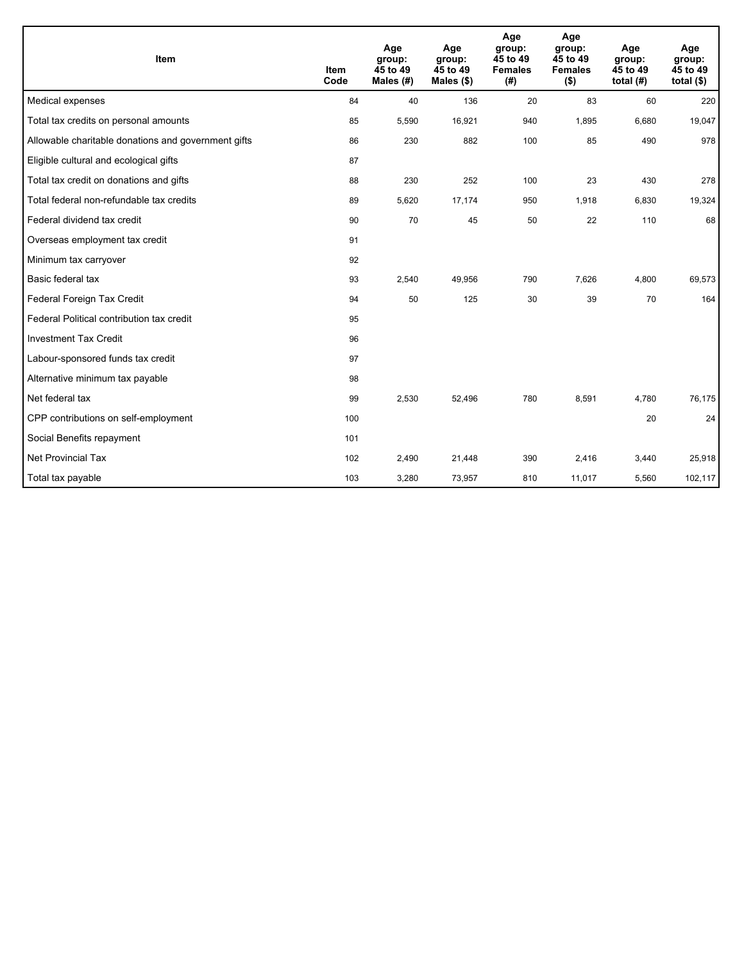| Item                                                | <b>Item</b><br>Code | Age<br>group:<br>45 to 49<br>Males $(H)$ | Age<br>group:<br>45 to 49<br>Males (\$) | Age<br>group:<br>45 to 49<br><b>Females</b><br>(#) | Age<br>group:<br>45 to 49<br><b>Females</b><br>$($ \$) | Age<br>group:<br>45 to 49<br>total $(H)$ | Age<br>group:<br>45 to 49<br>total $($ |
|-----------------------------------------------------|---------------------|------------------------------------------|-----------------------------------------|----------------------------------------------------|--------------------------------------------------------|------------------------------------------|----------------------------------------|
| Medical expenses                                    | 84                  | 40                                       | 136                                     | 20                                                 | 83                                                     | 60                                       | 220                                    |
| Total tax credits on personal amounts               | 85                  | 5,590                                    | 16,921                                  | 940                                                | 1,895                                                  | 6,680                                    | 19,047                                 |
| Allowable charitable donations and government gifts | 86                  | 230                                      | 882                                     | 100                                                | 85                                                     | 490                                      | 978                                    |
| Eligible cultural and ecological gifts              | 87                  |                                          |                                         |                                                    |                                                        |                                          |                                        |
| Total tax credit on donations and gifts             | 88                  | 230                                      | 252                                     | 100                                                | 23                                                     | 430                                      | 278                                    |
| Total federal non-refundable tax credits            | 89                  | 5,620                                    | 17,174                                  | 950                                                | 1,918                                                  | 6,830                                    | 19,324                                 |
| Federal dividend tax credit                         | 90                  | 70                                       | 45                                      | 50                                                 | 22                                                     | 110                                      | 68                                     |
| Overseas employment tax credit                      | 91                  |                                          |                                         |                                                    |                                                        |                                          |                                        |
| Minimum tax carryover                               | 92                  |                                          |                                         |                                                    |                                                        |                                          |                                        |
| Basic federal tax                                   | 93                  | 2,540                                    | 49,956                                  | 790                                                | 7,626                                                  | 4,800                                    | 69,573                                 |
| Federal Foreign Tax Credit                          | 94                  | 50                                       | 125                                     | 30                                                 | 39                                                     | 70                                       | 164                                    |
| Federal Political contribution tax credit           | 95                  |                                          |                                         |                                                    |                                                        |                                          |                                        |
| <b>Investment Tax Credit</b>                        | 96                  |                                          |                                         |                                                    |                                                        |                                          |                                        |
| Labour-sponsored funds tax credit                   | 97                  |                                          |                                         |                                                    |                                                        |                                          |                                        |
| Alternative minimum tax payable                     | 98                  |                                          |                                         |                                                    |                                                        |                                          |                                        |
| Net federal tax                                     | 99                  | 2,530                                    | 52,496                                  | 780                                                | 8,591                                                  | 4,780                                    | 76,175                                 |
| CPP contributions on self-employment                | 100                 |                                          |                                         |                                                    |                                                        | 20                                       | 24                                     |
| Social Benefits repayment                           | 101                 |                                          |                                         |                                                    |                                                        |                                          |                                        |
| <b>Net Provincial Tax</b>                           | 102                 | 2,490                                    | 21,448                                  | 390                                                | 2,416                                                  | 3,440                                    | 25,918                                 |
| Total tax payable                                   | 103                 | 3,280                                    | 73,957                                  | 810                                                | 11,017                                                 | 5,560                                    | 102,117                                |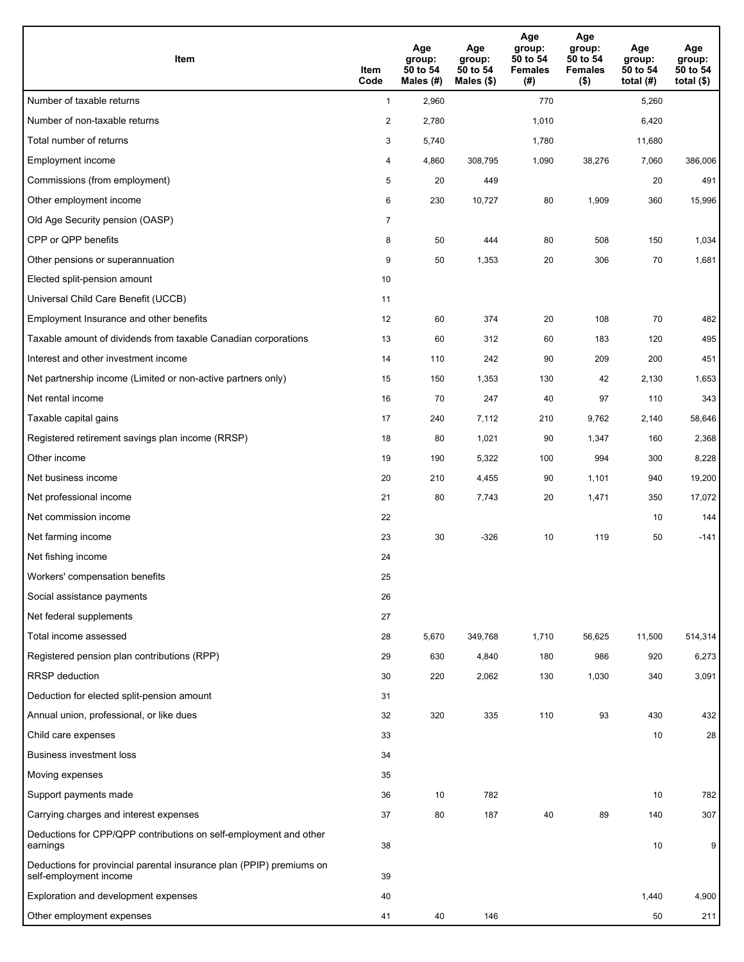| <b>Item</b>                                                                                    | Item<br>Code            | Age<br>group:<br>50 to 54<br>Males (#) | Age<br>group:<br>50 to 54<br>Males $(\$)$ | Age<br>group:<br>50 to 54<br><b>Females</b><br>(#) | Age<br>group:<br>50 to 54<br><b>Females</b><br>$($ \$) | Age<br>group:<br>50 to 54<br>total $(H)$ | Age<br>group:<br>50 to 54<br>total $($)$ |
|------------------------------------------------------------------------------------------------|-------------------------|----------------------------------------|-------------------------------------------|----------------------------------------------------|--------------------------------------------------------|------------------------------------------|------------------------------------------|
| Number of taxable returns                                                                      | $\mathbf{1}$            | 2,960                                  |                                           | 770                                                |                                                        | 5,260                                    |                                          |
| Number of non-taxable returns                                                                  | $\overline{\mathbf{c}}$ | 2,780                                  |                                           | 1,010                                              |                                                        | 6,420                                    |                                          |
| Total number of returns                                                                        | 3                       | 5,740                                  |                                           | 1,780                                              |                                                        | 11,680                                   |                                          |
| Employment income                                                                              | 4                       | 4,860                                  | 308,795                                   | 1,090                                              | 38,276                                                 | 7,060                                    | 386,006                                  |
| Commissions (from employment)                                                                  | 5                       | 20                                     | 449                                       |                                                    |                                                        | 20                                       | 491                                      |
| Other employment income                                                                        | 6                       | 230                                    | 10,727                                    | 80                                                 | 1,909                                                  | 360                                      | 15,996                                   |
| Old Age Security pension (OASP)                                                                | $\overline{7}$          |                                        |                                           |                                                    |                                                        |                                          |                                          |
| CPP or QPP benefits                                                                            | 8                       | 50                                     | 444                                       | 80                                                 | 508                                                    | 150                                      | 1,034                                    |
| Other pensions or superannuation                                                               | 9                       | 50                                     | 1,353                                     | 20                                                 | 306                                                    | 70                                       | 1,681                                    |
| Elected split-pension amount                                                                   | 10                      |                                        |                                           |                                                    |                                                        |                                          |                                          |
| Universal Child Care Benefit (UCCB)                                                            | 11                      |                                        |                                           |                                                    |                                                        |                                          |                                          |
| Employment Insurance and other benefits                                                        | 12                      | 60                                     | 374                                       | 20                                                 | 108                                                    | 70                                       | 482                                      |
| Taxable amount of dividends from taxable Canadian corporations                                 | 13                      | 60                                     | 312                                       | 60                                                 | 183                                                    | 120                                      | 495                                      |
| Interest and other investment income                                                           | 14                      | 110                                    | 242                                       | 90                                                 | 209                                                    | 200                                      | 451                                      |
| Net partnership income (Limited or non-active partners only)                                   | 15                      | 150                                    | 1,353                                     | 130                                                | 42                                                     | 2,130                                    | 1,653                                    |
| Net rental income                                                                              | 16                      | 70                                     | 247                                       | 40                                                 | 97                                                     | 110                                      | 343                                      |
| Taxable capital gains                                                                          | 17                      | 240                                    | 7,112                                     | 210                                                | 9,762                                                  | 2,140                                    | 58,646                                   |
| Registered retirement savings plan income (RRSP)                                               | 18                      | 80                                     | 1,021                                     | 90                                                 | 1,347                                                  | 160                                      | 2,368                                    |
| Other income                                                                                   | 19                      | 190                                    | 5,322                                     | 100                                                | 994                                                    | 300                                      | 8,228                                    |
| Net business income                                                                            | 20                      | 210                                    | 4,455                                     | 90                                                 | 1,101                                                  | 940                                      | 19,200                                   |
| Net professional income                                                                        | 21                      | 80                                     | 7,743                                     | 20                                                 | 1,471                                                  | 350                                      | 17,072                                   |
| Net commission income                                                                          | 22                      |                                        |                                           |                                                    |                                                        | 10                                       | 144                                      |
| Net farming income                                                                             | 23                      | 30                                     | $-326$                                    | 10                                                 | 119                                                    | 50                                       | $-141$                                   |
| Net fishing income                                                                             | 24                      |                                        |                                           |                                                    |                                                        |                                          |                                          |
| Workers' compensation benefits                                                                 | 25                      |                                        |                                           |                                                    |                                                        |                                          |                                          |
| Social assistance payments                                                                     | 26                      |                                        |                                           |                                                    |                                                        |                                          |                                          |
| Net federal supplements                                                                        | 27                      |                                        |                                           |                                                    |                                                        |                                          |                                          |
| Total income assessed                                                                          | 28                      | 5,670                                  | 349,768                                   | 1,710                                              | 56,625                                                 | 11,500                                   | 514,314                                  |
| Registered pension plan contributions (RPP)                                                    | 29                      | 630                                    | 4,840                                     | 180                                                | 986                                                    | 920                                      | 6,273                                    |
| RRSP deduction                                                                                 | 30                      | 220                                    | 2,062                                     | 130                                                | 1,030                                                  | 340                                      | 3,091                                    |
| Deduction for elected split-pension amount                                                     | 31                      |                                        |                                           |                                                    |                                                        |                                          |                                          |
| Annual union, professional, or like dues                                                       | 32                      | 320                                    | 335                                       | 110                                                | 93                                                     | 430                                      | 432                                      |
| Child care expenses                                                                            | 33                      |                                        |                                           |                                                    |                                                        | 10                                       | 28                                       |
| <b>Business investment loss</b>                                                                | 34                      |                                        |                                           |                                                    |                                                        |                                          |                                          |
| Moving expenses                                                                                | 35                      |                                        |                                           |                                                    |                                                        |                                          |                                          |
| Support payments made                                                                          | 36                      | 10                                     | 782                                       |                                                    |                                                        | 10                                       | 782                                      |
| Carrying charges and interest expenses                                                         | 37                      | 80                                     | 187                                       | 40                                                 | 89                                                     | 140                                      | 307                                      |
| Deductions for CPP/QPP contributions on self-employment and other<br>earnings                  | 38                      |                                        |                                           |                                                    |                                                        | 10                                       | 9                                        |
| Deductions for provincial parental insurance plan (PPIP) premiums on<br>self-employment income | 39                      |                                        |                                           |                                                    |                                                        |                                          |                                          |
| Exploration and development expenses                                                           | 40                      |                                        |                                           |                                                    |                                                        | 1,440                                    | 4,900                                    |
| Other employment expenses                                                                      | 41                      | 40                                     | 146                                       |                                                    |                                                        | 50                                       | 211                                      |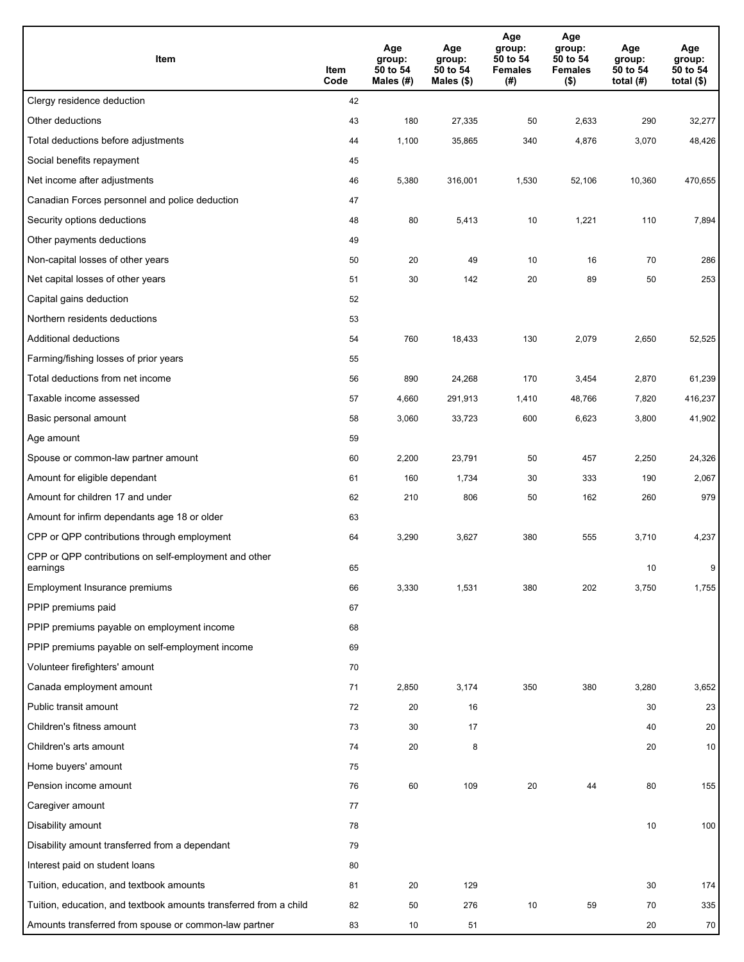| Item                                                              | Item<br>Code | Age<br>group:<br>50 to 54<br>Males $(\#)$ | Age<br>group:<br>50 to 54<br>Males (\$) | Age<br>group:<br>50 to 54<br><b>Females</b><br>(#) | Age<br>group:<br>50 to 54<br><b>Females</b><br>$($ \$) | Age<br>group:<br>50 to 54<br>total $(#)$ | Age<br>group:<br>50 to 54<br>total $($)$ |
|-------------------------------------------------------------------|--------------|-------------------------------------------|-----------------------------------------|----------------------------------------------------|--------------------------------------------------------|------------------------------------------|------------------------------------------|
| Clergy residence deduction                                        | 42           |                                           |                                         |                                                    |                                                        |                                          |                                          |
| Other deductions                                                  | 43           | 180                                       | 27,335                                  | 50                                                 | 2,633                                                  | 290                                      | 32,277                                   |
| Total deductions before adjustments                               | 44           | 1,100                                     | 35,865                                  | 340                                                | 4,876                                                  | 3,070                                    | 48,426                                   |
| Social benefits repayment                                         | 45           |                                           |                                         |                                                    |                                                        |                                          |                                          |
| Net income after adjustments                                      | 46           | 5,380                                     | 316,001                                 | 1,530                                              | 52,106                                                 | 10,360                                   | 470,655                                  |
| Canadian Forces personnel and police deduction                    | 47           |                                           |                                         |                                                    |                                                        |                                          |                                          |
| Security options deductions                                       | 48           | 80                                        | 5,413                                   | 10                                                 | 1,221                                                  | 110                                      | 7,894                                    |
| Other payments deductions                                         | 49           |                                           |                                         |                                                    |                                                        |                                          |                                          |
| Non-capital losses of other years                                 | 50           | 20                                        | 49                                      | 10                                                 | 16                                                     | 70                                       | 286                                      |
| Net capital losses of other years                                 | 51           | 30                                        | 142                                     | 20                                                 | 89                                                     | 50                                       | 253                                      |
| Capital gains deduction                                           | 52           |                                           |                                         |                                                    |                                                        |                                          |                                          |
| Northern residents deductions                                     | 53           |                                           |                                         |                                                    |                                                        |                                          |                                          |
| Additional deductions                                             | 54           | 760                                       | 18,433                                  | 130                                                | 2,079                                                  | 2,650                                    | 52,525                                   |
| Farming/fishing losses of prior years                             | 55           |                                           |                                         |                                                    |                                                        |                                          |                                          |
| Total deductions from net income                                  | 56           | 890                                       | 24,268                                  | 170                                                | 3,454                                                  | 2,870                                    | 61,239                                   |
| Taxable income assessed                                           | 57           | 4,660                                     | 291,913                                 | 1,410                                              | 48,766                                                 | 7,820                                    | 416,237                                  |
| Basic personal amount                                             | 58           | 3,060                                     | 33,723                                  | 600                                                | 6,623                                                  | 3,800                                    | 41,902                                   |
| Age amount                                                        | 59           |                                           |                                         |                                                    |                                                        |                                          |                                          |
| Spouse or common-law partner amount                               | 60           | 2,200                                     | 23,791                                  | 50                                                 | 457                                                    | 2,250                                    | 24,326                                   |
| Amount for eligible dependant                                     | 61           | 160                                       | 1,734                                   | 30                                                 | 333                                                    | 190                                      | 2,067                                    |
| Amount for children 17 and under                                  | 62           | 210                                       | 806                                     | 50                                                 | 162                                                    | 260                                      | 979                                      |
| Amount for infirm dependants age 18 or older                      | 63           |                                           |                                         |                                                    |                                                        |                                          |                                          |
| CPP or QPP contributions through employment                       | 64           | 3,290                                     | 3,627                                   | 380                                                | 555                                                    | 3,710                                    | 4,237                                    |
| CPP or QPP contributions on self-employment and other<br>earnings | 65           |                                           |                                         |                                                    |                                                        | 10                                       | 9                                        |
| Employment Insurance premiums                                     | 66           | 3,330                                     | 1,531                                   | 380                                                | 202                                                    | 3,750                                    | 1,755                                    |
| PPIP premiums paid                                                | 67           |                                           |                                         |                                                    |                                                        |                                          |                                          |
| PPIP premiums payable on employment income                        | 68           |                                           |                                         |                                                    |                                                        |                                          |                                          |
| PPIP premiums payable on self-employment income                   | 69           |                                           |                                         |                                                    |                                                        |                                          |                                          |
| Volunteer firefighters' amount                                    | 70           |                                           |                                         |                                                    |                                                        |                                          |                                          |
| Canada employment amount                                          | 71           | 2,850                                     | 3,174                                   | 350                                                | 380                                                    | 3,280                                    | 3,652                                    |
| Public transit amount                                             | 72           | 20                                        | 16                                      |                                                    |                                                        | 30                                       | 23                                       |
| Children's fitness amount                                         | 73           | 30                                        | 17                                      |                                                    |                                                        | 40                                       | 20                                       |
| Children's arts amount                                            | 74           | 20                                        | 8                                       |                                                    |                                                        | 20                                       | 10                                       |
| Home buyers' amount                                               | 75           |                                           |                                         |                                                    |                                                        |                                          |                                          |
| Pension income amount                                             | 76           | 60                                        | 109                                     | 20                                                 | 44                                                     | 80                                       | 155                                      |
| Caregiver amount                                                  | 77           |                                           |                                         |                                                    |                                                        |                                          |                                          |
| Disability amount                                                 | 78           |                                           |                                         |                                                    |                                                        | 10                                       | 100                                      |
| Disability amount transferred from a dependant                    | 79           |                                           |                                         |                                                    |                                                        |                                          |                                          |
| Interest paid on student loans                                    | 80           |                                           |                                         |                                                    |                                                        |                                          |                                          |
| Tuition, education, and textbook amounts                          | 81           | 20                                        | 129                                     |                                                    |                                                        | 30                                       | 174                                      |
| Tuition, education, and textbook amounts transferred from a child | 82           | 50                                        | 276                                     | 10                                                 | 59                                                     | 70                                       | 335                                      |
| Amounts transferred from spouse or common-law partner             | 83           | 10                                        | 51                                      |                                                    |                                                        | 20                                       | ${\bf 70}$                               |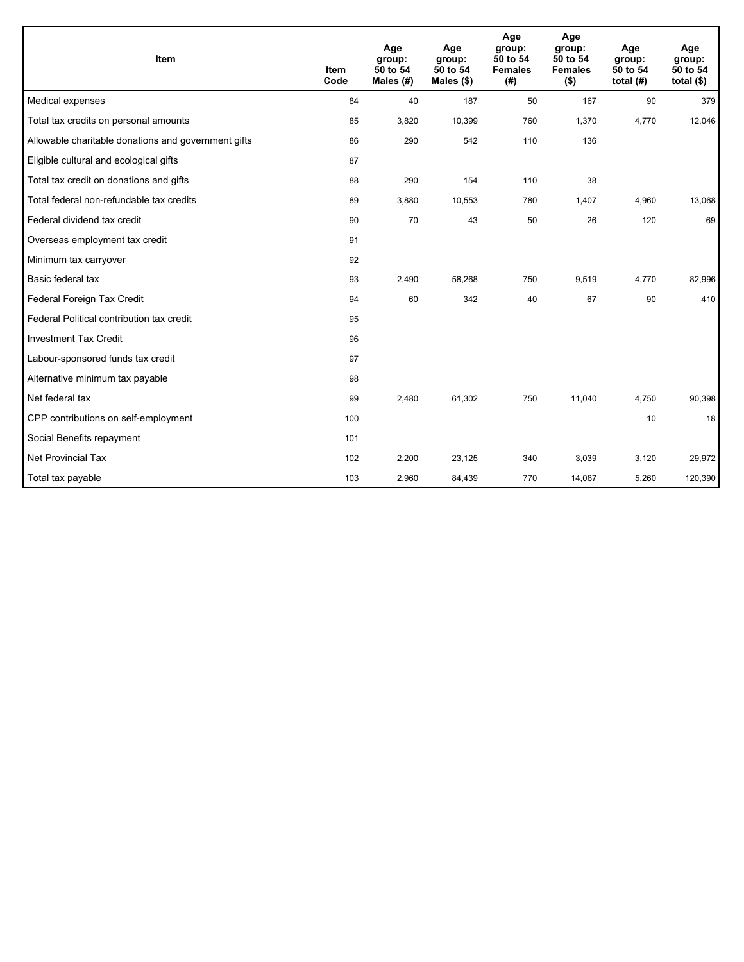| Item                                                | <b>Item</b><br>Code | Age<br>group:<br>50 to 54<br>Males $(H)$ | Age<br>group:<br>50 to 54<br>Males $(\$)$ | Age<br>group:<br>50 to 54<br><b>Females</b><br>(# ) | Age<br>group:<br>50 to 54<br><b>Females</b><br>$($ \$) | Age<br>group:<br>50 to 54<br>total $(H)$ | Age<br>group:<br>50 to 54<br>total $(§)$ |
|-----------------------------------------------------|---------------------|------------------------------------------|-------------------------------------------|-----------------------------------------------------|--------------------------------------------------------|------------------------------------------|------------------------------------------|
| Medical expenses                                    | 84                  | 40                                       | 187                                       | 50                                                  | 167                                                    | 90                                       | 379                                      |
| Total tax credits on personal amounts               | 85                  | 3,820                                    | 10,399                                    | 760                                                 | 1,370                                                  | 4,770                                    | 12,046                                   |
| Allowable charitable donations and government gifts | 86                  | 290                                      | 542                                       | 110                                                 | 136                                                    |                                          |                                          |
| Eligible cultural and ecological gifts              | 87                  |                                          |                                           |                                                     |                                                        |                                          |                                          |
| Total tax credit on donations and gifts             | 88                  | 290                                      | 154                                       | 110                                                 | 38                                                     |                                          |                                          |
| Total federal non-refundable tax credits            | 89                  | 3,880                                    | 10,553                                    | 780                                                 | 1,407                                                  | 4,960                                    | 13,068                                   |
| Federal dividend tax credit                         | 90                  | 70                                       | 43                                        | 50                                                  | 26                                                     | 120                                      | 69                                       |
| Overseas employment tax credit                      | 91                  |                                          |                                           |                                                     |                                                        |                                          |                                          |
| Minimum tax carryover                               | 92                  |                                          |                                           |                                                     |                                                        |                                          |                                          |
| Basic federal tax                                   | 93                  | 2,490                                    | 58,268                                    | 750                                                 | 9,519                                                  | 4,770                                    | 82,996                                   |
| Federal Foreign Tax Credit                          | 94                  | 60                                       | 342                                       | 40                                                  | 67                                                     | 90                                       | 410                                      |
| Federal Political contribution tax credit           | 95                  |                                          |                                           |                                                     |                                                        |                                          |                                          |
| <b>Investment Tax Credit</b>                        | 96                  |                                          |                                           |                                                     |                                                        |                                          |                                          |
| Labour-sponsored funds tax credit                   | 97                  |                                          |                                           |                                                     |                                                        |                                          |                                          |
| Alternative minimum tax payable                     | 98                  |                                          |                                           |                                                     |                                                        |                                          |                                          |
| Net federal tax                                     | 99                  | 2,480                                    | 61,302                                    | 750                                                 | 11.040                                                 | 4,750                                    | 90,398                                   |
| CPP contributions on self-employment                | 100                 |                                          |                                           |                                                     |                                                        | 10                                       | 18                                       |
| Social Benefits repayment                           | 101                 |                                          |                                           |                                                     |                                                        |                                          |                                          |
| <b>Net Provincial Tax</b>                           | 102                 | 2,200                                    | 23,125                                    | 340                                                 | 3,039                                                  | 3,120                                    | 29,972                                   |
| Total tax payable                                   | 103                 | 2,960                                    | 84,439                                    | 770                                                 | 14,087                                                 | 5,260                                    | 120,390                                  |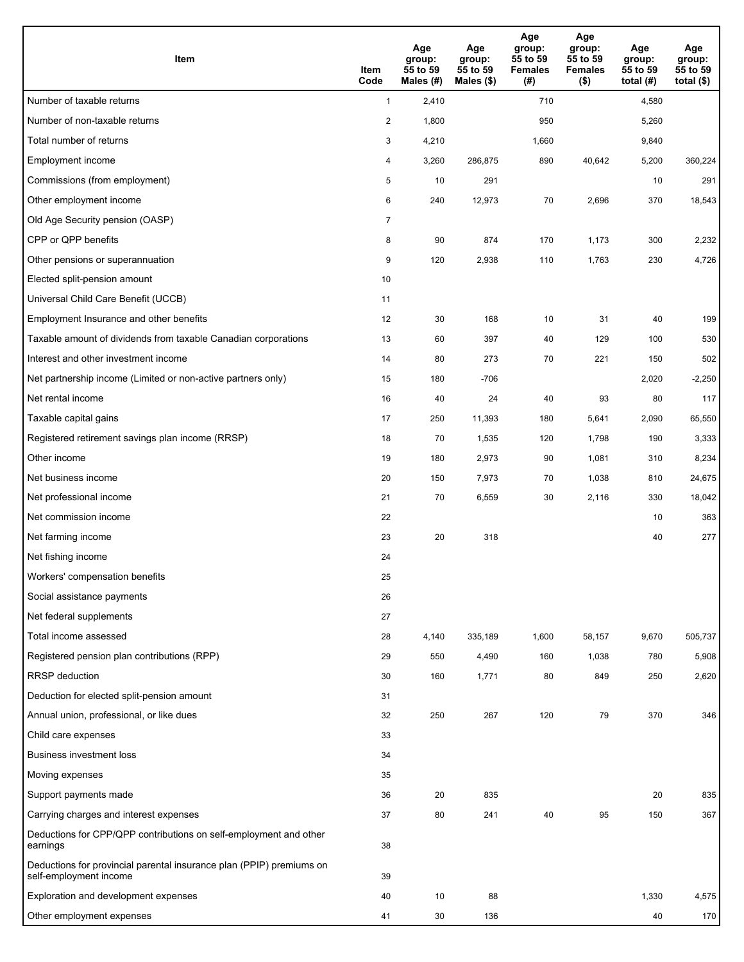| Item                                                                                           | Item<br>Code   | Age<br>group:<br>55 to 59<br>Males (#) | Age<br>group:<br>55 to 59<br>Males (\$) | Age<br>group:<br>55 to 59<br><b>Females</b><br>(# ) | Age<br>group:<br>55 to 59<br><b>Females</b><br>$($ \$) | Age<br>group:<br>55 to 59<br>total (#) | Age<br>group:<br>55 to 59<br>total $($ |
|------------------------------------------------------------------------------------------------|----------------|----------------------------------------|-----------------------------------------|-----------------------------------------------------|--------------------------------------------------------|----------------------------------------|----------------------------------------|
| Number of taxable returns                                                                      | $\mathbf{1}$   | 2,410                                  |                                         | 710                                                 |                                                        | 4,580                                  |                                        |
| Number of non-taxable returns                                                                  | $\overline{2}$ | 1,800                                  |                                         | 950                                                 |                                                        | 5,260                                  |                                        |
| Total number of returns                                                                        | 3              | 4,210                                  |                                         | 1,660                                               |                                                        | 9,840                                  |                                        |
| Employment income                                                                              | 4              | 3,260                                  | 286,875                                 | 890                                                 | 40,642                                                 | 5,200                                  | 360,224                                |
| Commissions (from employment)                                                                  | 5              | 10                                     | 291                                     |                                                     |                                                        | 10                                     | 291                                    |
| Other employment income                                                                        | 6              | 240                                    | 12,973                                  | 70                                                  | 2,696                                                  | 370                                    | 18,543                                 |
| Old Age Security pension (OASP)                                                                | $\overline{7}$ |                                        |                                         |                                                     |                                                        |                                        |                                        |
| CPP or QPP benefits                                                                            | 8              | 90                                     | 874                                     | 170                                                 | 1,173                                                  | 300                                    | 2,232                                  |
| Other pensions or superannuation                                                               | 9              | 120                                    | 2,938                                   | 110                                                 | 1,763                                                  | 230                                    | 4,726                                  |
| Elected split-pension amount                                                                   | 10             |                                        |                                         |                                                     |                                                        |                                        |                                        |
| Universal Child Care Benefit (UCCB)                                                            | 11             |                                        |                                         |                                                     |                                                        |                                        |                                        |
| Employment Insurance and other benefits                                                        | 12             | 30                                     | 168                                     | 10                                                  | 31                                                     | 40                                     | 199                                    |
| Taxable amount of dividends from taxable Canadian corporations                                 | 13             | 60                                     | 397                                     | 40                                                  | 129                                                    | 100                                    | 530                                    |
| Interest and other investment income                                                           | 14             | 80                                     | 273                                     | 70                                                  | 221                                                    | 150                                    | 502                                    |
| Net partnership income (Limited or non-active partners only)                                   | 15             | 180                                    | $-706$                                  |                                                     |                                                        | 2,020                                  | $-2,250$                               |
| Net rental income                                                                              | 16             | 40                                     | 24                                      | 40                                                  | 93                                                     | 80                                     | 117                                    |
| Taxable capital gains                                                                          | 17             | 250                                    | 11,393                                  | 180                                                 | 5,641                                                  | 2,090                                  | 65,550                                 |
| Registered retirement savings plan income (RRSP)                                               | 18             | 70                                     | 1,535                                   | 120                                                 | 1,798                                                  | 190                                    | 3,333                                  |
| Other income                                                                                   | 19             | 180                                    | 2,973                                   | 90                                                  | 1,081                                                  | 310                                    | 8,234                                  |
| Net business income                                                                            | 20             | 150                                    | 7,973                                   | 70                                                  | 1,038                                                  | 810                                    | 24,675                                 |
| Net professional income                                                                        | 21             | 70                                     | 6,559                                   | 30                                                  | 2,116                                                  | 330                                    | 18,042                                 |
| Net commission income                                                                          | 22             |                                        |                                         |                                                     |                                                        | 10                                     | 363                                    |
| Net farming income                                                                             | 23             | 20                                     | 318                                     |                                                     |                                                        | 40                                     | 277                                    |
| Net fishing income                                                                             | 24             |                                        |                                         |                                                     |                                                        |                                        |                                        |
| Workers' compensation benefits                                                                 | 25             |                                        |                                         |                                                     |                                                        |                                        |                                        |
| Social assistance payments                                                                     | 26             |                                        |                                         |                                                     |                                                        |                                        |                                        |
| Net federal supplements                                                                        | 27             |                                        |                                         |                                                     |                                                        |                                        |                                        |
| Total income assessed                                                                          | 28             | 4,140                                  | 335,189                                 | 1,600                                               | 58,157                                                 | 9,670                                  | 505,737                                |
| Registered pension plan contributions (RPP)                                                    | 29             | 550                                    | 4,490                                   | 160                                                 | 1,038                                                  | 780                                    | 5,908                                  |
| <b>RRSP</b> deduction                                                                          | 30             | 160                                    | 1,771                                   | 80                                                  | 849                                                    | 250                                    | 2,620                                  |
| Deduction for elected split-pension amount                                                     | 31             |                                        |                                         |                                                     |                                                        |                                        |                                        |
| Annual union, professional, or like dues                                                       | 32             | 250                                    | 267                                     | 120                                                 | 79                                                     | 370                                    | 346                                    |
| Child care expenses                                                                            | 33             |                                        |                                         |                                                     |                                                        |                                        |                                        |
| <b>Business investment loss</b>                                                                | 34             |                                        |                                         |                                                     |                                                        |                                        |                                        |
| Moving expenses                                                                                | 35             |                                        |                                         |                                                     |                                                        |                                        |                                        |
| Support payments made                                                                          | 36             | 20                                     | 835                                     |                                                     |                                                        | 20                                     | 835                                    |
| Carrying charges and interest expenses                                                         | 37             | 80                                     | 241                                     | 40                                                  | 95                                                     | 150                                    | 367                                    |
| Deductions for CPP/QPP contributions on self-employment and other<br>earnings                  | 38             |                                        |                                         |                                                     |                                                        |                                        |                                        |
| Deductions for provincial parental insurance plan (PPIP) premiums on<br>self-employment income | 39             |                                        |                                         |                                                     |                                                        |                                        |                                        |
| Exploration and development expenses                                                           | 40             | 10                                     | 88                                      |                                                     |                                                        | 1,330                                  | 4,575                                  |
| Other employment expenses                                                                      | 41             | 30                                     | 136                                     |                                                     |                                                        | 40                                     | 170                                    |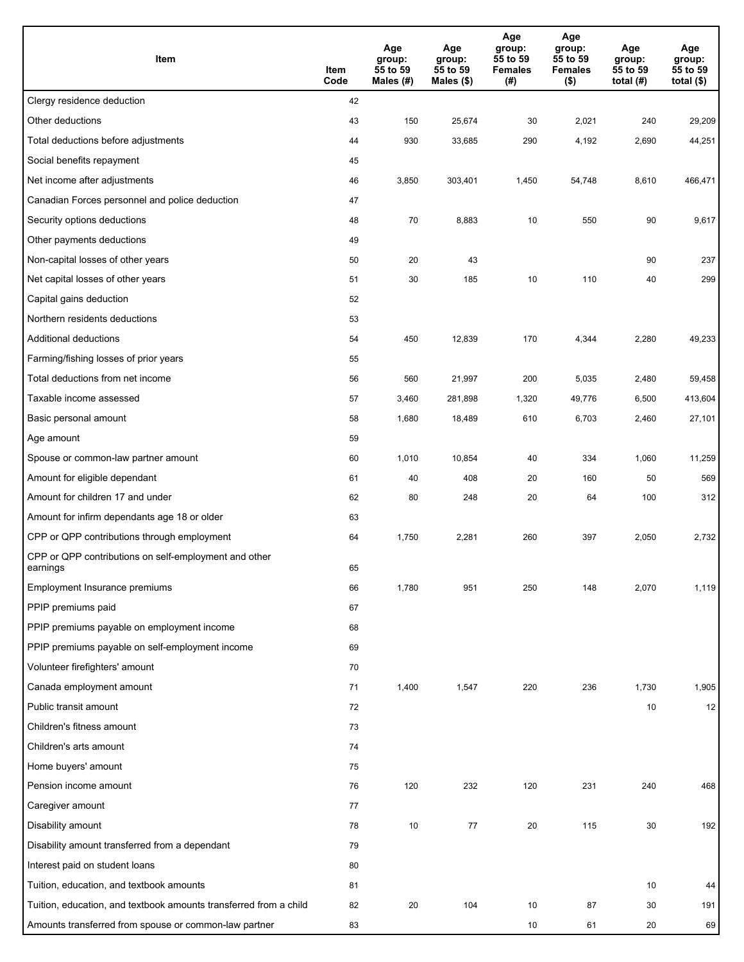| Item                                                              | Item<br>Code | Age<br>group:<br>55 to 59<br>Males (#) | Age<br>group:<br>55 to 59<br>Males (\$) | Age<br>group:<br>55 to 59<br><b>Females</b><br>(#) | Age<br>group:<br>55 to 59<br><b>Females</b><br>$($ \$) | Age<br>group:<br>55 to 59<br>total $(H)$ | Age<br>group:<br>55 to 59<br>total $($)$ |
|-------------------------------------------------------------------|--------------|----------------------------------------|-----------------------------------------|----------------------------------------------------|--------------------------------------------------------|------------------------------------------|------------------------------------------|
| Clergy residence deduction                                        | 42           |                                        |                                         |                                                    |                                                        |                                          |                                          |
| Other deductions                                                  | 43           | 150                                    | 25,674                                  | 30                                                 | 2,021                                                  | 240                                      | 29,209                                   |
| Total deductions before adjustments                               | 44           | 930                                    | 33,685                                  | 290                                                | 4,192                                                  | 2,690                                    | 44,251                                   |
| Social benefits repayment                                         | 45           |                                        |                                         |                                                    |                                                        |                                          |                                          |
| Net income after adjustments                                      | 46           | 3,850                                  | 303,401                                 | 1,450                                              | 54,748                                                 | 8,610                                    | 466,471                                  |
| Canadian Forces personnel and police deduction                    | 47           |                                        |                                         |                                                    |                                                        |                                          |                                          |
| Security options deductions                                       | 48           | 70                                     | 8,883                                   | 10                                                 | 550                                                    | 90                                       | 9,617                                    |
| Other payments deductions                                         | 49           |                                        |                                         |                                                    |                                                        |                                          |                                          |
| Non-capital losses of other years                                 | 50           | 20                                     | 43                                      |                                                    |                                                        | 90                                       | 237                                      |
| Net capital losses of other years                                 | 51           | 30                                     | 185                                     | 10                                                 | 110                                                    | 40                                       | 299                                      |
| Capital gains deduction                                           | 52           |                                        |                                         |                                                    |                                                        |                                          |                                          |
| Northern residents deductions                                     | 53           |                                        |                                         |                                                    |                                                        |                                          |                                          |
| Additional deductions                                             | 54           | 450                                    | 12,839                                  | 170                                                | 4,344                                                  | 2,280                                    | 49,233                                   |
| Farming/fishing losses of prior years                             | 55           |                                        |                                         |                                                    |                                                        |                                          |                                          |
| Total deductions from net income                                  | 56           | 560                                    | 21,997                                  | 200                                                | 5,035                                                  | 2,480                                    | 59,458                                   |
| Taxable income assessed                                           | 57           | 3,460                                  | 281,898                                 | 1,320                                              | 49,776                                                 | 6,500                                    | 413,604                                  |
| Basic personal amount                                             | 58           | 1,680                                  | 18,489                                  | 610                                                | 6,703                                                  | 2,460                                    | 27,101                                   |
| Age amount                                                        | 59           |                                        |                                         |                                                    |                                                        |                                          |                                          |
| Spouse or common-law partner amount                               | 60           | 1,010                                  | 10,854                                  | 40                                                 | 334                                                    | 1,060                                    | 11,259                                   |
| Amount for eligible dependant                                     | 61           | 40                                     | 408                                     | 20                                                 | 160                                                    | 50                                       | 569                                      |
| Amount for children 17 and under                                  | 62           | 80                                     | 248                                     | 20                                                 | 64                                                     | 100                                      | 312                                      |
| Amount for infirm dependants age 18 or older                      | 63           |                                        |                                         |                                                    |                                                        |                                          |                                          |
| CPP or QPP contributions through employment                       | 64           | 1,750                                  | 2,281                                   | 260                                                | 397                                                    | 2,050                                    | 2,732                                    |
| CPP or QPP contributions on self-employment and other<br>earnings | 65           |                                        |                                         |                                                    |                                                        |                                          |                                          |
| Employment Insurance premiums                                     | 66           | 1,780                                  | 951                                     | 250                                                | 148                                                    | 2,070                                    | 1,119                                    |
| PPIP premiums paid                                                | 67           |                                        |                                         |                                                    |                                                        |                                          |                                          |
| PPIP premiums payable on employment income                        | 68           |                                        |                                         |                                                    |                                                        |                                          |                                          |
| PPIP premiums payable on self-employment income                   | 69           |                                        |                                         |                                                    |                                                        |                                          |                                          |
| Volunteer firefighters' amount                                    | 70           |                                        |                                         |                                                    |                                                        |                                          |                                          |
| Canada employment amount                                          | 71           | 1,400                                  | 1,547                                   | 220                                                | 236                                                    | 1,730                                    | 1,905                                    |
| Public transit amount                                             | 72           |                                        |                                         |                                                    |                                                        | 10                                       | 12                                       |
| Children's fitness amount                                         | 73           |                                        |                                         |                                                    |                                                        |                                          |                                          |
| Children's arts amount                                            | 74           |                                        |                                         |                                                    |                                                        |                                          |                                          |
| Home buyers' amount                                               | 75           |                                        |                                         |                                                    |                                                        |                                          |                                          |
| Pension income amount                                             | 76           | 120                                    | 232                                     | 120                                                | 231                                                    | 240                                      | 468                                      |
| Caregiver amount                                                  | 77           |                                        |                                         |                                                    |                                                        |                                          |                                          |
| Disability amount                                                 | 78           | 10                                     | 77                                      | 20                                                 | 115                                                    | 30                                       | 192                                      |
| Disability amount transferred from a dependant                    | 79           |                                        |                                         |                                                    |                                                        |                                          |                                          |
| Interest paid on student loans                                    | 80           |                                        |                                         |                                                    |                                                        |                                          |                                          |
| Tuition, education, and textbook amounts                          | 81           |                                        |                                         |                                                    |                                                        | 10                                       | 44                                       |
| Tuition, education, and textbook amounts transferred from a child | 82           | 20                                     | 104                                     | 10                                                 | 87                                                     | 30                                       | 191                                      |
| Amounts transferred from spouse or common-law partner             | 83           |                                        |                                         | 10                                                 | 61                                                     | 20                                       | 69                                       |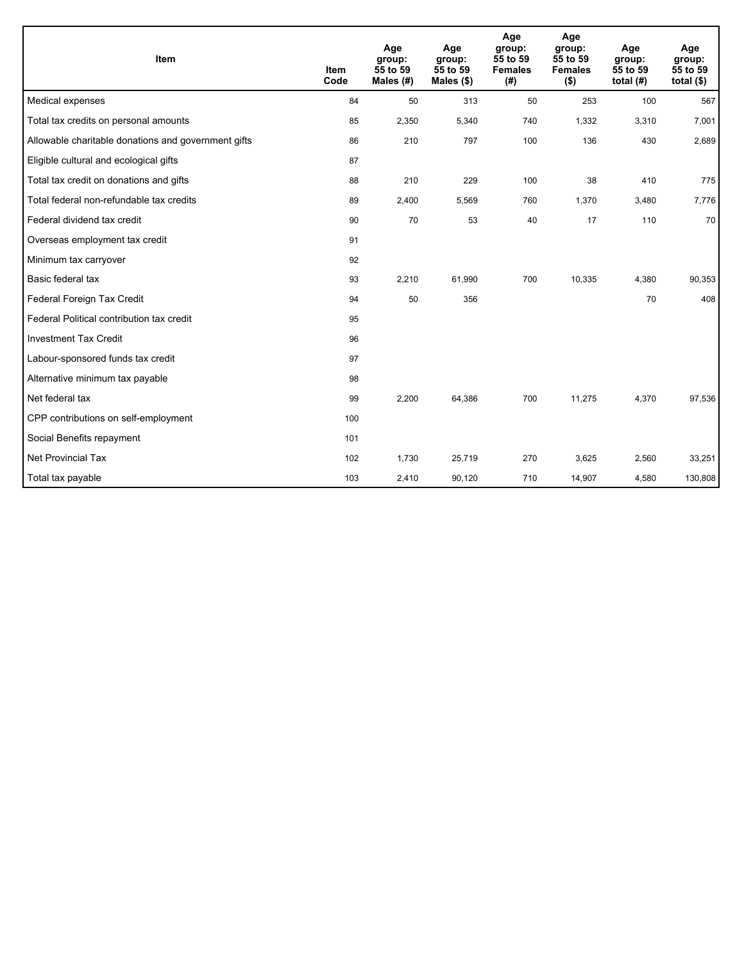| Item                                                | <b>Item</b><br>Code | Age<br>group:<br>55 to 59<br>Males $(H)$ | Age<br>group:<br>55 to 59<br>Males (\$) | Age<br>group:<br>55 to 59<br><b>Females</b><br>(#) | Age<br>group:<br>55 to 59<br><b>Females</b><br>$($ \$) | Age<br>group:<br>55 to 59<br>total $(H)$ | Age<br>group:<br>55 to 59<br>total $($ |
|-----------------------------------------------------|---------------------|------------------------------------------|-----------------------------------------|----------------------------------------------------|--------------------------------------------------------|------------------------------------------|----------------------------------------|
| Medical expenses                                    | 84                  | 50                                       | 313                                     | 50                                                 | 253                                                    | 100                                      | 567                                    |
| Total tax credits on personal amounts               | 85                  | 2,350                                    | 5,340                                   | 740                                                | 1,332                                                  | 3,310                                    | 7,001                                  |
| Allowable charitable donations and government gifts | 86                  | 210                                      | 797                                     | 100                                                | 136                                                    | 430                                      | 2,689                                  |
| Eligible cultural and ecological gifts              | 87                  |                                          |                                         |                                                    |                                                        |                                          |                                        |
| Total tax credit on donations and gifts             | 88                  | 210                                      | 229                                     | 100                                                | 38                                                     | 410                                      | 775                                    |
| Total federal non-refundable tax credits            | 89                  | 2,400                                    | 5,569                                   | 760                                                | 1,370                                                  | 3,480                                    | 7,776                                  |
| Federal dividend tax credit                         | 90                  | 70                                       | 53                                      | 40                                                 | 17                                                     | 110                                      | 70                                     |
| Overseas employment tax credit                      | 91                  |                                          |                                         |                                                    |                                                        |                                          |                                        |
| Minimum tax carryover                               | 92                  |                                          |                                         |                                                    |                                                        |                                          |                                        |
| Basic federal tax                                   | 93                  | 2,210                                    | 61,990                                  | 700                                                | 10,335                                                 | 4,380                                    | 90,353                                 |
| Federal Foreign Tax Credit                          | 94                  | 50                                       | 356                                     |                                                    |                                                        | 70                                       | 408                                    |
| Federal Political contribution tax credit           | 95                  |                                          |                                         |                                                    |                                                        |                                          |                                        |
| <b>Investment Tax Credit</b>                        | 96                  |                                          |                                         |                                                    |                                                        |                                          |                                        |
| Labour-sponsored funds tax credit                   | 97                  |                                          |                                         |                                                    |                                                        |                                          |                                        |
| Alternative minimum tax payable                     | 98                  |                                          |                                         |                                                    |                                                        |                                          |                                        |
| Net federal tax                                     | 99                  | 2,200                                    | 64,386                                  | 700                                                | 11,275                                                 | 4,370                                    | 97,536                                 |
| CPP contributions on self-employment                | 100                 |                                          |                                         |                                                    |                                                        |                                          |                                        |
| Social Benefits repayment                           | 101                 |                                          |                                         |                                                    |                                                        |                                          |                                        |
| Net Provincial Tax                                  | 102                 | 1,730                                    | 25,719                                  | 270                                                | 3,625                                                  | 2,560                                    | 33,251                                 |
| Total tax payable                                   | 103                 | 2,410                                    | 90,120                                  | 710                                                | 14,907                                                 | 4,580                                    | 130,808                                |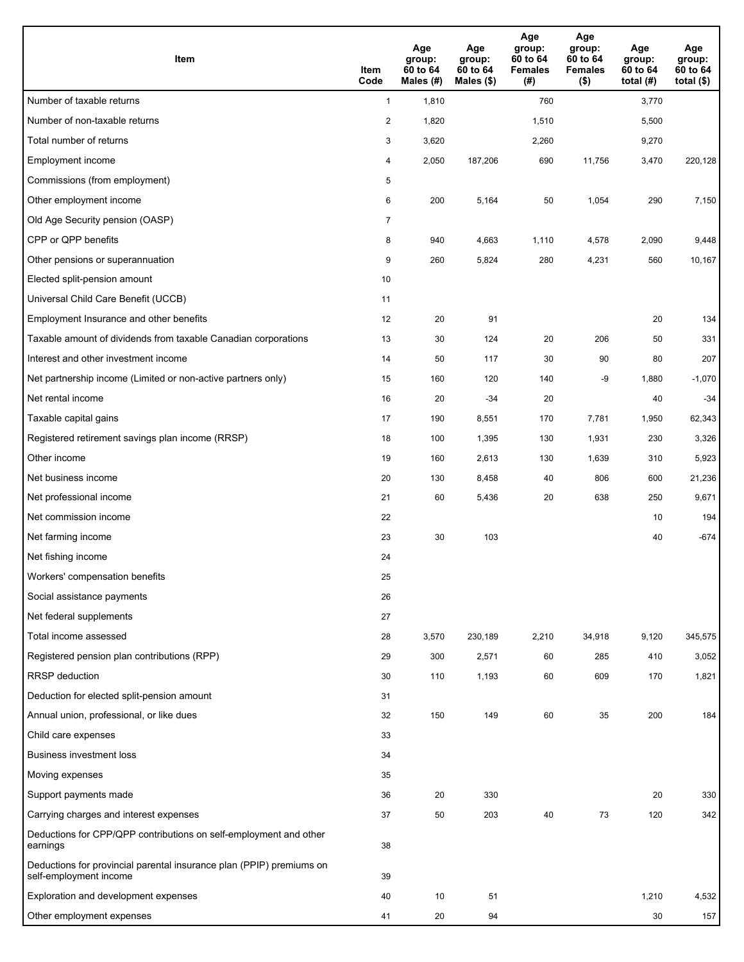| Item                                                                                           | Item<br>Code   | Age<br>group:<br>60 to 64<br>Males (#) | Age<br>group:<br>60 to 64<br>Males (\$) | Age<br>group:<br>60 to 64<br><b>Females</b><br>(#) | Age<br>group:<br>60 to 64<br><b>Females</b><br>$($ \$) | Age<br>group:<br>60 to 64<br>total $(H)$ | Age<br>group:<br>60 to 64<br>total $($ |
|------------------------------------------------------------------------------------------------|----------------|----------------------------------------|-----------------------------------------|----------------------------------------------------|--------------------------------------------------------|------------------------------------------|----------------------------------------|
| Number of taxable returns                                                                      | $\mathbf{1}$   | 1,810                                  |                                         | 760                                                |                                                        | 3,770                                    |                                        |
| Number of non-taxable returns                                                                  | $\overline{2}$ | 1,820                                  |                                         | 1,510                                              |                                                        | 5,500                                    |                                        |
| Total number of returns                                                                        | 3              | 3,620                                  |                                         | 2,260                                              |                                                        | 9,270                                    |                                        |
| Employment income                                                                              | 4              | 2,050                                  | 187,206                                 | 690                                                | 11,756                                                 | 3,470                                    | 220,128                                |
| Commissions (from employment)                                                                  | 5              |                                        |                                         |                                                    |                                                        |                                          |                                        |
| Other employment income                                                                        | 6              | 200                                    | 5,164                                   | 50                                                 | 1,054                                                  | 290                                      | 7,150                                  |
| Old Age Security pension (OASP)                                                                | $\overline{7}$ |                                        |                                         |                                                    |                                                        |                                          |                                        |
| CPP or QPP benefits                                                                            | 8              | 940                                    | 4,663                                   | 1,110                                              | 4,578                                                  | 2,090                                    | 9,448                                  |
| Other pensions or superannuation                                                               | 9              | 260                                    | 5,824                                   | 280                                                | 4,231                                                  | 560                                      | 10,167                                 |
| Elected split-pension amount                                                                   | 10             |                                        |                                         |                                                    |                                                        |                                          |                                        |
| Universal Child Care Benefit (UCCB)                                                            | 11             |                                        |                                         |                                                    |                                                        |                                          |                                        |
| Employment Insurance and other benefits                                                        | 12             | 20                                     | 91                                      |                                                    |                                                        | 20                                       | 134                                    |
| Taxable amount of dividends from taxable Canadian corporations                                 | 13             | 30                                     | 124                                     | 20                                                 | 206                                                    | 50                                       | 331                                    |
| Interest and other investment income                                                           | 14             | 50                                     | 117                                     | 30                                                 | 90                                                     | 80                                       | 207                                    |
| Net partnership income (Limited or non-active partners only)                                   | 15             | 160                                    | 120                                     | 140                                                | -9                                                     | 1,880                                    | $-1,070$                               |
| Net rental income                                                                              | 16             | 20                                     | -34                                     | 20                                                 |                                                        | 40                                       | $-34$                                  |
| Taxable capital gains                                                                          | 17             | 190                                    | 8,551                                   | 170                                                | 7,781                                                  | 1,950                                    | 62,343                                 |
| Registered retirement savings plan income (RRSP)                                               | 18             | 100                                    | 1,395                                   | 130                                                | 1,931                                                  | 230                                      | 3,326                                  |
| Other income                                                                                   | 19             | 160                                    | 2,613                                   | 130                                                | 1,639                                                  | 310                                      | 5,923                                  |
| Net business income                                                                            | 20             | 130                                    | 8,458                                   | 40                                                 | 806                                                    | 600                                      | 21,236                                 |
| Net professional income                                                                        | 21             | 60                                     | 5,436                                   | 20                                                 | 638                                                    | 250                                      | 9,671                                  |
| Net commission income                                                                          | 22             |                                        |                                         |                                                    |                                                        | 10                                       | 194                                    |
| Net farming income                                                                             | 23             | 30                                     | 103                                     |                                                    |                                                        | 40                                       | $-674$                                 |
| Net fishing income                                                                             | 24             |                                        |                                         |                                                    |                                                        |                                          |                                        |
| Workers' compensation benefits                                                                 | 25             |                                        |                                         |                                                    |                                                        |                                          |                                        |
| Social assistance payments                                                                     | 26             |                                        |                                         |                                                    |                                                        |                                          |                                        |
| Net federal supplements                                                                        | 27             |                                        |                                         |                                                    |                                                        |                                          |                                        |
| Total income assessed                                                                          | 28             | 3,570                                  | 230,189                                 | 2,210                                              | 34,918                                                 | 9,120                                    | 345,575                                |
| Registered pension plan contributions (RPP)                                                    | 29             | 300                                    | 2,571                                   | 60                                                 | 285                                                    | 410                                      | 3,052                                  |
| <b>RRSP</b> deduction                                                                          | 30             | 110                                    | 1,193                                   | 60                                                 | 609                                                    | 170                                      | 1,821                                  |
| Deduction for elected split-pension amount                                                     | 31             |                                        |                                         |                                                    |                                                        |                                          |                                        |
| Annual union, professional, or like dues                                                       | 32             | 150                                    | 149                                     | 60                                                 | 35                                                     | 200                                      | 184                                    |
| Child care expenses                                                                            | 33             |                                        |                                         |                                                    |                                                        |                                          |                                        |
| <b>Business investment loss</b>                                                                | 34             |                                        |                                         |                                                    |                                                        |                                          |                                        |
| Moving expenses                                                                                | 35             |                                        |                                         |                                                    |                                                        |                                          |                                        |
| Support payments made                                                                          | 36             | 20                                     | 330                                     |                                                    |                                                        | 20                                       | 330                                    |
| Carrying charges and interest expenses                                                         | 37             | 50                                     | 203                                     | 40                                                 | 73                                                     | 120                                      | 342                                    |
| Deductions for CPP/QPP contributions on self-employment and other<br>earnings                  | 38             |                                        |                                         |                                                    |                                                        |                                          |                                        |
| Deductions for provincial parental insurance plan (PPIP) premiums on<br>self-employment income | 39             |                                        |                                         |                                                    |                                                        |                                          |                                        |
| Exploration and development expenses                                                           | 40             | 10                                     | 51                                      |                                                    |                                                        | 1,210                                    | 4,532                                  |
| Other employment expenses                                                                      | 41             | 20                                     | 94                                      |                                                    |                                                        | 30                                       | 157                                    |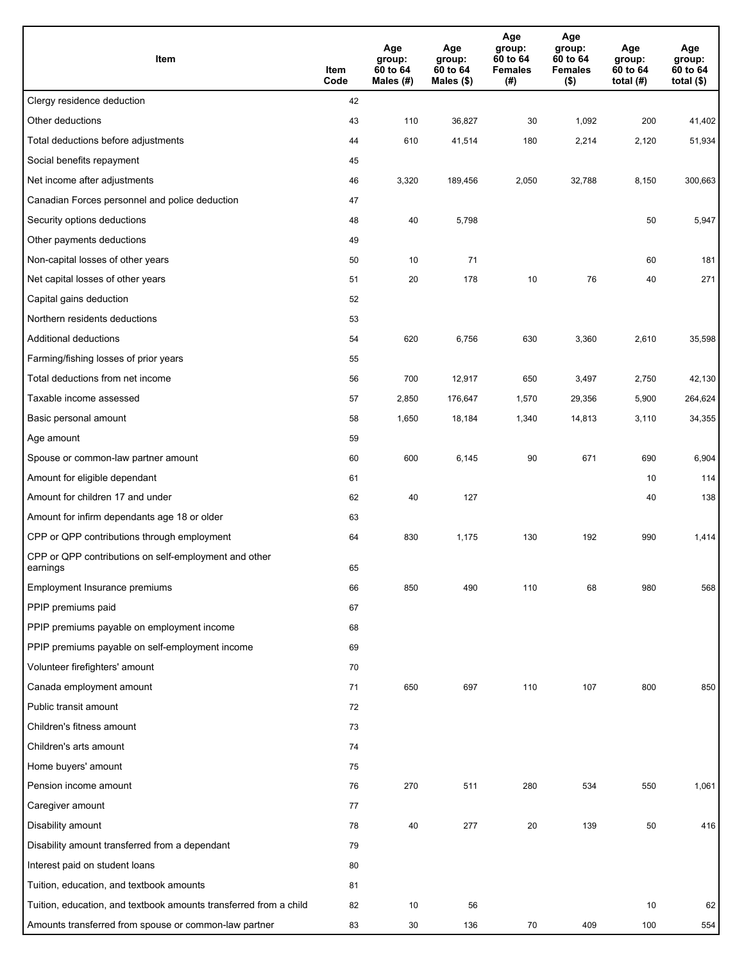| Item                                                              | Item<br>Code | Age<br>group:<br>60 to 64<br>Males (#) | Age<br>group:<br>60 to 64<br>Males (\$) | Age<br>group:<br>60 to 64<br><b>Females</b><br>(# ) | Age<br>group:<br>60 to 64<br><b>Females</b><br>$($ \$) | Age<br>group:<br>60 to 64<br>total $(H)$ | Age<br>group:<br>60 to 64<br>total $($)$ |
|-------------------------------------------------------------------|--------------|----------------------------------------|-----------------------------------------|-----------------------------------------------------|--------------------------------------------------------|------------------------------------------|------------------------------------------|
| Clergy residence deduction                                        | 42           |                                        |                                         |                                                     |                                                        |                                          |                                          |
| Other deductions                                                  | 43           | 110                                    | 36,827                                  | 30                                                  | 1,092                                                  | 200                                      | 41,402                                   |
| Total deductions before adjustments                               | 44           | 610                                    | 41,514                                  | 180                                                 | 2,214                                                  | 2,120                                    | 51,934                                   |
| Social benefits repayment                                         | 45           |                                        |                                         |                                                     |                                                        |                                          |                                          |
| Net income after adjustments                                      | 46           | 3,320                                  | 189,456                                 | 2,050                                               | 32,788                                                 | 8,150                                    | 300,663                                  |
| Canadian Forces personnel and police deduction                    | 47           |                                        |                                         |                                                     |                                                        |                                          |                                          |
| Security options deductions                                       | 48           | 40                                     | 5,798                                   |                                                     |                                                        | 50                                       | 5,947                                    |
| Other payments deductions                                         | 49           |                                        |                                         |                                                     |                                                        |                                          |                                          |
| Non-capital losses of other years                                 | 50           | 10                                     | 71                                      |                                                     |                                                        | 60                                       | 181                                      |
| Net capital losses of other years                                 | 51           | 20                                     | 178                                     | 10                                                  | 76                                                     | 40                                       | 271                                      |
| Capital gains deduction                                           | 52           |                                        |                                         |                                                     |                                                        |                                          |                                          |
| Northern residents deductions                                     | 53           |                                        |                                         |                                                     |                                                        |                                          |                                          |
| Additional deductions                                             | 54           | 620                                    | 6,756                                   | 630                                                 | 3,360                                                  | 2,610                                    | 35,598                                   |
| Farming/fishing losses of prior years                             | 55           |                                        |                                         |                                                     |                                                        |                                          |                                          |
| Total deductions from net income                                  | 56           | 700                                    | 12,917                                  | 650                                                 | 3,497                                                  | 2,750                                    | 42,130                                   |
| Taxable income assessed                                           | 57           | 2,850                                  | 176,647                                 | 1,570                                               | 29,356                                                 | 5,900                                    | 264,624                                  |
| Basic personal amount                                             | 58           | 1,650                                  | 18,184                                  | 1,340                                               | 14,813                                                 | 3,110                                    | 34,355                                   |
| Age amount                                                        | 59           |                                        |                                         |                                                     |                                                        |                                          |                                          |
| Spouse or common-law partner amount                               | 60           | 600                                    | 6,145                                   | 90                                                  | 671                                                    | 690                                      | 6,904                                    |
| Amount for eligible dependant                                     | 61           |                                        |                                         |                                                     |                                                        | 10                                       | 114                                      |
| Amount for children 17 and under                                  | 62           | 40                                     | 127                                     |                                                     |                                                        | 40                                       | 138                                      |
| Amount for infirm dependants age 18 or older                      | 63           |                                        |                                         |                                                     |                                                        |                                          |                                          |
| CPP or QPP contributions through employment                       | 64           | 830                                    | 1,175                                   | 130                                                 | 192                                                    | 990                                      | 1,414                                    |
| CPP or QPP contributions on self-employment and other<br>earnings | 65           |                                        |                                         |                                                     |                                                        |                                          |                                          |
| Employment Insurance premiums                                     | 66           | 850                                    | 490                                     | 110                                                 | 68                                                     | 980                                      | 568                                      |
| PPIP premiums paid                                                | 67           |                                        |                                         |                                                     |                                                        |                                          |                                          |
| PPIP premiums payable on employment income                        | 68           |                                        |                                         |                                                     |                                                        |                                          |                                          |
| PPIP premiums payable on self-employment income                   | 69           |                                        |                                         |                                                     |                                                        |                                          |                                          |
| Volunteer firefighters' amount                                    | 70           |                                        |                                         |                                                     |                                                        |                                          |                                          |
| Canada employment amount                                          | 71           | 650                                    | 697                                     | 110                                                 | 107                                                    | 800                                      | 850                                      |
| Public transit amount                                             | 72           |                                        |                                         |                                                     |                                                        |                                          |                                          |
| Children's fitness amount                                         | 73           |                                        |                                         |                                                     |                                                        |                                          |                                          |
| Children's arts amount                                            | 74           |                                        |                                         |                                                     |                                                        |                                          |                                          |
| Home buyers' amount                                               | 75           |                                        |                                         |                                                     |                                                        |                                          |                                          |
| Pension income amount                                             | 76           | 270                                    | 511                                     | 280                                                 | 534                                                    | 550                                      | 1,061                                    |
| Caregiver amount                                                  | 77           |                                        |                                         |                                                     |                                                        |                                          |                                          |
| Disability amount                                                 | 78           | 40                                     | 277                                     | 20                                                  | 139                                                    | 50                                       | 416                                      |
| Disability amount transferred from a dependant                    | 79           |                                        |                                         |                                                     |                                                        |                                          |                                          |
| Interest paid on student loans                                    | 80           |                                        |                                         |                                                     |                                                        |                                          |                                          |
| Tuition, education, and textbook amounts                          | 81           |                                        |                                         |                                                     |                                                        |                                          |                                          |
| Tuition, education, and textbook amounts transferred from a child | 82           | 10                                     | 56                                      |                                                     |                                                        | 10                                       | 62                                       |
| Amounts transferred from spouse or common-law partner             | 83           | 30                                     | 136                                     | 70                                                  | 409                                                    | 100                                      | 554                                      |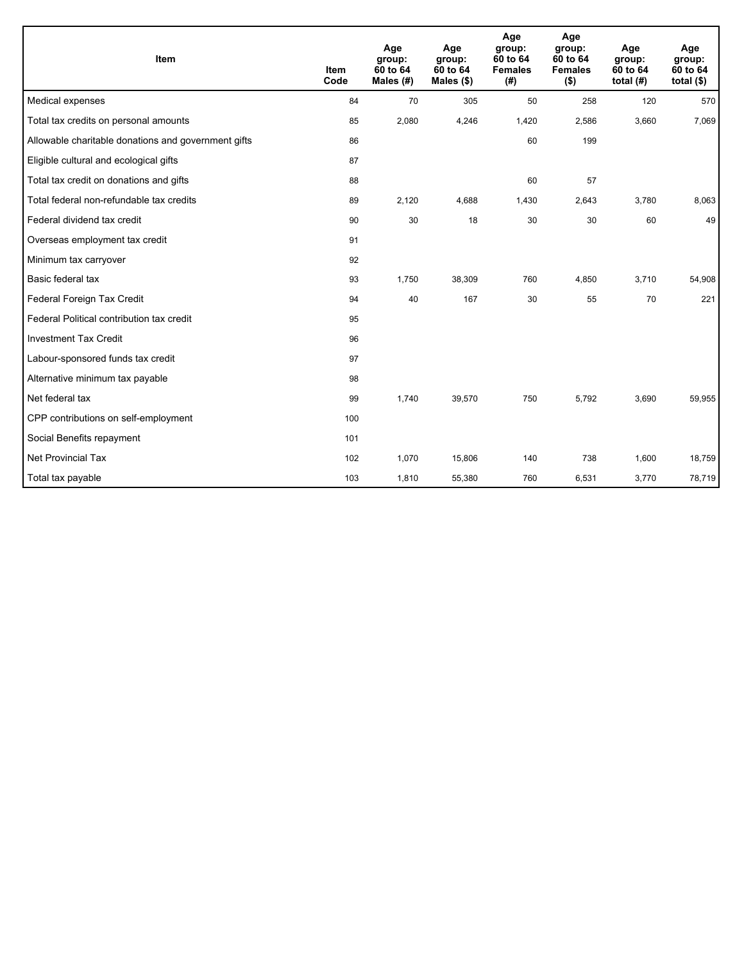| Item                                                | <b>Item</b><br>Code | Age<br>group:<br>60 to 64<br>Males (#) | Age<br>group:<br>60 to 64<br>Males $(\$)$ | Age<br>group:<br>60 to 64<br><b>Females</b><br>(# ) | Age<br>group:<br>60 to 64<br><b>Females</b><br>$($ \$) | Age<br>group:<br>60 to 64<br>total $(H)$ | Age<br>group:<br>60 to 64<br>total $($)$ |
|-----------------------------------------------------|---------------------|----------------------------------------|-------------------------------------------|-----------------------------------------------------|--------------------------------------------------------|------------------------------------------|------------------------------------------|
| Medical expenses                                    | 84                  | 70                                     | 305                                       | 50                                                  | 258                                                    | 120                                      | 570                                      |
| Total tax credits on personal amounts               | 85                  | 2,080                                  | 4,246                                     | 1,420                                               | 2,586                                                  | 3,660                                    | 7,069                                    |
| Allowable charitable donations and government gifts | 86                  |                                        |                                           | 60                                                  | 199                                                    |                                          |                                          |
| Eligible cultural and ecological gifts              | 87                  |                                        |                                           |                                                     |                                                        |                                          |                                          |
| Total tax credit on donations and gifts             | 88                  |                                        |                                           | 60                                                  | 57                                                     |                                          |                                          |
| Total federal non-refundable tax credits            | 89                  | 2,120                                  | 4,688                                     | 1,430                                               | 2,643                                                  | 3,780                                    | 8,063                                    |
| Federal dividend tax credit                         | 90                  | 30                                     | 18                                        | 30                                                  | 30                                                     | 60                                       | 49                                       |
| Overseas employment tax credit                      | 91                  |                                        |                                           |                                                     |                                                        |                                          |                                          |
| Minimum tax carryover                               | 92                  |                                        |                                           |                                                     |                                                        |                                          |                                          |
| Basic federal tax                                   | 93                  | 1,750                                  | 38,309                                    | 760                                                 | 4,850                                                  | 3,710                                    | 54,908                                   |
| Federal Foreign Tax Credit                          | 94                  | 40                                     | 167                                       | 30                                                  | 55                                                     | 70                                       | 221                                      |
| Federal Political contribution tax credit           | 95                  |                                        |                                           |                                                     |                                                        |                                          |                                          |
| <b>Investment Tax Credit</b>                        | 96                  |                                        |                                           |                                                     |                                                        |                                          |                                          |
| Labour-sponsored funds tax credit                   | 97                  |                                        |                                           |                                                     |                                                        |                                          |                                          |
| Alternative minimum tax payable                     | 98                  |                                        |                                           |                                                     |                                                        |                                          |                                          |
| Net federal tax                                     | 99                  | 1,740                                  | 39,570                                    | 750                                                 | 5,792                                                  | 3,690                                    | 59,955                                   |
| CPP contributions on self-employment                | 100                 |                                        |                                           |                                                     |                                                        |                                          |                                          |
| Social Benefits repayment                           | 101                 |                                        |                                           |                                                     |                                                        |                                          |                                          |
| <b>Net Provincial Tax</b>                           | 102                 | 1,070                                  | 15,806                                    | 140                                                 | 738                                                    | 1,600                                    | 18,759                                   |
| Total tax payable                                   | 103                 | 1,810                                  | 55,380                                    | 760                                                 | 6,531                                                  | 3,770                                    | 78,719                                   |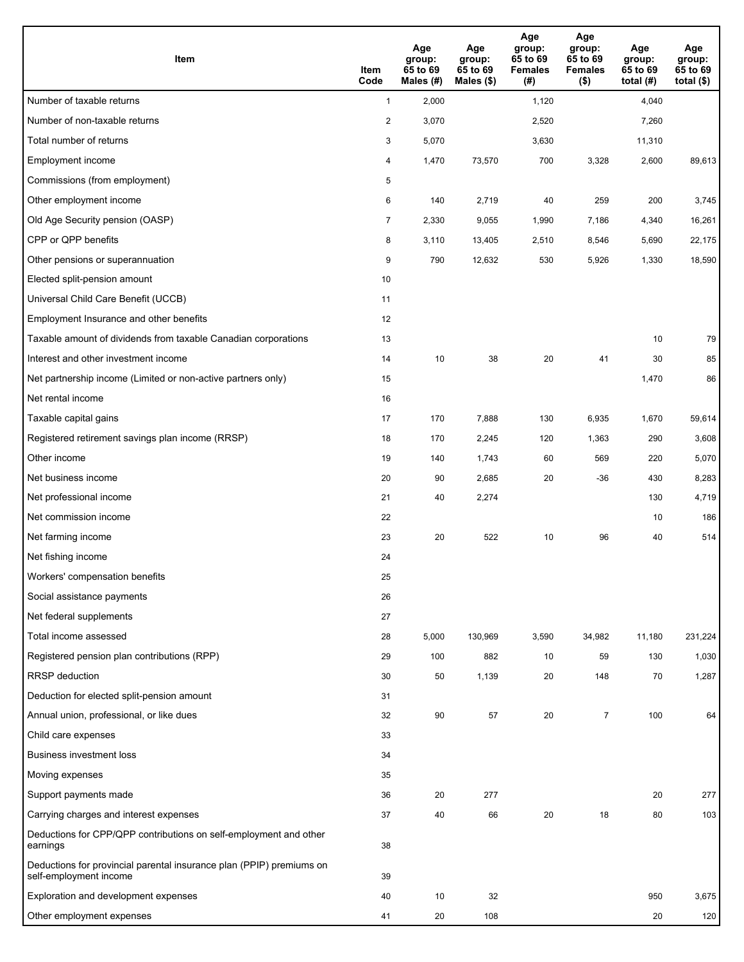| Item                                                                                           | Item<br>Code   | Age<br>group:<br>65 to 69<br>Males (#) | Age<br>group:<br>65 to 69<br>Males (\$) | Age<br>group:<br>65 to 69<br><b>Females</b><br>(# ) | Age<br>group:<br>65 to 69<br><b>Females</b><br>$($ \$) | Age<br>group:<br>65 to 69<br>total $(H)$ | Age<br>group:<br>65 to 69<br>total $($)$ |
|------------------------------------------------------------------------------------------------|----------------|----------------------------------------|-----------------------------------------|-----------------------------------------------------|--------------------------------------------------------|------------------------------------------|------------------------------------------|
| Number of taxable returns                                                                      | $\mathbf{1}$   | 2,000                                  |                                         | 1,120                                               |                                                        | 4,040                                    |                                          |
| Number of non-taxable returns                                                                  | $\overline{c}$ | 3,070                                  |                                         | 2,520                                               |                                                        | 7,260                                    |                                          |
| Total number of returns                                                                        | 3              | 5,070                                  |                                         | 3,630                                               |                                                        | 11,310                                   |                                          |
| Employment income                                                                              | 4              | 1,470                                  | 73,570                                  | 700                                                 | 3,328                                                  | 2,600                                    | 89,613                                   |
| Commissions (from employment)                                                                  | 5              |                                        |                                         |                                                     |                                                        |                                          |                                          |
| Other employment income                                                                        | 6              | 140                                    | 2,719                                   | 40                                                  | 259                                                    | 200                                      | 3,745                                    |
| Old Age Security pension (OASP)                                                                | $\overline{7}$ | 2,330                                  | 9,055                                   | 1,990                                               | 7,186                                                  | 4,340                                    | 16,261                                   |
| CPP or QPP benefits                                                                            | 8              | 3,110                                  | 13,405                                  | 2,510                                               | 8,546                                                  | 5,690                                    | 22,175                                   |
| Other pensions or superannuation                                                               | 9              | 790                                    | 12,632                                  | 530                                                 | 5,926                                                  | 1,330                                    | 18,590                                   |
| Elected split-pension amount                                                                   | 10             |                                        |                                         |                                                     |                                                        |                                          |                                          |
| Universal Child Care Benefit (UCCB)                                                            | 11             |                                        |                                         |                                                     |                                                        |                                          |                                          |
| Employment Insurance and other benefits                                                        | 12             |                                        |                                         |                                                     |                                                        |                                          |                                          |
| Taxable amount of dividends from taxable Canadian corporations                                 | 13             |                                        |                                         |                                                     |                                                        | 10                                       | 79                                       |
| Interest and other investment income                                                           | 14             | 10                                     | 38                                      | 20                                                  | 41                                                     | 30                                       | 85                                       |
| Net partnership income (Limited or non-active partners only)                                   | 15             |                                        |                                         |                                                     |                                                        | 1,470                                    | 86                                       |
| Net rental income                                                                              | 16             |                                        |                                         |                                                     |                                                        |                                          |                                          |
| Taxable capital gains                                                                          | 17             | 170                                    | 7,888                                   | 130                                                 | 6,935                                                  | 1,670                                    | 59,614                                   |
| Registered retirement savings plan income (RRSP)                                               | 18             | 170                                    | 2,245                                   | 120                                                 | 1,363                                                  | 290                                      | 3,608                                    |
| Other income                                                                                   | 19             | 140                                    | 1,743                                   | 60                                                  | 569                                                    | 220                                      | 5,070                                    |
| Net business income                                                                            | 20             | 90                                     | 2,685                                   | 20                                                  | -36                                                    | 430                                      | 8,283                                    |
| Net professional income                                                                        | 21             | 40                                     | 2,274                                   |                                                     |                                                        | 130                                      | 4,719                                    |
| Net commission income                                                                          | 22             |                                        |                                         |                                                     |                                                        | 10                                       | 186                                      |
| Net farming income                                                                             | 23             | 20                                     | 522                                     | 10                                                  | 96                                                     | 40                                       | 514                                      |
| Net fishing income                                                                             | 24             |                                        |                                         |                                                     |                                                        |                                          |                                          |
| Workers' compensation benefits                                                                 | 25             |                                        |                                         |                                                     |                                                        |                                          |                                          |
| Social assistance payments                                                                     | 26             |                                        |                                         |                                                     |                                                        |                                          |                                          |
| Net federal supplements                                                                        | 27             |                                        |                                         |                                                     |                                                        |                                          |                                          |
| Total income assessed                                                                          | 28             | 5,000                                  | 130,969                                 | 3,590                                               | 34,982                                                 | 11,180                                   | 231,224                                  |
| Registered pension plan contributions (RPP)                                                    | 29             | 100                                    | 882                                     | 10                                                  | 59                                                     | 130                                      | 1,030                                    |
| <b>RRSP</b> deduction                                                                          | 30             | 50                                     | 1,139                                   | 20                                                  | 148                                                    | 70                                       | 1,287                                    |
| Deduction for elected split-pension amount                                                     | 31             |                                        |                                         |                                                     |                                                        |                                          |                                          |
| Annual union, professional, or like dues                                                       | 32             | 90                                     | 57                                      | 20                                                  | 7                                                      | 100                                      | 64                                       |
| Child care expenses                                                                            | 33             |                                        |                                         |                                                     |                                                        |                                          |                                          |
| <b>Business investment loss</b>                                                                | 34             |                                        |                                         |                                                     |                                                        |                                          |                                          |
| Moving expenses                                                                                | 35             |                                        |                                         |                                                     |                                                        |                                          |                                          |
| Support payments made                                                                          | 36             | 20                                     | 277                                     |                                                     |                                                        | 20                                       | 277                                      |
| Carrying charges and interest expenses                                                         | 37             | 40                                     | 66                                      | 20                                                  | 18                                                     | 80                                       | 103                                      |
| Deductions for CPP/QPP contributions on self-employment and other<br>earnings                  | 38             |                                        |                                         |                                                     |                                                        |                                          |                                          |
| Deductions for provincial parental insurance plan (PPIP) premiums on<br>self-employment income | 39             |                                        |                                         |                                                     |                                                        |                                          |                                          |
| Exploration and development expenses                                                           | 40             | 10                                     | 32                                      |                                                     |                                                        | 950                                      | 3,675                                    |
| Other employment expenses                                                                      | 41             | 20                                     | 108                                     |                                                     |                                                        | 20                                       | 120                                      |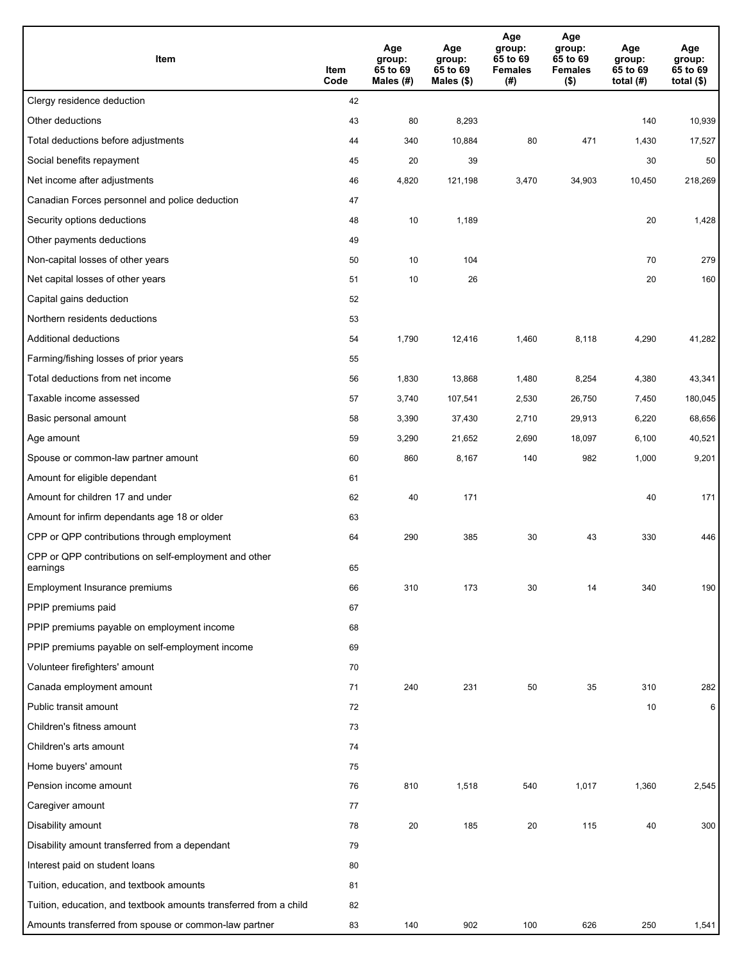| Item                                                              | Item<br>Code | Age<br>group:<br>65 to 69<br>Males (#) | Age<br>group:<br>65 to 69<br>Males (\$) | Age<br>group:<br>65 to 69<br><b>Females</b><br>(#) | Age<br>group:<br>65 to 69<br><b>Females</b><br>$($ \$) | Age<br>group:<br>65 to 69<br>total $(H)$ | Age<br>group:<br>65 to 69<br>total $($)$ |
|-------------------------------------------------------------------|--------------|----------------------------------------|-----------------------------------------|----------------------------------------------------|--------------------------------------------------------|------------------------------------------|------------------------------------------|
| Clergy residence deduction                                        | 42           |                                        |                                         |                                                    |                                                        |                                          |                                          |
| Other deductions                                                  | 43           | 80                                     | 8,293                                   |                                                    |                                                        | 140                                      | 10,939                                   |
| Total deductions before adjustments                               | 44           | 340                                    | 10,884                                  | 80                                                 | 471                                                    | 1,430                                    | 17,527                                   |
| Social benefits repayment                                         | 45           | 20                                     | 39                                      |                                                    |                                                        | 30                                       | 50                                       |
| Net income after adjustments                                      | 46           | 4,820                                  | 121,198                                 | 3,470                                              | 34,903                                                 | 10,450                                   | 218,269                                  |
| Canadian Forces personnel and police deduction                    | 47           |                                        |                                         |                                                    |                                                        |                                          |                                          |
| Security options deductions                                       | 48           | 10                                     | 1,189                                   |                                                    |                                                        | 20                                       | 1,428                                    |
| Other payments deductions                                         | 49           |                                        |                                         |                                                    |                                                        |                                          |                                          |
| Non-capital losses of other years                                 | 50           | 10                                     | 104                                     |                                                    |                                                        | 70                                       | 279                                      |
| Net capital losses of other years                                 | 51           | 10                                     | 26                                      |                                                    |                                                        | 20                                       | 160                                      |
| Capital gains deduction                                           | 52           |                                        |                                         |                                                    |                                                        |                                          |                                          |
| Northern residents deductions                                     | 53           |                                        |                                         |                                                    |                                                        |                                          |                                          |
| Additional deductions                                             | 54           | 1,790                                  | 12,416                                  | 1,460                                              | 8,118                                                  | 4,290                                    | 41,282                                   |
| Farming/fishing losses of prior years                             | 55           |                                        |                                         |                                                    |                                                        |                                          |                                          |
| Total deductions from net income                                  | 56           | 1,830                                  | 13,868                                  | 1,480                                              | 8,254                                                  | 4,380                                    | 43,341                                   |
| Taxable income assessed                                           | 57           | 3,740                                  | 107,541                                 | 2,530                                              | 26,750                                                 | 7,450                                    | 180,045                                  |
| Basic personal amount                                             | 58           | 3,390                                  | 37,430                                  | 2,710                                              | 29,913                                                 | 6,220                                    | 68,656                                   |
| Age amount                                                        | 59           | 3,290                                  | 21,652                                  | 2,690                                              | 18,097                                                 | 6,100                                    | 40,521                                   |
| Spouse or common-law partner amount                               | 60           | 860                                    | 8,167                                   | 140                                                | 982                                                    | 1,000                                    | 9,201                                    |
| Amount for eligible dependant                                     | 61           |                                        |                                         |                                                    |                                                        |                                          |                                          |
| Amount for children 17 and under                                  | 62           | 40                                     | 171                                     |                                                    |                                                        | 40                                       | 171                                      |
| Amount for infirm dependants age 18 or older                      | 63           |                                        |                                         |                                                    |                                                        |                                          |                                          |
| CPP or QPP contributions through employment                       | 64           | 290                                    | 385                                     | 30                                                 | 43                                                     | 330                                      | 446                                      |
| CPP or QPP contributions on self-employment and other<br>earnings | 65           |                                        |                                         |                                                    |                                                        |                                          |                                          |
| Employment Insurance premiums                                     | 66           | 310                                    | 173                                     | 30                                                 | 14                                                     | 340                                      | 190                                      |
| PPIP premiums paid                                                | 67           |                                        |                                         |                                                    |                                                        |                                          |                                          |
| PPIP premiums payable on employment income                        | 68           |                                        |                                         |                                                    |                                                        |                                          |                                          |
| PPIP premiums payable on self-employment income                   | 69           |                                        |                                         |                                                    |                                                        |                                          |                                          |
| Volunteer firefighters' amount                                    | 70           |                                        |                                         |                                                    |                                                        |                                          |                                          |
| Canada employment amount                                          | 71           | 240                                    | 231                                     | 50                                                 | 35                                                     | 310                                      | 282                                      |
| Public transit amount                                             | 72           |                                        |                                         |                                                    |                                                        | 10                                       | 6                                        |
| Children's fitness amount                                         | 73           |                                        |                                         |                                                    |                                                        |                                          |                                          |
| Children's arts amount                                            | 74           |                                        |                                         |                                                    |                                                        |                                          |                                          |
| Home buyers' amount                                               | 75           |                                        |                                         |                                                    |                                                        |                                          |                                          |
| Pension income amount                                             | 76           | 810                                    | 1,518                                   | 540                                                | 1,017                                                  | 1,360                                    | 2,545                                    |
| Caregiver amount                                                  | 77           |                                        |                                         |                                                    |                                                        |                                          |                                          |
| Disability amount                                                 | 78           | 20                                     | 185                                     | 20                                                 | 115                                                    | 40                                       | 300                                      |
| Disability amount transferred from a dependant                    | 79           |                                        |                                         |                                                    |                                                        |                                          |                                          |
| Interest paid on student loans                                    | 80           |                                        |                                         |                                                    |                                                        |                                          |                                          |
| Tuition, education, and textbook amounts                          | 81           |                                        |                                         |                                                    |                                                        |                                          |                                          |
| Tuition, education, and textbook amounts transferred from a child | 82           |                                        |                                         |                                                    |                                                        |                                          |                                          |
| Amounts transferred from spouse or common-law partner             | 83           | 140                                    | 902                                     | 100                                                | 626                                                    | 250                                      | 1,541                                    |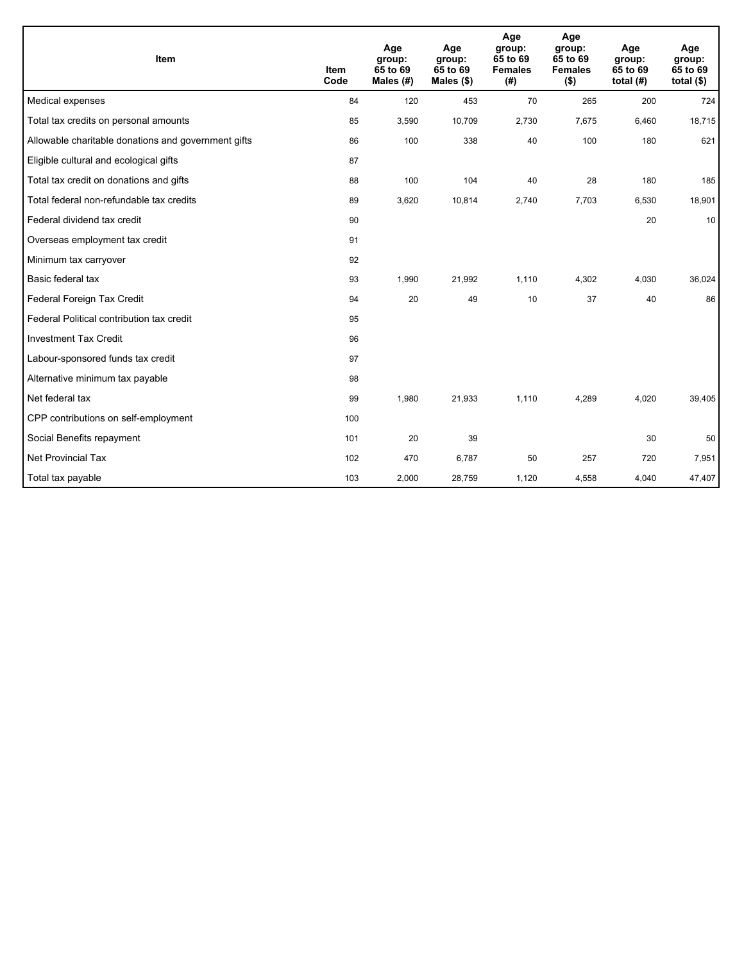| Item                                                | <b>Item</b><br>Code | Age<br>group:<br>65 to 69<br>Males $(H)$ | Age<br>group:<br>65 to 69<br>Males $(\$)$ | Age<br>group:<br>65 to 69<br><b>Females</b><br>(#) | Age<br>group:<br>65 to 69<br><b>Females</b><br>$($ \$) | Age<br>group:<br>65 to 69<br>total $(H)$ | Age<br>group:<br>65 to 69<br>total $($)$ |
|-----------------------------------------------------|---------------------|------------------------------------------|-------------------------------------------|----------------------------------------------------|--------------------------------------------------------|------------------------------------------|------------------------------------------|
| Medical expenses                                    | 84                  | 120                                      | 453                                       | 70                                                 | 265                                                    | 200                                      | 724                                      |
| Total tax credits on personal amounts               | 85                  | 3,590                                    | 10,709                                    | 2,730                                              | 7,675                                                  | 6,460                                    | 18,715                                   |
| Allowable charitable donations and government gifts | 86                  | 100                                      | 338                                       | 40                                                 | 100                                                    | 180                                      | 621                                      |
| Eligible cultural and ecological gifts              | 87                  |                                          |                                           |                                                    |                                                        |                                          |                                          |
| Total tax credit on donations and gifts             | 88                  | 100                                      | 104                                       | 40                                                 | 28                                                     | 180                                      | 185                                      |
| Total federal non-refundable tax credits            | 89                  | 3,620                                    | 10,814                                    | 2,740                                              | 7,703                                                  | 6,530                                    | 18,901                                   |
| Federal dividend tax credit                         | 90                  |                                          |                                           |                                                    |                                                        | 20                                       | 10                                       |
| Overseas employment tax credit                      | 91                  |                                          |                                           |                                                    |                                                        |                                          |                                          |
| Minimum tax carryover                               | 92                  |                                          |                                           |                                                    |                                                        |                                          |                                          |
| Basic federal tax                                   | 93                  | 1,990                                    | 21,992                                    | 1,110                                              | 4,302                                                  | 4,030                                    | 36,024                                   |
| Federal Foreign Tax Credit                          | 94                  | 20                                       | 49                                        | 10                                                 | 37                                                     | 40                                       | 86                                       |
| Federal Political contribution tax credit           | 95                  |                                          |                                           |                                                    |                                                        |                                          |                                          |
| <b>Investment Tax Credit</b>                        | 96                  |                                          |                                           |                                                    |                                                        |                                          |                                          |
| Labour-sponsored funds tax credit                   | 97                  |                                          |                                           |                                                    |                                                        |                                          |                                          |
| Alternative minimum tax payable                     | 98                  |                                          |                                           |                                                    |                                                        |                                          |                                          |
| Net federal tax                                     | 99                  | 1,980                                    | 21,933                                    | 1.110                                              | 4,289                                                  | 4,020                                    | 39,405                                   |
| CPP contributions on self-employment                | 100                 |                                          |                                           |                                                    |                                                        |                                          |                                          |
| Social Benefits repayment                           | 101                 | 20                                       | 39                                        |                                                    |                                                        | 30                                       | 50                                       |
| Net Provincial Tax                                  | 102                 | 470                                      | 6,787                                     | 50                                                 | 257                                                    | 720                                      | 7,951                                    |
| Total tax payable                                   | 103                 | 2,000                                    | 28,759                                    | 1,120                                              | 4,558                                                  | 4,040                                    | 47,407                                   |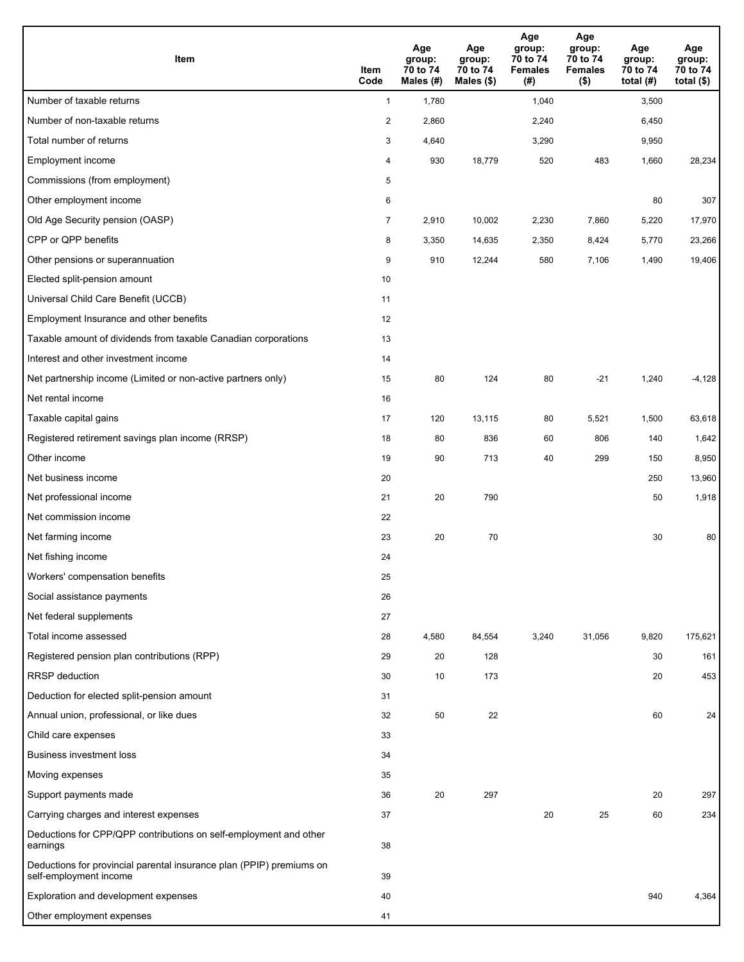| Item                                                                                           | Item<br>Code   | Age<br>group:<br>70 to 74<br>Males (#) | Age<br>group:<br>70 to 74<br>Males (\$) | Age<br>group:<br>70 to 74<br><b>Females</b><br>(# ) | Age<br>group:<br>70 to 74<br><b>Females</b><br>$($ \$) | Age<br>group:<br>70 to 74<br>total $(#)$ | Age<br>group:<br>70 to 74<br>total $($)$ |
|------------------------------------------------------------------------------------------------|----------------|----------------------------------------|-----------------------------------------|-----------------------------------------------------|--------------------------------------------------------|------------------------------------------|------------------------------------------|
| Number of taxable returns                                                                      | $\mathbf{1}$   | 1,780                                  |                                         | 1,040                                               |                                                        | 3,500                                    |                                          |
| Number of non-taxable returns                                                                  | $\overline{2}$ | 2,860                                  |                                         | 2,240                                               |                                                        | 6,450                                    |                                          |
| Total number of returns                                                                        | 3              | 4,640                                  |                                         | 3,290                                               |                                                        | 9,950                                    |                                          |
| Employment income                                                                              | 4              | 930                                    | 18,779                                  | 520                                                 | 483                                                    | 1,660                                    | 28,234                                   |
| Commissions (from employment)                                                                  | 5              |                                        |                                         |                                                     |                                                        |                                          |                                          |
| Other employment income                                                                        | 6              |                                        |                                         |                                                     |                                                        | 80                                       | 307                                      |
| Old Age Security pension (OASP)                                                                | $\overline{7}$ | 2,910                                  | 10,002                                  | 2,230                                               | 7,860                                                  | 5,220                                    | 17,970                                   |
| CPP or QPP benefits                                                                            | 8              | 3,350                                  | 14,635                                  | 2,350                                               | 8,424                                                  | 5,770                                    | 23,266                                   |
| Other pensions or superannuation                                                               | 9              | 910                                    | 12,244                                  | 580                                                 | 7,106                                                  | 1,490                                    | 19,406                                   |
| Elected split-pension amount                                                                   | 10             |                                        |                                         |                                                     |                                                        |                                          |                                          |
| Universal Child Care Benefit (UCCB)                                                            | 11             |                                        |                                         |                                                     |                                                        |                                          |                                          |
| Employment Insurance and other benefits                                                        | 12             |                                        |                                         |                                                     |                                                        |                                          |                                          |
| Taxable amount of dividends from taxable Canadian corporations                                 | 13             |                                        |                                         |                                                     |                                                        |                                          |                                          |
| Interest and other investment income                                                           | 14             |                                        |                                         |                                                     |                                                        |                                          |                                          |
| Net partnership income (Limited or non-active partners only)                                   | 15             | 80                                     | 124                                     | 80                                                  | $-21$                                                  | 1,240                                    | $-4,128$                                 |
| Net rental income                                                                              | 16             |                                        |                                         |                                                     |                                                        |                                          |                                          |
| Taxable capital gains                                                                          | 17             | 120                                    | 13,115                                  | 80                                                  | 5,521                                                  | 1,500                                    | 63,618                                   |
| Registered retirement savings plan income (RRSP)                                               | 18             | 80                                     | 836                                     | 60                                                  | 806                                                    | 140                                      | 1,642                                    |
| Other income                                                                                   | 19             | 90                                     | 713                                     | 40                                                  | 299                                                    | 150                                      | 8,950                                    |
| Net business income                                                                            | 20             |                                        |                                         |                                                     |                                                        | 250                                      | 13,960                                   |
| Net professional income                                                                        | 21             | 20                                     | 790                                     |                                                     |                                                        | 50                                       | 1,918                                    |
| Net commission income                                                                          | 22             |                                        |                                         |                                                     |                                                        |                                          |                                          |
| Net farming income                                                                             | 23             | 20                                     | 70                                      |                                                     |                                                        | 30                                       | 80                                       |
| Net fishing income                                                                             | 24             |                                        |                                         |                                                     |                                                        |                                          |                                          |
| Workers' compensation benefits                                                                 | 25             |                                        |                                         |                                                     |                                                        |                                          |                                          |
| Social assistance payments                                                                     | 26             |                                        |                                         |                                                     |                                                        |                                          |                                          |
| Net federal supplements                                                                        | 27             |                                        |                                         |                                                     |                                                        |                                          |                                          |
| Total income assessed                                                                          | 28             | 4,580                                  | 84,554                                  | 3,240                                               | 31,056                                                 | 9,820                                    | 175,621                                  |
| Registered pension plan contributions (RPP)                                                    | 29             | 20                                     | 128                                     |                                                     |                                                        | 30                                       | 161                                      |
| <b>RRSP</b> deduction                                                                          | 30             | 10                                     | 173                                     |                                                     |                                                        | 20                                       | 453                                      |
| Deduction for elected split-pension amount                                                     | 31             |                                        |                                         |                                                     |                                                        |                                          |                                          |
| Annual union, professional, or like dues                                                       | 32             | 50                                     | 22                                      |                                                     |                                                        | 60                                       | 24                                       |
| Child care expenses                                                                            | 33             |                                        |                                         |                                                     |                                                        |                                          |                                          |
| Business investment loss                                                                       | 34             |                                        |                                         |                                                     |                                                        |                                          |                                          |
| Moving expenses                                                                                | 35             |                                        |                                         |                                                     |                                                        |                                          |                                          |
| Support payments made                                                                          | 36             | 20                                     | 297                                     |                                                     |                                                        | 20                                       | 297                                      |
| Carrying charges and interest expenses                                                         | 37             |                                        |                                         | 20                                                  | 25                                                     | 60                                       | 234                                      |
| Deductions for CPP/QPP contributions on self-employment and other<br>earnings                  | 38             |                                        |                                         |                                                     |                                                        |                                          |                                          |
| Deductions for provincial parental insurance plan (PPIP) premiums on<br>self-employment income | 39             |                                        |                                         |                                                     |                                                        |                                          |                                          |
| Exploration and development expenses                                                           | 40             |                                        |                                         |                                                     |                                                        | 940                                      | 4,364                                    |
| Other employment expenses                                                                      | 41             |                                        |                                         |                                                     |                                                        |                                          |                                          |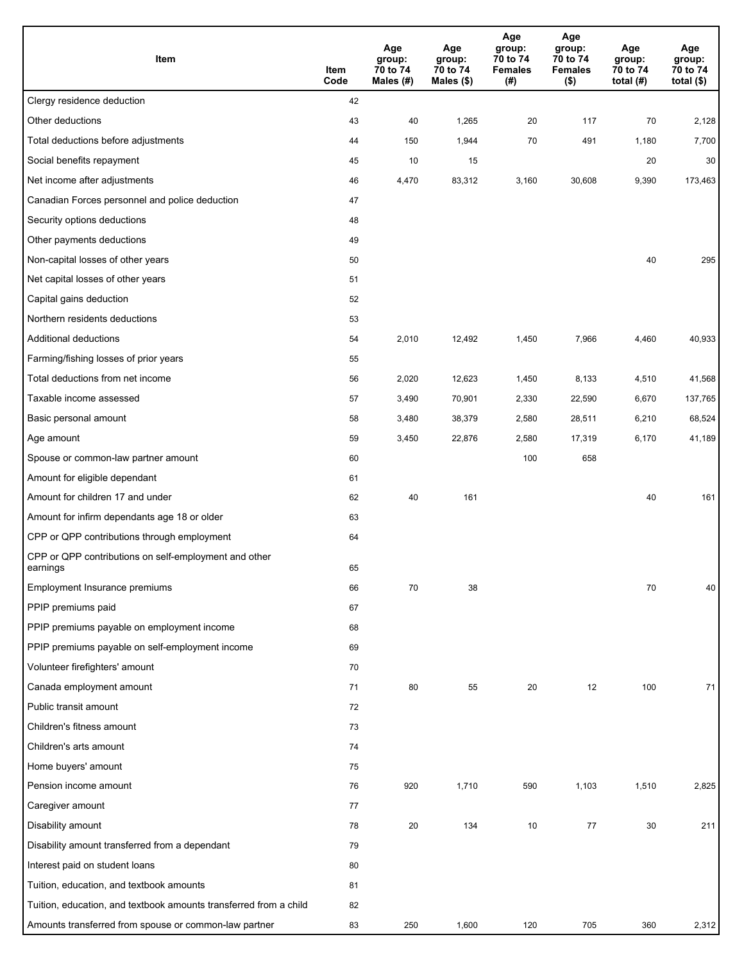| Item                                                              | Item<br>Code | Age<br>group:<br>70 to 74<br>Males $(H)$ | Age<br>group:<br>70 to 74<br>Males (\$) | Age<br>group:<br>70 to 74<br><b>Females</b><br>(#) | Age<br>group:<br>70 to 74<br><b>Females</b><br>$($ \$) | Age<br>group:<br>70 to 74<br>total $(#)$ | Age<br>group:<br>70 to 74<br>total $($)$ |
|-------------------------------------------------------------------|--------------|------------------------------------------|-----------------------------------------|----------------------------------------------------|--------------------------------------------------------|------------------------------------------|------------------------------------------|
| Clergy residence deduction                                        | 42           |                                          |                                         |                                                    |                                                        |                                          |                                          |
| Other deductions                                                  | 43           | 40                                       | 1,265                                   | 20                                                 | 117                                                    | 70                                       | 2,128                                    |
| Total deductions before adjustments                               | 44           | 150                                      | 1,944                                   | 70                                                 | 491                                                    | 1,180                                    | 7,700                                    |
| Social benefits repayment                                         | 45           | 10                                       | 15                                      |                                                    |                                                        | 20                                       | 30                                       |
| Net income after adjustments                                      | 46           | 4,470                                    | 83,312                                  | 3,160                                              | 30,608                                                 | 9,390                                    | 173,463                                  |
| Canadian Forces personnel and police deduction                    | 47           |                                          |                                         |                                                    |                                                        |                                          |                                          |
| Security options deductions                                       | 48           |                                          |                                         |                                                    |                                                        |                                          |                                          |
| Other payments deductions                                         | 49           |                                          |                                         |                                                    |                                                        |                                          |                                          |
| Non-capital losses of other years                                 | 50           |                                          |                                         |                                                    |                                                        | 40                                       | 295                                      |
| Net capital losses of other years                                 | 51           |                                          |                                         |                                                    |                                                        |                                          |                                          |
| Capital gains deduction                                           | 52           |                                          |                                         |                                                    |                                                        |                                          |                                          |
| Northern residents deductions                                     | 53           |                                          |                                         |                                                    |                                                        |                                          |                                          |
| Additional deductions                                             | 54           | 2,010                                    | 12,492                                  | 1,450                                              | 7,966                                                  | 4,460                                    | 40,933                                   |
| Farming/fishing losses of prior years                             | 55           |                                          |                                         |                                                    |                                                        |                                          |                                          |
| Total deductions from net income                                  | 56           | 2,020                                    | 12,623                                  | 1,450                                              | 8,133                                                  | 4,510                                    | 41,568                                   |
| Taxable income assessed                                           | 57           | 3,490                                    | 70,901                                  | 2,330                                              | 22,590                                                 | 6,670                                    | 137,765                                  |
| Basic personal amount                                             | 58           | 3,480                                    | 38,379                                  | 2,580                                              | 28,511                                                 | 6,210                                    | 68,524                                   |
| Age amount                                                        | 59           | 3,450                                    | 22,876                                  | 2,580                                              | 17,319                                                 | 6,170                                    | 41,189                                   |
| Spouse or common-law partner amount                               | 60           |                                          |                                         | 100                                                | 658                                                    |                                          |                                          |
| Amount for eligible dependant                                     | 61           |                                          |                                         |                                                    |                                                        |                                          |                                          |
| Amount for children 17 and under                                  | 62           | 40                                       | 161                                     |                                                    |                                                        | 40                                       | 161                                      |
| Amount for infirm dependants age 18 or older                      | 63           |                                          |                                         |                                                    |                                                        |                                          |                                          |
| CPP or QPP contributions through employment                       | 64           |                                          |                                         |                                                    |                                                        |                                          |                                          |
| CPP or QPP contributions on self-employment and other<br>earnings | 65           |                                          |                                         |                                                    |                                                        |                                          |                                          |
| Employment Insurance premiums                                     | 66           | 70                                       | 38                                      |                                                    |                                                        | 70                                       | 40                                       |
| PPIP premiums paid                                                | 67           |                                          |                                         |                                                    |                                                        |                                          |                                          |
| PPIP premiums payable on employment income                        | 68           |                                          |                                         |                                                    |                                                        |                                          |                                          |
| PPIP premiums payable on self-employment income                   | 69           |                                          |                                         |                                                    |                                                        |                                          |                                          |
| Volunteer firefighters' amount                                    | 70           |                                          |                                         |                                                    |                                                        |                                          |                                          |
| Canada employment amount                                          | 71           | 80                                       | 55                                      | 20                                                 | 12                                                     | 100                                      | 71                                       |
| Public transit amount                                             | 72           |                                          |                                         |                                                    |                                                        |                                          |                                          |
| Children's fitness amount                                         | 73           |                                          |                                         |                                                    |                                                        |                                          |                                          |
| Children's arts amount                                            | 74           |                                          |                                         |                                                    |                                                        |                                          |                                          |
| Home buyers' amount                                               | 75           |                                          |                                         |                                                    |                                                        |                                          |                                          |
| Pension income amount                                             | 76           | 920                                      | 1,710                                   | 590                                                | 1,103                                                  | 1,510                                    | 2,825                                    |
| Caregiver amount                                                  | 77           |                                          |                                         |                                                    |                                                        |                                          |                                          |
| Disability amount                                                 | 78           | 20                                       | 134                                     | 10                                                 | 77                                                     | 30                                       | 211                                      |
| Disability amount transferred from a dependant                    | 79           |                                          |                                         |                                                    |                                                        |                                          |                                          |
| Interest paid on student loans                                    | 80           |                                          |                                         |                                                    |                                                        |                                          |                                          |
| Tuition, education, and textbook amounts                          | 81           |                                          |                                         |                                                    |                                                        |                                          |                                          |
| Tuition, education, and textbook amounts transferred from a child | 82           |                                          |                                         |                                                    |                                                        |                                          |                                          |
| Amounts transferred from spouse or common-law partner             | 83           | 250                                      | 1,600                                   | 120                                                | 705                                                    | 360                                      | 2,312                                    |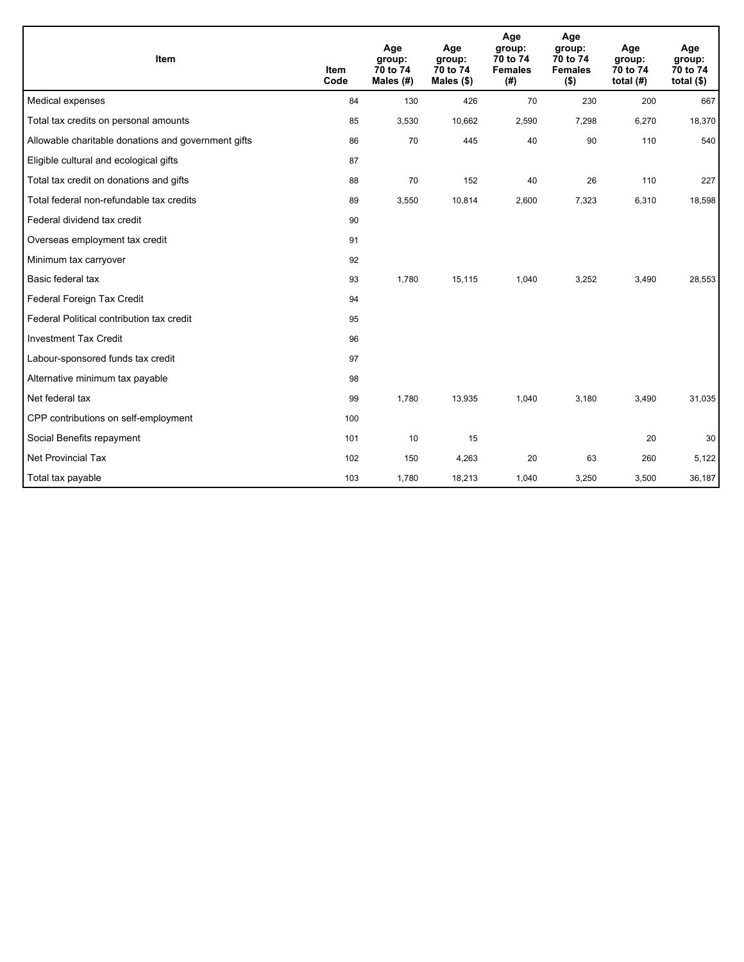| Item                                                | <b>Item</b><br>Code | Age<br>group:<br>70 to 74<br>Males $(H)$ | Age<br>group:<br>70 to 74<br>Males (\$) | Age<br>group:<br>70 to 74<br><b>Females</b><br>(#) | Age<br>group:<br>70 to 74<br><b>Females</b><br>$($ \$) | Age<br>group:<br>70 to 74<br>total $(H)$ | Age<br>group:<br>70 to 74<br>total $($ \$) |
|-----------------------------------------------------|---------------------|------------------------------------------|-----------------------------------------|----------------------------------------------------|--------------------------------------------------------|------------------------------------------|--------------------------------------------|
| Medical expenses                                    | 84                  | 130                                      | 426                                     | 70                                                 | 230                                                    | 200                                      | 667                                        |
| Total tax credits on personal amounts               | 85                  | 3,530                                    | 10,662                                  | 2,590                                              | 7,298                                                  | 6,270                                    | 18,370                                     |
| Allowable charitable donations and government gifts | 86                  | 70                                       | 445                                     | 40                                                 | 90                                                     | 110                                      | 540                                        |
| Eligible cultural and ecological gifts              | 87                  |                                          |                                         |                                                    |                                                        |                                          |                                            |
| Total tax credit on donations and gifts             | 88                  | 70                                       | 152                                     | 40                                                 | 26                                                     | 110                                      | 227                                        |
| Total federal non-refundable tax credits            | 89                  | 3,550                                    | 10,814                                  | 2,600                                              | 7,323                                                  | 6,310                                    | 18,598                                     |
| Federal dividend tax credit                         | 90                  |                                          |                                         |                                                    |                                                        |                                          |                                            |
| Overseas employment tax credit                      | 91                  |                                          |                                         |                                                    |                                                        |                                          |                                            |
| Minimum tax carryover                               | 92                  |                                          |                                         |                                                    |                                                        |                                          |                                            |
| Basic federal tax                                   | 93                  | 1,780                                    | 15,115                                  | 1,040                                              | 3,252                                                  | 3,490                                    | 28,553                                     |
| Federal Foreign Tax Credit                          | 94                  |                                          |                                         |                                                    |                                                        |                                          |                                            |
| Federal Political contribution tax credit           | 95                  |                                          |                                         |                                                    |                                                        |                                          |                                            |
| <b>Investment Tax Credit</b>                        | 96                  |                                          |                                         |                                                    |                                                        |                                          |                                            |
| Labour-sponsored funds tax credit                   | 97                  |                                          |                                         |                                                    |                                                        |                                          |                                            |
| Alternative minimum tax payable                     | 98                  |                                          |                                         |                                                    |                                                        |                                          |                                            |
| Net federal tax                                     | 99                  | 1,780                                    | 13,935                                  | 1,040                                              | 3.180                                                  | 3,490                                    | 31,035                                     |
| CPP contributions on self-employment                | 100                 |                                          |                                         |                                                    |                                                        |                                          |                                            |
| Social Benefits repayment                           | 101                 | 10                                       | 15                                      |                                                    |                                                        | 20                                       | 30                                         |
| <b>Net Provincial Tax</b>                           | 102                 | 150                                      | 4,263                                   | 20                                                 | 63                                                     | 260                                      | 5,122                                      |
| Total tax payable                                   | 103                 | 1,780                                    | 18,213                                  | 1,040                                              | 3,250                                                  | 3,500                                    | 36,187                                     |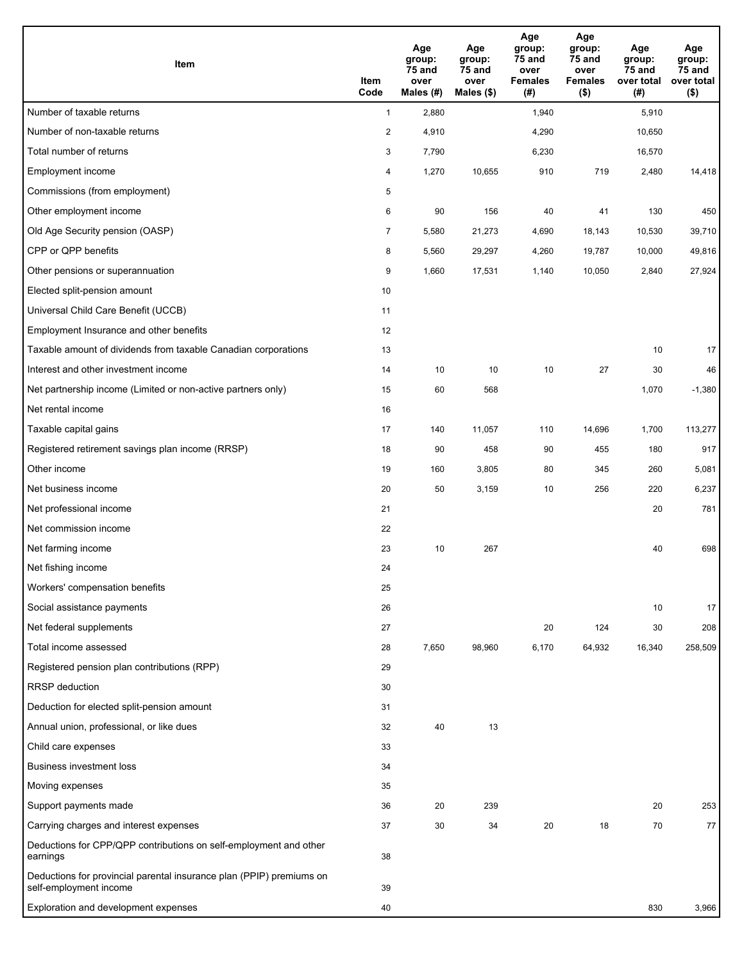| Item                                                                                           | Item<br>Code   | Age<br>group:<br>75 and<br>over<br>Males (#) | Age<br>group:<br>75 and<br>over<br>Males (\$) | Age<br>group:<br>75 and<br>over<br><b>Females</b><br>(#) | Age<br>group:<br>$75$ and<br>over<br><b>Females</b><br>$($ \$) | Age<br>group:<br>75 and<br>over total<br>(#) | Age<br>group:<br>75 and<br>over total<br>$($ \$) |
|------------------------------------------------------------------------------------------------|----------------|----------------------------------------------|-----------------------------------------------|----------------------------------------------------------|----------------------------------------------------------------|----------------------------------------------|--------------------------------------------------|
| Number of taxable returns                                                                      | $\mathbf{1}$   | 2,880                                        |                                               | 1,940                                                    |                                                                | 5,910                                        |                                                  |
| Number of non-taxable returns                                                                  | $\overline{c}$ | 4,910                                        |                                               | 4,290                                                    |                                                                | 10,650                                       |                                                  |
| Total number of returns                                                                        | 3              | 7,790                                        |                                               | 6,230                                                    |                                                                | 16,570                                       |                                                  |
| Employment income                                                                              | 4              | 1,270                                        | 10,655                                        | 910                                                      | 719                                                            | 2,480                                        | 14,418                                           |
| Commissions (from employment)                                                                  | 5              |                                              |                                               |                                                          |                                                                |                                              |                                                  |
| Other employment income                                                                        | 6              | 90                                           | 156                                           | 40                                                       | 41                                                             | 130                                          | 450                                              |
| Old Age Security pension (OASP)                                                                | $\overline{7}$ | 5,580                                        | 21,273                                        | 4,690                                                    | 18,143                                                         | 10,530                                       | 39,710                                           |
| CPP or QPP benefits                                                                            | 8              | 5,560                                        | 29,297                                        | 4,260                                                    | 19,787                                                         | 10,000                                       | 49,816                                           |
| Other pensions or superannuation                                                               | 9              | 1,660                                        | 17,531                                        | 1,140                                                    | 10,050                                                         | 2,840                                        | 27,924                                           |
| Elected split-pension amount                                                                   | 10             |                                              |                                               |                                                          |                                                                |                                              |                                                  |
| Universal Child Care Benefit (UCCB)                                                            | 11             |                                              |                                               |                                                          |                                                                |                                              |                                                  |
| Employment Insurance and other benefits                                                        | 12             |                                              |                                               |                                                          |                                                                |                                              |                                                  |
| Taxable amount of dividends from taxable Canadian corporations                                 | 13             |                                              |                                               |                                                          |                                                                | 10                                           | 17                                               |
| Interest and other investment income                                                           | 14             | 10                                           | 10                                            | 10                                                       | 27                                                             | 30                                           | 46                                               |
| Net partnership income (Limited or non-active partners only)                                   | 15             | 60                                           | 568                                           |                                                          |                                                                | 1,070                                        | $-1,380$                                         |
| Net rental income                                                                              | 16             |                                              |                                               |                                                          |                                                                |                                              |                                                  |
| Taxable capital gains                                                                          | 17             | 140                                          | 11,057                                        | 110                                                      | 14,696                                                         | 1,700                                        | 113,277                                          |
| Registered retirement savings plan income (RRSP)                                               | 18             | 90                                           | 458                                           | 90                                                       | 455                                                            | 180                                          | 917                                              |
| Other income                                                                                   | 19             | 160                                          | 3,805                                         | 80                                                       | 345                                                            | 260                                          | 5,081                                            |
| Net business income                                                                            | 20             | 50                                           | 3,159                                         | 10                                                       | 256                                                            | 220                                          | 6,237                                            |
| Net professional income                                                                        | 21             |                                              |                                               |                                                          |                                                                | 20                                           | 781                                              |
| Net commission income                                                                          | 22             |                                              |                                               |                                                          |                                                                |                                              |                                                  |
| Net farming income                                                                             | 23             | 10                                           | 267                                           |                                                          |                                                                | 40                                           | 698                                              |
| Net fishing income                                                                             | 24             |                                              |                                               |                                                          |                                                                |                                              |                                                  |
| Workers' compensation benefits                                                                 | 25             |                                              |                                               |                                                          |                                                                |                                              |                                                  |
| Social assistance payments                                                                     | 26             |                                              |                                               |                                                          |                                                                | 10                                           | 17                                               |
| Net federal supplements                                                                        | 27             |                                              |                                               | 20                                                       | 124                                                            | 30                                           | 208                                              |
| Total income assessed                                                                          | 28             | 7,650                                        | 98,960                                        | 6,170                                                    | 64,932                                                         | 16,340                                       | 258,509                                          |
| Registered pension plan contributions (RPP)                                                    | 29             |                                              |                                               |                                                          |                                                                |                                              |                                                  |
| RRSP deduction                                                                                 | 30             |                                              |                                               |                                                          |                                                                |                                              |                                                  |
| Deduction for elected split-pension amount                                                     | 31             |                                              |                                               |                                                          |                                                                |                                              |                                                  |
| Annual union, professional, or like dues                                                       | 32             | 40                                           | 13                                            |                                                          |                                                                |                                              |                                                  |
| Child care expenses                                                                            | 33             |                                              |                                               |                                                          |                                                                |                                              |                                                  |
| <b>Business investment loss</b>                                                                | 34             |                                              |                                               |                                                          |                                                                |                                              |                                                  |
| Moving expenses                                                                                | 35             |                                              |                                               |                                                          |                                                                |                                              |                                                  |
| Support payments made                                                                          | 36             | 20                                           | 239                                           |                                                          |                                                                | 20                                           | 253                                              |
| Carrying charges and interest expenses                                                         | 37             | 30                                           | 34                                            | 20                                                       | 18                                                             | 70                                           | 77                                               |
| Deductions for CPP/QPP contributions on self-employment and other<br>earnings                  | 38             |                                              |                                               |                                                          |                                                                |                                              |                                                  |
| Deductions for provincial parental insurance plan (PPIP) premiums on<br>self-employment income | 39             |                                              |                                               |                                                          |                                                                |                                              |                                                  |
| Exploration and development expenses                                                           | 40             |                                              |                                               |                                                          |                                                                | 830                                          | 3,966                                            |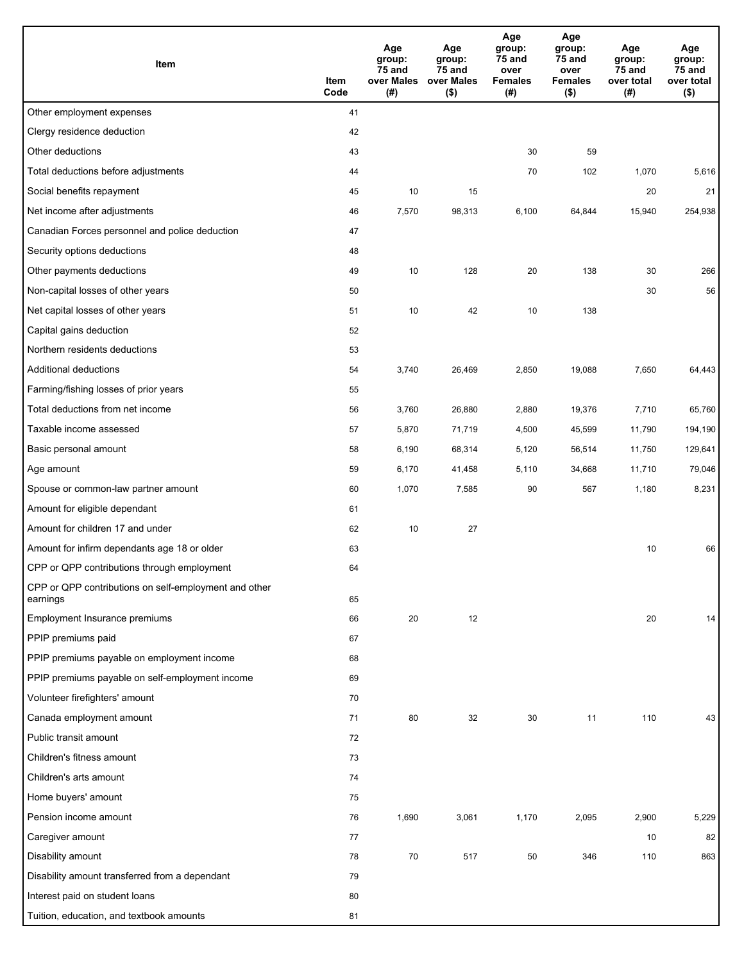| Item                                                              | Item<br>Code | Age<br>group:<br>75 and<br>over Males<br>(# ) | Age<br>group:<br>75 and<br>over Males<br>$($ \$) | Age<br>group:<br>75 and<br>over<br><b>Females</b><br>(#) | Age<br>group:<br>75 and<br>over<br><b>Females</b><br>$($ \$) | Age<br>group:<br>75 and<br>over total<br>(#) | Age<br>group:<br>75 and<br>over total<br>$($ \$) |
|-------------------------------------------------------------------|--------------|-----------------------------------------------|--------------------------------------------------|----------------------------------------------------------|--------------------------------------------------------------|----------------------------------------------|--------------------------------------------------|
| Other employment expenses                                         | 41           |                                               |                                                  |                                                          |                                                              |                                              |                                                  |
| Clergy residence deduction                                        | 42           |                                               |                                                  |                                                          |                                                              |                                              |                                                  |
| Other deductions                                                  | 43           |                                               |                                                  | 30                                                       | 59                                                           |                                              |                                                  |
| Total deductions before adjustments                               | 44           |                                               |                                                  | 70                                                       | 102                                                          | 1,070                                        | 5,616                                            |
| Social benefits repayment                                         | 45           | 10                                            | 15                                               |                                                          |                                                              | 20                                           | 21                                               |
| Net income after adjustments                                      | 46           | 7,570                                         | 98,313                                           | 6,100                                                    | 64,844                                                       | 15,940                                       | 254,938                                          |
| Canadian Forces personnel and police deduction                    | 47           |                                               |                                                  |                                                          |                                                              |                                              |                                                  |
| Security options deductions                                       | 48           |                                               |                                                  |                                                          |                                                              |                                              |                                                  |
| Other payments deductions                                         | 49           | 10                                            | 128                                              | 20                                                       | 138                                                          | 30                                           | 266                                              |
| Non-capital losses of other years                                 | 50           |                                               |                                                  |                                                          |                                                              | 30                                           | 56                                               |
| Net capital losses of other years                                 | 51           | 10                                            | 42                                               | 10                                                       | 138                                                          |                                              |                                                  |
| Capital gains deduction                                           | 52           |                                               |                                                  |                                                          |                                                              |                                              |                                                  |
| Northern residents deductions                                     | 53           |                                               |                                                  |                                                          |                                                              |                                              |                                                  |
| Additional deductions                                             | 54           | 3,740                                         | 26,469                                           | 2,850                                                    | 19,088                                                       | 7,650                                        | 64,443                                           |
| Farming/fishing losses of prior years                             | 55           |                                               |                                                  |                                                          |                                                              |                                              |                                                  |
| Total deductions from net income                                  | 56           | 3,760                                         | 26,880                                           | 2,880                                                    | 19,376                                                       | 7,710                                        | 65,760                                           |
| Taxable income assessed                                           | 57           | 5,870                                         | 71,719                                           | 4,500                                                    | 45,599                                                       | 11,790                                       | 194,190                                          |
| Basic personal amount                                             | 58           | 6,190                                         | 68,314                                           | 5,120                                                    | 56,514                                                       | 11,750                                       | 129,641                                          |
| Age amount                                                        | 59           | 6,170                                         | 41,458                                           | 5,110                                                    | 34,668                                                       | 11,710                                       | 79,046                                           |
| Spouse or common-law partner amount                               | 60           | 1,070                                         | 7,585                                            | 90                                                       | 567                                                          | 1,180                                        | 8,231                                            |
| Amount for eligible dependant                                     | 61           |                                               |                                                  |                                                          |                                                              |                                              |                                                  |
| Amount for children 17 and under                                  | 62           | 10                                            | 27                                               |                                                          |                                                              |                                              |                                                  |
| Amount for infirm dependants age 18 or older                      | 63           |                                               |                                                  |                                                          |                                                              | 10                                           | 66                                               |
| CPP or QPP contributions through employment                       | 64           |                                               |                                                  |                                                          |                                                              |                                              |                                                  |
| CPP or QPP contributions on self-employment and other<br>earnings | 65           |                                               |                                                  |                                                          |                                                              |                                              |                                                  |
| Employment Insurance premiums                                     | 66           | 20                                            | 12                                               |                                                          |                                                              | 20                                           | 14                                               |
| PPIP premiums paid                                                | 67           |                                               |                                                  |                                                          |                                                              |                                              |                                                  |
| PPIP premiums payable on employment income                        | 68           |                                               |                                                  |                                                          |                                                              |                                              |                                                  |
| PPIP premiums payable on self-employment income                   | 69           |                                               |                                                  |                                                          |                                                              |                                              |                                                  |
| Volunteer firefighters' amount                                    | 70           |                                               |                                                  |                                                          |                                                              |                                              |                                                  |
| Canada employment amount                                          | 71           | 80                                            | 32                                               | 30                                                       | 11                                                           | 110                                          | 43                                               |
| Public transit amount                                             | 72           |                                               |                                                  |                                                          |                                                              |                                              |                                                  |
| Children's fitness amount                                         | 73           |                                               |                                                  |                                                          |                                                              |                                              |                                                  |
| Children's arts amount                                            | 74           |                                               |                                                  |                                                          |                                                              |                                              |                                                  |
| Home buyers' amount                                               | 75           |                                               |                                                  |                                                          |                                                              |                                              |                                                  |
| Pension income amount                                             | 76           | 1,690                                         | 3,061                                            | 1,170                                                    | 2,095                                                        | 2,900                                        | 5,229                                            |
| Caregiver amount                                                  | 77           |                                               |                                                  |                                                          |                                                              | 10                                           | 82                                               |
| Disability amount                                                 | 78           | $70\,$                                        | 517                                              | 50                                                       | 346                                                          | 110                                          | 863                                              |
| Disability amount transferred from a dependant                    | 79           |                                               |                                                  |                                                          |                                                              |                                              |                                                  |
| Interest paid on student loans                                    | 80           |                                               |                                                  |                                                          |                                                              |                                              |                                                  |
| Tuition, education, and textbook amounts                          | 81           |                                               |                                                  |                                                          |                                                              |                                              |                                                  |